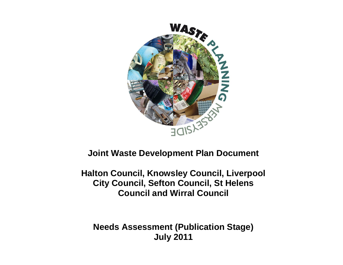

## **Joint Waste Development Plan Document**

**Halton Council, Knowsley Council, Liverpool City Council, Sefton Council, St Helens Council and Wirral Council**

**Needs Assessment (Publication Stage) July 2011**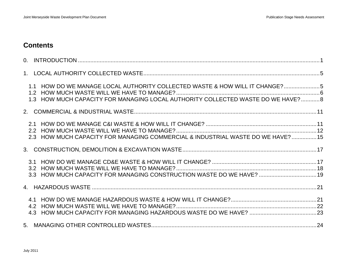### **Contents**

| 1.1 HOW DO WE MANAGE LOCAL AUTHORITY COLLECTED WASTE & HOW WILL IT CHANGE?5<br>1.3 HOW MUCH CAPACITY FOR MANAGING LOCAL AUTHORITY COLLECTED WASTE DO WE HAVE? 8 |  |
|-----------------------------------------------------------------------------------------------------------------------------------------------------------------|--|
|                                                                                                                                                                 |  |
| 2.3 HOW MUCH CAPACITY FOR MANAGING COMMERCIAL & INDUSTRIAL WASTE DO WE HAVE? 15                                                                                 |  |
|                                                                                                                                                                 |  |
| 3.2<br>3.3 HOW MUCH CAPACITY FOR MANAGING CONSTRUCTION WASTE DO WE HAVE?  19                                                                                    |  |
|                                                                                                                                                                 |  |
|                                                                                                                                                                 |  |
|                                                                                                                                                                 |  |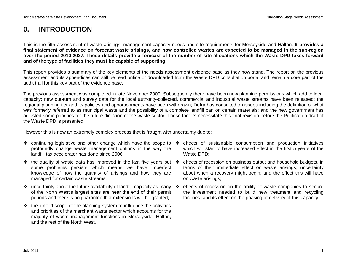## <span id="page-4-0"></span>**0. INTRODUCTION**

This is the fifth assessment of waste arisings, management capacity needs and site requirements for Merseyside and Halton. **It provides a final statement of evidence on forecast waste arisings, and how controlled wastes are expected to be managed in the sub-region over the period 2010-2027. These details provide a forecast of the number of site allocations which the Waste DPD takes forward and of the type of facilities they must be capable of supporting**.

This report provides a summary of the key elements of the needs assessment evidence base as they now stand. The report on the previous assessment and its appendices can still be read online or downloaded from the Waste DPD consultation portal and remain a core part of the audit trail for this key part of the evidence base.

The previous assessment was completed in late November 2009. Subsequently there have been new planning permissions which add to local capacity; new out-turn and survey data for the local authority-collected, commercial and industrial waste streams have been released; the regional planning tier and its policies and apportionments have been withdrawn; Defra has consulted on issues including the definition of what was formerly referred to as municipal waste and the possibility of a complete landfill ban on certain materials; and the new government has adjusted some priorities for the future direction of the waste sector. These factors necessitate this final revision before the Publication draft of the Waste DPD is presented.

However this is now an extremely complex process that is fraught with uncertainty due to:

- ❖ continuing legislative and other change which have the scope to ❖ effects of sustainable consumption and production initiatives profoundly change waste management options in the way the landfill tax accelerator has done since 2006;
- $\cdot \cdot$  the quality of waste data has improved in the last five years but  $\cdot \cdot$ some problems persists which means we have imperfect knowledge of how the quantity of arisings and how they are managed for certain waste streams;
- uncertainty about the future availability of landfill capacity as many of the North West"s largest sites are near the end of their permit periods and there is no guarantee that extensions will be granted;
- $\div$  the limited scope of the planning system to influence the activities and priorities of the merchant waste sector which accounts for the majority of waste management functions in Merseyside, Halton, and the rest of the North West.
- which will start to have increased effect in the first 5 years of the Waste DPD;
- effects of recession on business output and household budgets, in terms of their immediate effect on waste arisings; uncertainty about when a recovery might begin; and the effect this will have on waste arisings;
- effects of recession on the ability of waste companies to secure the investment needed to build new treatment and recycling facilities, and its effect on the phasing of delivery of this capacity;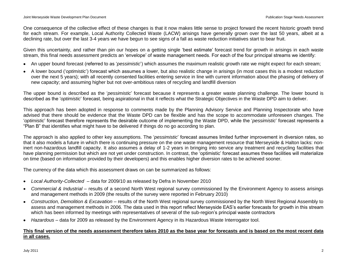One consequence of the collective effect of these changes is that it now makes little sense to project forward the recent historic growth trend for each stream. For example, Local Authority Collected Waste (LACW) arisings have generally grown over the last 50 years, albeit at a declining rate, but over the last 3-4 years we have begun to see signs of a fall as waste reduction initiatives start to bear fruit.

Given this uncertainty, and rather than pin our hopes on a getting single "best estimate" forecast trend for growth in arisings in each waste stream, this final needs assessment predicts an "envelope" of waste management needs. For each of the four principal streams we identify:

- An upper bound forecast (referred to as "*pessimistic*") which assumes the maximum realistic growth rate we might expect for each stream;
- A lower bound ("*optimistic*") forecast which assumes a lower, but also realistic change in arisings (in most cases this is a modest reduction over the next 5 years); with all recently consented facilities entering service in line with current information about the phasing of delivery of new capacity; and assuming higher but not over-ambitious rates of recycling and landfill diversion

The upper bound is described as the "*pessimistic*" forecast because it represents a greater waste planning challenge. The lower bound is described as the "*optimistic*" forecast, being aspirational in that it reflects what the Strategic Objectives in the Waste DPD aim to deliver.

This approach has been adopted in response to comments made by the Planning Advisory Service and Planning Inspectorate who have advised that there should be evidence that the Waste DPD can be flexible and has the scope to accommodate unforeseen changes. The "*optimistic*" forecast therefore represents the desirable outcome of implementing the Waste DPD, while the "*pessimistic*" forecast represents a "Plan B" that identifies what might have to be delivered if things do no go according to plan.

The approach is also applied to other key assumptions. The "*pessimistic*" forecast assumes limited further improvement in diversion rates, so that it also models a future in which there is continuing pressure on the one waste management resource that Merseyside & Halton lacks: noninert non-hazardous landfill capacity. It also assumes a delay of 1-2 years in bringing into service any treatment and recycling facilities that have planning permission but which are not yet under construction. In contrast, the "optimistic" forecast assumes these facilities will materialize on time (based on information provided by their developers) and this enables higher diversion rates to be achieved sooner.

The currency of the data which this assessment draws on can be summarized as follows:

- *Local Authority-Collected*  data for 2009/10 as released by Defra in November 2010
- *Commercial & Industrial* results of a second North West regional survey commissioned by the Environment Agency to assess arisings and management methods in 2009 (the results of the survey were reported in February 2010)
- *Construction, Demolition & Excavation* results of the North West regional survey commissioned by the North West Regional Assembly to  $\bullet$ assess and management methods in 2006. The data used in this report reflect Merseyside EAS"s earlier forecasts for growth in this stream which has been informed by meetings with representatives of several of the sub-region"s principal waste contractors
- *Hazardous* data for 2009 as released by the Environment Agency in its Hazardous Waste Interrogator tool.

### **This final version of the needs assessment therefore takes 2010 as the base year for forecasts and is based on the most recent data in all cases.**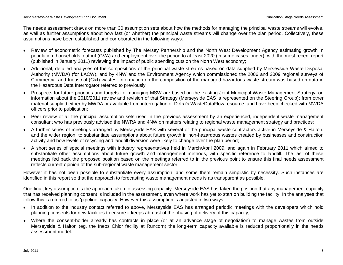The needs assessment draws on more than 30 assumption sets about how the methods for managing the principal waste streams will evolve, as well as further assumptions about how fast (or whether) the principal waste streams will change over the plan period. Collectively, these assumptions have been established and corroborated in the following ways:

- Review of econometric forecasts published by The Mersey Partnership and the North West Development Agency estimating growth in population, households, output (GVA) and employment over the period to at least 2020 (in some cases longer), with the most recent report (published in January 2011) reviewing the impact of public spending cuts on the North West economy;
- Additional, detailed analyses of the compositions of the principal waste streams based on data supplied by Merseyside Waste Disposal Authority (MWDA) (for LACW), and by 4NW and the Environment Agency which commissioned the 2006 and 2009 regional surveys of Commercial and Industrial (C&I) wastes. Information on the composition of the managed hazardous waste stream was based on data in the Hazardous Data Interrogator referred to previously;
- Prospects for future priorities and targets for managing MSW are based on the existing Joint Municipal Waste Management Strategy; on information about the 2010/2011 review and revision of that Strategy (Merseyside EAS is represented on the Steering Group); from other material supplied either by MWDA or available from interrogation of Defra"s WasteDataFlow resource; and have been checked with MWDA officers prior to publication;
- Peer review of all the principal assumption sets used in the previous assessment by an experienced, independent waste management consultant who has previously advised the NWRA and 4NW on matters relating to regional waste management strategy and practices;
- A further series of meetings arranged by Merseyside EAS with several of the principal waste contractors active in Merseyside & Halton, and the wider region, to substantiate assumptions about future growth in non-hazardous wastes created by businesses and construction activity and how levels of recycling and landfill diversion were likely to change over the plan period;
- A short series of special meetings with industry representatives held in March/April 2009, and again in February 2011 which aimed to substantiate other assumptions about future growth and management methods, with specific reference to landfill. The last of these meetings fed back the proposed position based on the meetings referred to in the previous point to ensure this final needs assessment reflects current opinion of the sub-regional waste management sector.

However it has not been possible to substantiate every assumption, and some them remain simplistic by necessity. Such instances are identified in this report so that the approach to forecasting waste management needs is as transparent as possible.

One final, key assumption is the approach taken to assessing capacity. Merseyside EAS has taken the position that any management capacity that has received planning consent is included in the assessment, even where work has yet to start on building the facility. In the analyses that follow this is referred to as 'pipeline' capacity. However this assumption is adjusted in two ways:

- In addition to the industry contact referred to above, Merseyside EAS has arranged periodic meetings with the developers which hold planning consents for new facilities to ensure it keeps abreast of the phasing of delivery of this capacity;
- Where the consent-holder already has contracts in place (or at an advance stage of negotiation) to manage wastes from outside Merseyside & Halton (eg. the Ineos Chlor facility at Runcorn) the long-term capacity available is reduced proportionally in the needs assessment model.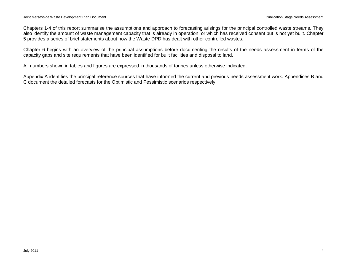Chapters 1-4 of this report summarise the assumptions and approach to forecasting arisings for the principal controlled waste streams. They also identify the amount of waste management capacity that is already in operation, or which has received consent but is not yet built. Chapter 5 provides a series of brief statements about how the Waste DPD has dealt with other controlled wastes.

Chapter 6 begins with an overview of the principal assumptions before documenting the results of the needs assessment in terms of the capacity gaps and site requirements that have been identified for built facilities and disposal to land.

### All numbers shown in tables and figures are expressed in thousands of tonnes unless otherwise indicated.

Appendix A identifies the principal reference sources that have informed the current and previous needs assessment work. Appendices B and C document the detailed forecasts for the Optimistic and Pessimistic scenarios respectively.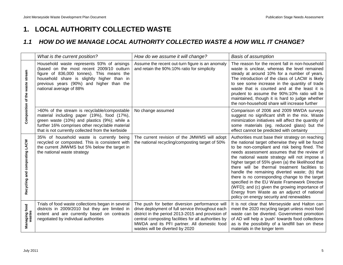## <span id="page-8-0"></span>**1. LOCAL AUTHORITY COLLECTED WASTE**

### <span id="page-8-1"></span>*1.1 HOW DO WE MANAGE LOCAL AUTHORITY COLLECTED WASTE & HOW WILL IT CHANGE?*

|                                 | What is the current position?                                                                                                                                                                                                                             | How do we assume it will change?                                                                                                                                                                                                                                                                  | <b>Basis of assumption</b>                                                                                                                                                                                                                                                                                                                                                                                                                                                                                                                                                                                                                                    |
|---------------------------------|-----------------------------------------------------------------------------------------------------------------------------------------------------------------------------------------------------------------------------------------------------------|---------------------------------------------------------------------------------------------------------------------------------------------------------------------------------------------------------------------------------------------------------------------------------------------------|---------------------------------------------------------------------------------------------------------------------------------------------------------------------------------------------------------------------------------------------------------------------------------------------------------------------------------------------------------------------------------------------------------------------------------------------------------------------------------------------------------------------------------------------------------------------------------------------------------------------------------------------------------------|
| Composition of the waste stream | Household waste represents 93% of arisings<br>(based on the most recent 2009/10 outturn<br>figure of 836,000 tonnes). This means the<br>household share is slightly higher than in<br>previous years (90%) and higher than the<br>national average of 88% | Assume the recent out-turn figure is an anomaly<br>and retain the 90%:10% ratio for simplicity                                                                                                                                                                                                    | The reason for the recent fall in non-household<br>waste is unclear, whereas the level remained<br>steady at around 10% for a number of years.<br>The introduction of the class of LACW is likely<br>to see some increase in the quantity of trade<br>waste that is counted and at the least it is<br>prudent to assume the 90%:10% ratio will be<br>maintained, though it is hard to judge whether<br>the non-household share will increase further                                                                                                                                                                                                          |
|                                 | >60% of the stream is recyclable/compostable<br>material including paper (19%), food (17%),<br>green waste (10%) and plastics (9%); while a<br>further 16% comprises other recyclable material<br>that is not currently collected from the kerbside       | No change assumed                                                                                                                                                                                                                                                                                 | Comparison of 2006 and 2009 MWDA surveys<br>suggest no significant shift in the mix. Waste<br>minimization initiatives will affect the quantity of<br>some materials (eg. reduced glass) but the<br>effect cannot be predicted with certainty                                                                                                                                                                                                                                                                                                                                                                                                                 |
| Recycling and composting LACW   | 35% of household waste is currently being<br>recycled or composted. This is consistent with<br>the current JMWMS but 5% below the target in<br>the national waste strategy                                                                                | The current revision of the JMWMS will adopt<br>the national recycling/composting target of 50%                                                                                                                                                                                                   | Authorities must base their strategy on reaching<br>the national target otherwise they will be found<br>to be non-compliant and risk being fined. The<br>needs assessment assumes that the review of<br>the national waste strategy will not impose a<br>higher target of 55% given (a) the likelihood that<br>there will be thermal treatment facilities to<br>handle the remaining diverted waste; (b) that<br>there is no corresponding change to the target<br>specified in the EU Waste Framework Directive<br>(WFD); and (c) given the growing importance of<br>Energy from Waste as an adjunct of national<br>policy on energy security and renewables |
| Managing food<br>wastes         | Trials of food waste collections began in several<br>districts in 2009/2010 but they are limited in<br>extent and are currently based on contracts<br>negotiated by individual authorities                                                                | The push for better diversion performance will<br>drive deployment of full service throughout each<br>district in the period 2013-2015 and provision of<br>central composting facilities for all authorities by<br>MWDA and its PFI partner. All domestic food<br>wastes will be diverted by 2020 | It is not clear that Merseyside and Halton can<br>meet the 2020 recycling target unless most food<br>waste can be diverted. Government promotion<br>of AD will help a 'push' towards food collections<br>as is the possibility of a landfill ban on these<br>materials in the longer term                                                                                                                                                                                                                                                                                                                                                                     |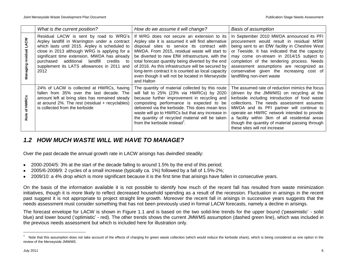|                 | What is the current position?                                                                                                                                                                                                                                                                                                                         | How do we assume it will change?                                                                                                                                                                                                                                                                                                                                                                                                                                                       | Basis of assumption                                                                                                                                                                                                                                                                                                                                                                                                         |
|-----------------|-------------------------------------------------------------------------------------------------------------------------------------------------------------------------------------------------------------------------------------------------------------------------------------------------------------------------------------------------------|----------------------------------------------------------------------------------------------------------------------------------------------------------------------------------------------------------------------------------------------------------------------------------------------------------------------------------------------------------------------------------------------------------------------------------------------------------------------------------------|-----------------------------------------------------------------------------------------------------------------------------------------------------------------------------------------------------------------------------------------------------------------------------------------------------------------------------------------------------------------------------------------------------------------------------|
| క్              | Residual LACW is sent by road to WRG's<br>Arpley landfill in Warrington under a contract<br>which lasts until 2015. Arpley is scheduled to<br>close in 2013 although WRG is applying for a<br>significant time extension. MWDA has already<br>purchased additional<br>landfill<br>credits<br>to<br>supplement its LATS allowances in 2011 and<br>2012 | If WRG does not secure an extension to its<br>Arpley site it is assumed it will find alternative<br>disposal sites to service its contract with<br>MWDA. From 2015, residual waste will start to<br>be diverted to new EfW infrastructure, with the<br>total forecast quantity being diverted by the end<br>of 2016. As this infrastructure will be secured by<br>long-term contract it is counted as local capacity<br>even though it will not be located in Merseyside<br>and Halton | In September 2010 MWDA announced its PFI<br>procurement would result in residual MSW<br>being sent to an EfW facility in Cheshire West<br>or Teeside. It has indicated that the capacity<br>may come on-stream in 2014/15 subject to<br>completion of the tendering process. Needs<br>assessment assumptions are recognized as<br>conservative given the increasing cost of<br>landfilling non-inert waste                  |
| of HWRC<br>Role | 24% of LACW is collected at HWRCs, having<br>fallen from 35% over the last decade. The<br>amount left at bring sites has remained steady<br>at around $2\%$ . The rest (residual + recyclables)<br>is collected from the kerbside                                                                                                                     | The quantity of material collected by this route<br>will fall to 25% (23% via HWRCs) by 2020<br>because further improvement in recycling and<br>composting performance is expected to be<br>delivered via the kerbside. This does mean less<br>waste will go to HWRCs but that any increase in<br>the quantity of recycled material will be taken<br>from the kerbside instead <sup>1</sup> .                                                                                          | The assumed rate of reduction mimics the focus<br>(driven by the JMWMS) on recycling at the<br>kerbside including introduction of food waste<br>collections. The needs assessment assumes<br>MWDA and its PFI partner will continue to<br>operate an HWRC network intended to provide<br>a facility within 3km of all residential areas<br>though the quantity of material passing through<br>these sites will not increase |

### <span id="page-9-0"></span>*1.2 HOW MUCH WASTE WILL WE HAVE TO MANAGE?*

Over the past decade the annual growth rate in LACW arisings has dwindled steadily:

- 2000-2004/5: 3% at the start of the decade falling to around 1.5% by the end of this period;
- 2005/6-2008/9: 2 cycles of a small increase (typically ca. 1%) followed by a fall of 1.5%-2%;
- 2009/10: a 4% drop which is more significant because it is the first time that arisings have fallen in consecutive years.

On the basis of the information available it is not possible to identify how much of the recent fall has resulted from waste minimization initiatives, though it is more likely to reflect decreased household spending as a result of the recession. Fluctuation in arisings in the recent past suggest it is not appropriate to project straight line growth. Moreover the recent fall in arisings in successive years suggests that the needs assessment must consider something that has not been previously used in formal LACW forecasts, namely a decline in arisings.

The forecast envelope for LACW is shown in Figure 1.1 and is based on the two solid-line trends for the upper bound ("pessimistic" - solid blue) and lower bound ("optimistic" - red). The other trends shows the current JMWMS assumption (dashed green line), which was included in the previous needs assessment but which is included here for illustration only.

<sup>1</sup> Note that this assumption does not take account of the effects of charging for green waste collection (which would reduce the kerbside share), which is being considered as one option in the review of the Merseyside JMWMS.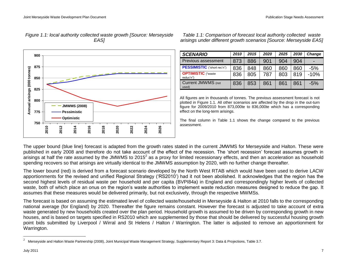

*Figure 1.1: local authority collected waste growth [Source: Merseyside EAS]*

*arisings under different growth scenarios [Source: Merseyside EAS]*

*Table 1.1: Comparison of forecast local authority collected waste* 

| <b>SCENARIO</b>                        | 2010 | 2015 | 2020 | 2025 | 2030 | Change                   |
|----------------------------------------|------|------|------|------|------|--------------------------|
| Previous assessment                    | 873  | 886  | 901  | 904  | 904  | $\overline{\phantom{0}}$ |
| PESSIMISTIC ("short rec'n")            | 836  | 848  | 860  | 860  | 860  | $-5%$                    |
| <b>OPTIMISTIC</b> ("waste<br>reduc'n") | 836  | 805  | 787  | 803  | 819  | $-10%$                   |
| <b>Current JMWMS</b> (not<br>used)     | 836  | 853  | 861  | 861  | 861  | $-5%$                    |

All figures are in thousands of tonnes. The previous assessment forecast is not plotted in Figure 1.1. All other scenarios are affected by the drop in the out-turn figure for 2009/2010 from 873,000te to 836,000te which has a corresponding effect on the long-term arisings.

The final column in Table 1.1 shows the change compared to the previous assessment.

The upper bound (blue line) forecast is adapted from the growth rates stated in the current JMWMS for Merseyside and Halton. These were published in early 2008 and therefore do not take account of the effect of the recession. The "short recession" forecast assumes growth in arisings at half the rate assumed by the JMWMS to 2015<sup>2</sup> as a proxy for limited recessionary effects, and then an acceleration as household spending recovers so that arisings are virtually identical to the JMWMS assumption by 2020, with no further change thereafter.

The lower bound (red) is derived from a forecast scenario developed by the North West RTAB which would have been used to derive LACW apportionments for the revised and unified Regional Strategy ("RS2010") had it not been abolished. It acknowledges that the region has the second highest levels of residual waste per household and per capita (BVPI84a) in England and correspondingly higher levels of collected waste, both of which place an onus on the region"s waste authorities to implement waste reduction measures designed to reduce the gap. It assumes that these measures would be delivered primarily, but not exclusively, through the respective MWMSs.

The forecast is based on assuming the estimated level of collected waste/household in Merseyside & Halton at 2010 falls to the corresponding national average (for England) by 2020. Thereafter the figure remains constant. However the forecast is adjusted to take account of extra waste generated by new households created over the plan period. Household growth is assumed to be driven by corresponding growth in new houses, and is based on targets specified in RS2010 which are supplemented by those that should be delivered by successful housing growth point bids submitted by Liverpool / Wirral and St Helens / Halton / Warrington. The latter is adjusted to remove an apportionment for Warrington.

<sup>2</sup> Merseyside and Halton Waste Partnership (2008), Joint Municipal Waste Management Strategy, Supplementary Report 3: Data & Projections, Table 3.7.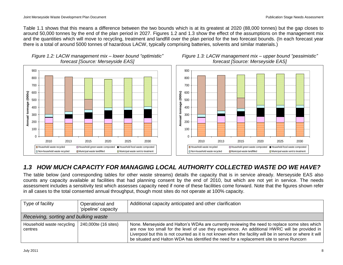Table 1.1 shows that this means a difference between the two bounds which is at its greatest at 2020 (88,000 tonnes) but the gap closes to around 50,000 tonnes by the end of the plan period in 2027. Figures 1.2 and 1.3 show the effect of the assumptions on the management mix and the quantities which will move to recycling, treatment and landfill over the plan period for the two forecast bounds. (In each forecast year there is a total of around 5000 tonnes of hazardous LACW, typically comprising batteries, solvents and similar materials.)



# *Figure 1.2: LACW management mix – lower bound "optimistic"*

### <span id="page-11-0"></span>*1.3 HOW MUCH CAPACITY FOR MANAGING LOCAL AUTHORITY COLLECTED WASTE DO WE HAVE?*

The table below (and corresponding tables for other waste streams) details the capacity that is in service already. Merseyside EAS also counts any capacity available at facilities that had planning consent by the end of 2010, but which are not yet in service. The needs assessment includes a sensitivity test which assesses capacity need if none of these facilities come forward. Note that the figures shown refer in all cases to the total consented annual throughput, though most sites do not operate at 100% capacity.

| Type of facility                                            | Operational and<br>'pipeline' capacity | Additional capacity anticipated and other clarification                                                                                                                                                                                                                                                                                                                                                       |  |  |  |
|-------------------------------------------------------------|----------------------------------------|---------------------------------------------------------------------------------------------------------------------------------------------------------------------------------------------------------------------------------------------------------------------------------------------------------------------------------------------------------------------------------------------------------------|--|--|--|
| Receiving, sorting and bulking waste                        |                                        |                                                                                                                                                                                                                                                                                                                                                                                                               |  |  |  |
| Household waste recycling   240,000te (16 sites)<br>centres |                                        | None. Merseyside and Halton's WDAs are currently reviewing the need to replace some sites which<br>are now too small for the level of use they experience. An additional HWRC will be provided in<br>Liverpool but this is not counted as it is not known when the facility will be in service or where it will<br>be situated and Halton WDA has identified the need for a replacement site to serve Runcorn |  |  |  |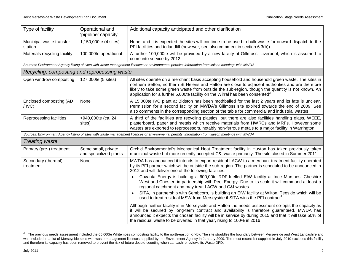| Type of facility                                        | Operational and<br>'pipeline' capacity        | Additional capacity anticipated and other clarification                                                                                                                                                                                                                                                                                                                                                  |  |  |
|---------------------------------------------------------|-----------------------------------------------|----------------------------------------------------------------------------------------------------------------------------------------------------------------------------------------------------------------------------------------------------------------------------------------------------------------------------------------------------------------------------------------------------------|--|--|
| Municipal waste transfer<br>station                     | 1,150,000te (4 sites)                         | None, and it is expected the sites will continue to be used to bulk waste for onward dispatch to the<br>PFI facilities and to landfill (however, see also comment in section 6.3(b))                                                                                                                                                                                                                     |  |  |
| Materials recycling facility                            | 100,000te operational                         | A further 100,000te will be provided by a new facility at Gillmoss, Liverpool, which is assumed to<br>come into service by 2012                                                                                                                                                                                                                                                                          |  |  |
|                                                         |                                               | Sources: Environment Agency listing of sites with waste management licences or environmental permits; information from liaison meetings with MWDA                                                                                                                                                                                                                                                        |  |  |
| Recycling, composting and reprocessing waste            |                                               |                                                                                                                                                                                                                                                                                                                                                                                                          |  |  |
| Open windrow composting<br>127,000te (5 sites)          |                                               | All sites operate on a merchant basis accepting household and household green waste. The sites in<br>northern Sefton, northern St Helens and Halton are close to adjacent authorities and are therefore<br>likely to take some green waste from outside the sub-region, though the quantity is not known. An<br>application for a further 5,000te facility on the Wirral has been consented <sup>3</sup> |  |  |
| Enclosed composting (AD<br>/IVC)                        | None                                          | A 15,000te IVC plant at Bidston has been mothballed for the last 2 years and its fate is unclear.<br>Permission for a second facility on MWDA's Gillmoss site expired towards the end of 2009. See<br>also comments in the corresponding section of the table for commercial and industrial wastes                                                                                                       |  |  |
| Reprocessing facilities<br>>940,000te (ca. 24<br>sites) |                                               | A third of the facilities are recycling plastics, but there are also facilities handling glass, WEEE,<br>plasterboard, paper and metals which receive materials from HWRCs and MRFs. However some<br>wastes are exported to reprocessors, notably non-ferrous metals to a major facility in Warrington                                                                                                   |  |  |
|                                                         |                                               | Sources: Environment Agency listing of sites with waste management licences or environmental permits; information from liaison meetings with MWDA                                                                                                                                                                                                                                                        |  |  |
| <b>Treating waste</b>                                   |                                               |                                                                                                                                                                                                                                                                                                                                                                                                          |  |  |
| Primary (pre-) treatment                                | Some small, private<br>and specialized plants | Orchid Environmental's Mechanical Heat Treatment facility in Huyton has taken previously taken<br>municipal waste but more recently accepted C&I waste primarily. The site closed in Summer 2011.                                                                                                                                                                                                        |  |  |
| Secondary (thermal)<br>treatment                        | None                                          | MWDA has announced it intends to export residual LACW to a merchant treatment facility operated<br>by its PFI partner which will be outside the sub-region. The partner is scheduled to be announced in<br>2012 and will deliver one of the following facilities:                                                                                                                                        |  |  |
|                                                         |                                               | Covanta Energy is building a 600,00te RDF-fuelled EfW facility at Ince Marshes, Cheshire<br>$\bullet$<br>West and Chester, in partnership with Peel Energy. Due to its scale it will command at least a<br>regional catchment and may treat LACW and C&I wastes                                                                                                                                          |  |  |
|                                                         |                                               | SITA, in partnership with Sembcorp, is building an EfW facility at Wilton, Teeside which will be<br>$\bullet$<br>used to treat residual MSW from Merseyside if SITA wins the PFI contract <sup>4</sup>                                                                                                                                                                                                   |  |  |
|                                                         |                                               | Although neither facility is in Merseyside and Halton the needs assessment co-opts the capacity as<br>it will be secured by long-term contract and availability is therefore guaranteed. MWDA has<br>announced it expects the chosen facility will be in service by during 2015 and that it will take 50% of<br>the residual waste to be diverted in that year, rising to 100% in 2016                   |  |  |

 3 The previous needs assessment included the 65,000te Whitemoss composting facility to the north-east of Kirkby. The site straddles the boundary between Merseyside and West Lancashire and was included in a list of Merseyside sites with waste management licences supplied by the Environment Agency in January 2009. The most recent list supplied in July 2010 excludes this facility and therefore its capacity has been removed to prevent the risk of future double-counting when Lancashire reviews its Waste DPD.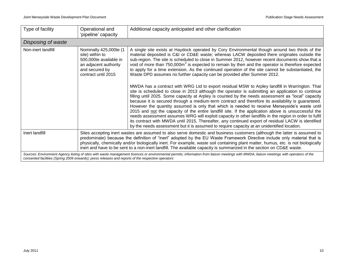| Type of facility                                                                                                                                                                                                                                                                                | Operational and<br>'pipeline' capacity                                                                                                                                                                                                                                                                                                                                                                                                                                                                               | Additional capacity anticipated and other clarification                                                                                                                                                                                                                                                                                                                                                                                                                                                                                                                                                                                                                                                                                                                                                                                                                                                                                                                                                                                                                                                                                                                                                                                                                                                                                  |  |  |  |  |
|-------------------------------------------------------------------------------------------------------------------------------------------------------------------------------------------------------------------------------------------------------------------------------------------------|----------------------------------------------------------------------------------------------------------------------------------------------------------------------------------------------------------------------------------------------------------------------------------------------------------------------------------------------------------------------------------------------------------------------------------------------------------------------------------------------------------------------|------------------------------------------------------------------------------------------------------------------------------------------------------------------------------------------------------------------------------------------------------------------------------------------------------------------------------------------------------------------------------------------------------------------------------------------------------------------------------------------------------------------------------------------------------------------------------------------------------------------------------------------------------------------------------------------------------------------------------------------------------------------------------------------------------------------------------------------------------------------------------------------------------------------------------------------------------------------------------------------------------------------------------------------------------------------------------------------------------------------------------------------------------------------------------------------------------------------------------------------------------------------------------------------------------------------------------------------|--|--|--|--|
| Disposing of waste                                                                                                                                                                                                                                                                              |                                                                                                                                                                                                                                                                                                                                                                                                                                                                                                                      |                                                                                                                                                                                                                                                                                                                                                                                                                                                                                                                                                                                                                                                                                                                                                                                                                                                                                                                                                                                                                                                                                                                                                                                                                                                                                                                                          |  |  |  |  |
| Non-inert landfill                                                                                                                                                                                                                                                                              | Nominally 425,000te (1<br>site) within to<br>500,000te available in<br>an adjacent authority<br>and secured by<br>contract until 2015                                                                                                                                                                                                                                                                                                                                                                                | A single site exists at Haydock operated by Cory Environmental though around two thirds of the<br>material deposited is C&I or CD&E waste; whereas LACW deposited there originates outside the<br>sub-region. The site is scheduled to close in Summer 2012, however recent documents show that a<br>void of more than 750,000m <sup>3</sup> is expected to remain by then and the operator is therefore expected<br>to apply for a time extension. As the continued operation of the site cannot be substantiated, the<br>Waste DPD assumes no further capacity can be provided after Summer 2012.<br>MWDA has a contract with WRG Ltd to export residual MSW to Arpley landfill in Warrington. That<br>site is scheduled to close in 2013 although the operator is submitting an application to continue<br>filling until 2025. Some capacity at Arpley is counted by the needs assessment as "local" capacity<br>because it is secured through a medium-term contract and therefore its availability is guaranteed.<br>However the quantity assumed is only that which is needed to receive Merseyside's waste until<br>2015 and not the capacity of the entire landfill site. If the application above is unsuccessful the<br>needs assessment assumes WRG will exploit capacity in other landfills in the region in order to fulfil |  |  |  |  |
|                                                                                                                                                                                                                                                                                                 | its contract with MWDA until 2015, Thereafter, any continued export of residual LACW is identified<br>by the needs assessment but it is assumed to require capacity at an unidentified location.                                                                                                                                                                                                                                                                                                                     |                                                                                                                                                                                                                                                                                                                                                                                                                                                                                                                                                                                                                                                                                                                                                                                                                                                                                                                                                                                                                                                                                                                                                                                                                                                                                                                                          |  |  |  |  |
| Inert landfill                                                                                                                                                                                                                                                                                  | Sites accepting inert wastes are assumed to also serve domestic and business customers (although the latter is assumed to<br>predominate) because the definition of "inert" adopted by the EU Waste Framework Directive include only material that is<br>physically, chemically and/or biologically inert. For example, waste soil containing plant matter, humus, etc. is not biologically<br>inert and have to be sent to a non-inert landfill. The available capacity is summarized in the section on CD&E waste. |                                                                                                                                                                                                                                                                                                                                                                                                                                                                                                                                                                                                                                                                                                                                                                                                                                                                                                                                                                                                                                                                                                                                                                                                                                                                                                                                          |  |  |  |  |
| Sources: Environment Agency listing of sites with waste management licences or environmental permits; information from liaison meetings with MWDA; liaison meetings with operators of the<br>consented facilities (Spring 2009 onwards); press releases and reports of the respective operators |                                                                                                                                                                                                                                                                                                                                                                                                                                                                                                                      |                                                                                                                                                                                                                                                                                                                                                                                                                                                                                                                                                                                                                                                                                                                                                                                                                                                                                                                                                                                                                                                                                                                                                                                                                                                                                                                                          |  |  |  |  |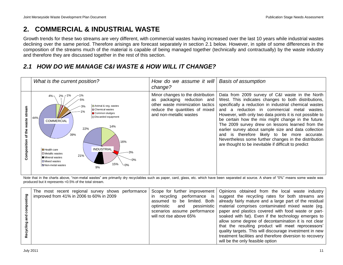## <span id="page-14-0"></span>**2. COMMERCIAL & INDUSTRIAL WASTE**

Growth trends for these two streams are very different, with commercial wastes having increased over the last 10 years while industrial wastes declining over the same period. Therefore arisings are forecast separately in section 2.1 below. However, in spite of some differences in the composition of the streams much of the material is capable of being managed together (technically and contractually) by the waste industry and therefore they are discussed together in the rest of this section.

### <span id="page-14-1"></span>*2.1 HOW DO WE MANAGE C&I WASTE & HOW WILL IT CHANGE?*



Note that in the charts above, "non-metal wastes" are primarily dry recyclables such as paper, card, glass, etc. which have been separated at source. A share of "0%" means some waste was produced but it represents <0.5% of the total stream.

| ဥ | The most recent regional survey shows performance<br>improved from 41% in 2006 to 60% in 2009 | recycling performance is<br>-in<br>be limited. Both<br>assumed to<br>pessimistic<br>optimistic<br>and<br>scenarios assume performance<br>will not rise above 65% | Scope for further improvement   Opinions obtained from the local waste industry<br>suggest the recycling rates for both streams are<br>already fairly mature and a large part of the residual<br>material comprises contaminated mixed waste (eg.<br>paper and plastics covered with food waste or part-<br>soaked with fat). Even if the technology emerges to<br>allow some degree of decontamination it is not clear<br>that the resulting product will meet reprocessors'<br>quality targets. This will discourage investment in new<br>treatment facilities and therefore diversion to recovery<br>will be the only feasible option |
|---|-----------------------------------------------------------------------------------------------|------------------------------------------------------------------------------------------------------------------------------------------------------------------|------------------------------------------------------------------------------------------------------------------------------------------------------------------------------------------------------------------------------------------------------------------------------------------------------------------------------------------------------------------------------------------------------------------------------------------------------------------------------------------------------------------------------------------------------------------------------------------------------------------------------------------|
|---|-----------------------------------------------------------------------------------------------|------------------------------------------------------------------------------------------------------------------------------------------------------------------|------------------------------------------------------------------------------------------------------------------------------------------------------------------------------------------------------------------------------------------------------------------------------------------------------------------------------------------------------------------------------------------------------------------------------------------------------------------------------------------------------------------------------------------------------------------------------------------------------------------------------------------|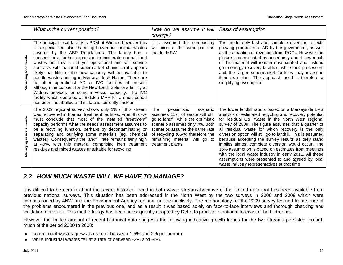|                            | What is the current position?                                                                                                                                                                                                                                                                                                                                                                                                                                                                                                                                                                                                                                                                                                                                                                   | How do we assume it will<br>change?                                                                                                                                                                                                                                   | <b>Basis of assumption</b>                                                                                                                                                                                                                                                                                                                                                                                                                                                                                                                                                                                                                                                      |
|----------------------------|-------------------------------------------------------------------------------------------------------------------------------------------------------------------------------------------------------------------------------------------------------------------------------------------------------------------------------------------------------------------------------------------------------------------------------------------------------------------------------------------------------------------------------------------------------------------------------------------------------------------------------------------------------------------------------------------------------------------------------------------------------------------------------------------------|-----------------------------------------------------------------------------------------------------------------------------------------------------------------------------------------------------------------------------------------------------------------------|---------------------------------------------------------------------------------------------------------------------------------------------------------------------------------------------------------------------------------------------------------------------------------------------------------------------------------------------------------------------------------------------------------------------------------------------------------------------------------------------------------------------------------------------------------------------------------------------------------------------------------------------------------------------------------|
| waste<br>Managing food     | The principal local facility is PDM at Widnes however this<br>is a specialized plant handling hazardous animal wastes<br>covered by the ABP Regulations. The facility has a<br>consent for a further expansion to incinerate normal food<br>wastes but this is not yet operational and will service<br>contracts with national supermarket chains so it appears<br>likely that little of the new capacity will be available to<br>handle wastes arising in Merseyside & Halton. There are<br>no other operational AD or IVC facilities at present<br>although the consent for the New Earth Solutions facility at<br>Widnes provides for some in-vessel capacity. The IVC<br>facility which operated at Bidston MRF for a short period<br>has been mothballed and its fate is currently unclear | It is assumed this composting<br>will occur at the same pace as<br>that for MSW                                                                                                                                                                                       | The moderately fast and complete diversion reflects<br>growing promotion of AD by the government, as well<br>as the attraction of revenues from ROCs. However the<br>picture is complicated by uncertainty about how much<br>of this material will remain unseparated and instead<br>go to energy recovery facilities, while food processors<br>and the larger supermarket facilities may invest in<br>their own plant. The approach used is therefore a<br>simplifying assumption                                                                                                                                                                                              |
| waste<br>Managing residual | The 2009 regional survey shows only 1% of this stream<br>was recovered in thermal treatment facilities. From this we<br>must conclude that most of the installed "treatment"<br>capacity performs what the needs assessment assumes to<br>be a recycling function, perhaps by decontaminating or<br>separating and purifying some materials (eg, chemical<br>wastes). Consequently the landfill rate remains fairly high<br>at 40%, with this material comprising inert treatment<br>residues and mixed wastes unsuitable for recycling                                                                                                                                                                                                                                                         | The<br>pessimistic<br>scenario<br>assumes 15% of waste will still<br>go to landfill while the optimistic<br>scenario assumes only 7%. Both<br>scenarios assume the same rate<br>of recycling (65%) therefore the<br>remaining material will go to<br>treatment plants | The lower landfill rate is based on a Merseyside EAS<br>analysis of estimated recycling and recovery potential<br>for residual C&I waste in the North West regional<br>survey of 2009. The figure assumes that a quarter of<br>all residual waste for which recovery is the only<br>diversion option will still go to landfill. This is assumed<br>because accepting the survey results as they stand<br>implies almost complete diversion would occur. The<br>15% assumption is based on estimates from meetings<br>with the local waste industry in early 2011. All these<br>assumptions were presented to and agreed by local<br>waste industry representatives at that time |

### <span id="page-15-0"></span>*2.2 HOW MUCH WASTE WILL WE HAVE TO MANAGE?*

It is difficult to be certain about the recent historical trend in both waste streams because of the limited data that has been available from previous national surveys. This situation has been addressed in the North West by the two surveys in 2006 and 2009 which were commissioned by 4NW and the Environment Agency regional unit respectively. The methodology for the 2009 survey learned from some of the problems encountered in the previous one, and as a result it was based solely on face-to-face interviews and thorough checking and validation of results. This methodology has been subsequently adopted by Defra to produce a national forecast of both streams.

However the limited amount of recent historical data suggests the following indicative growth trends for the two streams persisted through much of the period 2000 to 2008:

- commercial wastes grew at a rate of between 1.5% and 2% per annum
- while industrial wastes fell at a rate of between -2% and -4%. $\bullet$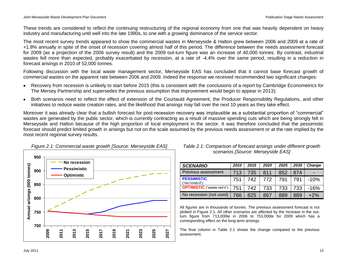These trends are considered to reflect the continuing restructuring of the regional economy from one that was heavily dependent on heavy industry and manufacturing until well into the late 1980s, to one with a growing dominance of the service sector.

The most recent survey trends appeared to show the commercial wastes in Merseyside & Halton grew between 2006 and 2009 at a rate of +1.8% annually in spite of the onset of recession covering almost half of this period. The difference between the needs assessment forecast for 2009 (as a projection of the 2006 survey result) and the 2009 out-turn figure was an increase of 40,000 tonnes. By contrast, industrial wastes fell more than expected, probably exacerbated by recession, at a rate of -4.4% over the same period, resulting in a reduction in forecast arisings in 2010 of 52,000 tonnes.

Following discussion with the local waste management sector, Merseyside EAS has concluded that it cannot base forecast growth of commercial wastes on the apparent rate between 2006 and 2009. Indeed the response we received recommended two significant changes:

- Recovery from recession is unlikely to start before 2015 (this is consistent with the conclusions of a report by Cambridge Econometrics for The Mersey Partnership and supersedes the previous assumption that improvement would begin to appear in 2013);
- Both scenarios need to reflect the effect of extension of the Courtauld Agreement, the Producer Responsibility Regulations, and other initiatives to reduce waste creation rates, and the likelihood that arisings may fall over the next 10 years as they take effect.

Moreover it was already clear that a bullish forecast for post-recession recovery was implausible as a substantial proportion of "commercial" wastes are generated by the public sector, which is currently contracting as a result of massive spending cuts which are being strongly felt in Merseyside and Halton because of the high proportion of local employment in the sector. It was therefore concluded that the pessimistic forecast should predict limited growth in arisings but not on the scale assumed by the previous needs assessment or at the rate implied by the most recent regional survey results.



### *Figure 2.1: Commercial waste growth [Source: Merseyside EAS]*

### *Table 2.1: Comparison of forecast arisings under different growth scenarios [Source: Merseyside EAS]*

| <b>SCENARIO</b>                       | 2010 | 2015 | 2020 | 2025 | 2030 | <b>Change</b> |
|---------------------------------------|------|------|------|------|------|---------------|
| Previous assessment                   | 713  | 735  | 811  | 852  | 874  |               |
| <b>PESSIMISTIC</b><br>("rec'n/reb'd") | 751  | 742  | 772  | 791  |      | $-10%$        |
| <b>OPTIMISTIC</b> ("waste red'n")     | 751  | 742  | 733  | 733  | 733  | $-16%$        |
| No recession (not used)               | 766  | 825  | 867  | 889  | 889  | $+2\%$        |

All figures are in thousands of tonnes. The previous assessment forecast is not plotted in Figure 2.1. All other scenarios are affected by the increase in the outturn figure from 713,000te in 2006 to 753,000te for 2009 which has a corresponding effect on the long-term arisings.

The final column in Table 2.1 shows the change compared to the previous assessment.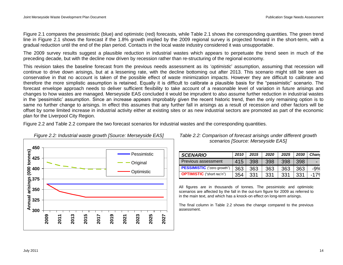Figure 2.1 compares the pessimistic (blue) and optimistic (red) forecasts, while Table 2.1 shows the corresponding quantities. The green trend line in Figure 2.1 shows the forecast if the 1.8% growth implied by the 2009 regional survey is projected forward in the short-term, with a gradual reduction until the end of the plan period. Contacts in the local waste industry considered it was unsupportable.

The 2009 survey results suggest a plausible reduction in industrial wastes which appears to perpetuate the trend seen in much of the preceding decade, but with the decline now driven by recession rather than re-structuring of the regional economy.

This revision takes the baseline forecast from the previous needs assessment as its "*optimistic*" assumption, assuming that recession will continue to drive down arisings, but at a lessening rate, with the decline bottoming out after 2013. This scenario might still be seen as conservative in that no account is taken of the possible effect of waste minimization impacts. However they are difficult to calibrate and therefore the more simplistic assumption is retained. Equally it is difficult to calibrate a plausible basis for the "pessimistic" scenario. The forecast envelope approach needs to deliver sufficient flexibility to take account of a reasonable level of variation in future arisings and changes to how wastes are managed. Merseyside EAS concluded it would be imprudent to also assume further reduction in industrial wastes in the "pessimistic" assumption. Since an increase appears improbably given the recent historic trend, then the only remaining option is to same no further change to arisings. In effect this assumes that any further fall in arisings as a result of recession and other factors will be offset by some limited increase in industrial activity either at existing sites or as new industrial sectors are promoted as part of the economic plan for the Liverpool City Region.

Figure 2.2 and Table 2.2 compare the two forecast scenarios for industrial wastes and the corresponding quantities.



### *Figure 2.2: Industrial waste growth [Source: Merseyside EAS]*

#### *Table 2.2: Comparison of forecast arisings under different growth scenarios [Source: Merseyside EAS]*

| <b>SCENARIO</b>                    | 2010 | 2015 | 2020 | 2025 | 2030 | <b>Chan</b> |
|------------------------------------|------|------|------|------|------|-------------|
| Previous assessment                | 415  | 398  | 398  | 398  | 398  |             |
| <b>PESSIMISTIC</b> ("zero growth") | 363  | 363  | 363  | 363  | 363  | -9%         |
| <b>OPTIMISTIC</b> ("short rec'n")  | 354  | 331  | 331  | -331 | 331  | $-17°$      |

All figures are in thousands of tonnes. The pessimistic and optimistic scenarios are affected by the fall in the out-turn figure for 2009 as referred to in the main text, and which has a knock-on effect on long-term arisings.

The final column in Table 2.2 shows the change compared to the previous assessment.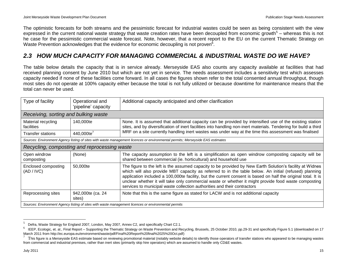The optimistic forecasts for both streams and the pessimistic forecast for industrial wastes could be seen as being consistent with the view expressed in the current national waste strategy that waste creation rates have been decoupled from economic growth<sup>5</sup> – whereas this is not he case for the pessimistic commercial waste forecast. Note, however, that a recent report to the EU on the current Thematic Strategy on Waste Prevention acknowledges that the evidence for economic decoupling is not proven<sup>6</sup>.

### <span id="page-18-0"></span>*2.3 HOW MUCH CAPACITY FOR MANAGING COMMERCIAL & INDUSTRIAL WASTE DO WE HAVE?*

The table below details the capacity that is in service already. Merseyside EAS also counts any capacity available at facilities that had received planning consent by June 2010 but which are not yet in service. The needs assessment includes a sensitivity test which assesses capacity needed if none of these facilities come forward. In all cases the figures shown refer to the total consented annual throughput, though most sites do not operate at 100% capacity either because the total is not fully utilized or because downtime for maintenance means that the total can never be used.

| Type of facility                                                                                                          | Operational and<br>'pipeline' capacity       | Additional capacity anticipated and other clarification                                                                                                                                                                                                                                                                                                                                                                                    |  |  |
|---------------------------------------------------------------------------------------------------------------------------|----------------------------------------------|--------------------------------------------------------------------------------------------------------------------------------------------------------------------------------------------------------------------------------------------------------------------------------------------------------------------------------------------------------------------------------------------------------------------------------------------|--|--|
| Receiving, sorting and bulking waste                                                                                      |                                              |                                                                                                                                                                                                                                                                                                                                                                                                                                            |  |  |
| Material recycling<br>facilities                                                                                          | 140,000te                                    | None. It is assumed that additional capacity can be provided by intensified use of the existing station<br>sites, and by diversification of inert facilities into handling non-inert materials. Tendering for build a third                                                                                                                                                                                                                |  |  |
| Transfer stations                                                                                                         | 440,000te <sup>7</sup>                       | MRF on a site currently handling inert wastes was under way at the time this assessment was finalised                                                                                                                                                                                                                                                                                                                                      |  |  |
|                                                                                                                           |                                              | Sources: Environment Agency listing of sites with waste management licences or environmental permits; Merseyside EAS estimates                                                                                                                                                                                                                                                                                                             |  |  |
|                                                                                                                           | Recycling, composting and reprocessing waste |                                                                                                                                                                                                                                                                                                                                                                                                                                            |  |  |
| Open windrow<br>composting                                                                                                | (None)                                       | The capacity assumption to the left is a simplification as open windrow composting capacity will be<br>shared between commercial (ie. horticultural) and household use                                                                                                                                                                                                                                                                     |  |  |
| 50,000te<br>Enclosed composting<br>(AD / IVC)<br>services to municipal waste collection authorities and their contractors |                                              | The figure to the left is the assumed capacity to be provided by New Earth Solution's facility at Widnes<br>which will also provide MBT capacity as referred to in the table below. An initial (refused) planning<br>application included a 100,000te facility, but the current consent is based on half the original total. It is<br>unclear whether it will take only commercial waste or whether it might provide food waste composting |  |  |
| Reprocessing sites                                                                                                        | 942,000te (ca. 24<br>sites)                  | Note that this is the same figure as stated for LACW and is not additional capacity                                                                                                                                                                                                                                                                                                                                                        |  |  |
| Sources: Environment Agency listing of sites with waste management licences or environmental permits                      |                                              |                                                                                                                                                                                                                                                                                                                                                                                                                                            |  |  |

<sup>5</sup> Defra, Waste Strategy for England 2007, London, May 2007, Annex C2, and specifically Chart C2.1.

<sup>6</sup> IEEP, Ecologic, et. al., Final Report – Supporting the Thematic Strategy on Waste Prevention and Recycling, Brussels, 25 October 2010, pp.29-31 and specifically Figure 5.1 (downloaded on 17 March 2011 from http://ec.europa.eu/environment/waste/pdf/Final%20Report%20final%2025%20Oct.pdf)

<sup>7</sup> This figure is a Merseyside EAS estimate based on reviewing promotional material (notably website details) to identify those operators of transfer stations who appeared to be managing wastes from commercial and industrial premises, rather than inert sites (primarily skip hire operators) which are assumed to handle only CD&E wastes.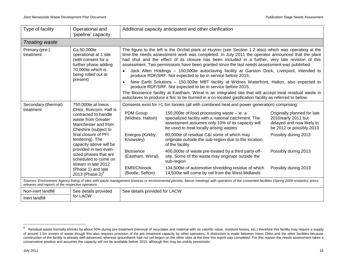| Type of facility                                                                                                                                                                                                                                   | Operational and<br>'pipeline' capacity                                                                                                                                                                                                                                                                                                                          | Additional capacity anticipated and other clarification                                                                                                                                                                                                                                                                                                                                                                                                                                                                                                                                                                                                                                                                                                                |                                                                                                                                                                                                                                                                                                                                                                                                                                                                                                                                                                                                                                                                 |                                                                                                                                                                                     |  |  |  |
|----------------------------------------------------------------------------------------------------------------------------------------------------------------------------------------------------------------------------------------------------|-----------------------------------------------------------------------------------------------------------------------------------------------------------------------------------------------------------------------------------------------------------------------------------------------------------------------------------------------------------------|------------------------------------------------------------------------------------------------------------------------------------------------------------------------------------------------------------------------------------------------------------------------------------------------------------------------------------------------------------------------------------------------------------------------------------------------------------------------------------------------------------------------------------------------------------------------------------------------------------------------------------------------------------------------------------------------------------------------------------------------------------------------|-----------------------------------------------------------------------------------------------------------------------------------------------------------------------------------------------------------------------------------------------------------------------------------------------------------------------------------------------------------------------------------------------------------------------------------------------------------------------------------------------------------------------------------------------------------------------------------------------------------------------------------------------------------------|-------------------------------------------------------------------------------------------------------------------------------------------------------------------------------------|--|--|--|
| <b>Treating waste</b>                                                                                                                                                                                                                              |                                                                                                                                                                                                                                                                                                                                                                 |                                                                                                                                                                                                                                                                                                                                                                                                                                                                                                                                                                                                                                                                                                                                                                        |                                                                                                                                                                                                                                                                                                                                                                                                                                                                                                                                                                                                                                                                 |                                                                                                                                                                                     |  |  |  |
| Primary (pre-)<br>treatment                                                                                                                                                                                                                        | Ca.50,000te<br>operational at 1 site<br>(with consent for a<br>further phase adding<br>70,000te which is<br>being rolled out at<br>present)                                                                                                                                                                                                                     | The figure to the left is the Orchid plant at Huyton (see Section 1.2 also) which was operating at the<br>time the needs assessment work was completed. In July 2011 the operator announced that the plant<br>had shut and the effect of its closure has been included in a further, very late revision of this<br>assessment. Two permissions have been granted since the last needs assessment was published:<br>Jack Allen Holdings - 150,000te autoclaving facility at Garston Dock, Liverpool, intended to<br>$\bullet$<br>produce RDF/SRF. Not expected to be in service before 2015;<br>New Earth Solutions – 150,000te MBT facility at Widnes Waterfront, Halton, also expected to<br>$\bullet$<br>produce RDF/SRF. Not expected to be in service before 2015. |                                                                                                                                                                                                                                                                                                                                                                                                                                                                                                                                                                                                                                                                 |                                                                                                                                                                                     |  |  |  |
|                                                                                                                                                                                                                                                    |                                                                                                                                                                                                                                                                                                                                                                 | The Bioosence facility at Eastham, Wirral is an integrated site that will accept treat residual waste in<br>autoclaves to produce a floc to be burned in a co-located gasification facility as referred to below.                                                                                                                                                                                                                                                                                                                                                                                                                                                                                                                                                      |                                                                                                                                                                                                                                                                                                                                                                                                                                                                                                                                                                                                                                                                 |                                                                                                                                                                                     |  |  |  |
| Secondary (thermal)<br>treatment                                                                                                                                                                                                                   | 750,000te at lneos<br>Chlor, Runcorn. Half is<br>contracted to handle<br>waste from Greater<br>Manchester and from<br>Cheshire (subject to<br>final closure of PFI<br>tendering). The<br>capacity above will be<br>provided in two even-<br>sized phases that are<br>scheduled to come on<br>stream in late 2012<br>(Phase 1) and late<br>2013 (Phase 2) $^{8}$ | PDM Group<br>(Widnes, Halton)<br>Energos (Kirkby,<br>Knowsley)<br><b>Biossence</b><br>(Eastham, Wirral)<br><b>EMR/Chinook</b><br>(Bootle, Sefton)                                                                                                                                                                                                                                                                                                                                                                                                                                                                                                                                                                                                                      | Consents exist for >1.5m tonnes (all with combined heat and power generation) comprising:<br>150,000 te of food processing waste $-$ ie. a<br>specialized facility with a national catchment. The<br>assessment assumes only 10% of its capacity will<br>be used to treat locally arising wastes<br>80,000te of residual C&I some of which may<br>originate outside the sub-region due to the location<br>of the facility<br>400,000te of waste pre-treated by a third party off-<br>site. Some of the waste may originate outside the<br>sub-region<br>134,500te of automotive shredding residue of which<br>14,500te will come by rail from the West Midlands | Originally planned for late<br>2010/early 2011 but<br>delayed and now likely to<br>be 2012 or possibly 2013<br>Possibly during 2013<br>Possibly during 2013<br>Possibly during 2013 |  |  |  |
| Sources: Environment Agency listing of sites with waste management licences or environmental permits; liaison meetings with operators of the consented facilities (Spring 2009 onwards); press<br>releases and reports of the respective operators |                                                                                                                                                                                                                                                                                                                                                                 |                                                                                                                                                                                                                                                                                                                                                                                                                                                                                                                                                                                                                                                                                                                                                                        |                                                                                                                                                                                                                                                                                                                                                                                                                                                                                                                                                                                                                                                                 |                                                                                                                                                                                     |  |  |  |
| Non-inert landfill<br>Inert landfill                                                                                                                                                                                                               | See details provided<br>for LACW                                                                                                                                                                                                                                                                                                                                | See details provided for LACW                                                                                                                                                                                                                                                                                                                                                                                                                                                                                                                                                                                                                                                                                                                                          |                                                                                                                                                                                                                                                                                                                                                                                                                                                                                                                                                                                                                                                                 |                                                                                                                                                                                     |  |  |  |

 8 Residual waste normally shrinks by about 50% during pre-treatment (removal of recyclates and material with no calorific value, moisture losses, etc.) therefore this facility may require a supply of around 1.5m tonnes of waste though this also requires provision of the pre-treatment capacity by other operators. A distinction is made between Ineos Chlor and the other facilities because construction of the facility is already well-advanced, whereas groundwork had not yet begun on the other sites at the time this report was completed. For this reason the needs assessment takes a construction of the facilit conservative position and assumes the capacity will not be available before 2015, although this may be unduly pessimistic.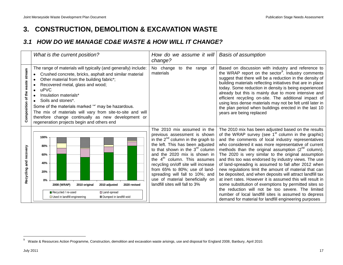## <span id="page-20-0"></span>**3. CONSTRUCTION, DEMOLITION & EXCAVATION WASTE**

### <span id="page-20-1"></span>*3.1 HOW DO WE MANAGE CD&E WASTE & HOW WILL IT CHANGE?*

|                                 | What is the current position?                                                                                                                                                                                                                                                                                                                                                                                                                                                           | How do we assume it will<br>change?                                                                                                                                                                                                                                                                                                                                                                                              | <b>Basis of assumption</b>                                                                                                                                                                                                                                                                                                                                                                                                                                                                                                                                                                                                                                                                                                                                                                                                                                                    |
|---------------------------------|-----------------------------------------------------------------------------------------------------------------------------------------------------------------------------------------------------------------------------------------------------------------------------------------------------------------------------------------------------------------------------------------------------------------------------------------------------------------------------------------|----------------------------------------------------------------------------------------------------------------------------------------------------------------------------------------------------------------------------------------------------------------------------------------------------------------------------------------------------------------------------------------------------------------------------------|-------------------------------------------------------------------------------------------------------------------------------------------------------------------------------------------------------------------------------------------------------------------------------------------------------------------------------------------------------------------------------------------------------------------------------------------------------------------------------------------------------------------------------------------------------------------------------------------------------------------------------------------------------------------------------------------------------------------------------------------------------------------------------------------------------------------------------------------------------------------------------|
| Composition of the waste stream | The range of materials will typically (and generally) include:<br>Crushed concrete, bricks, asphalt and similar material<br>Other material from the building fabric*;<br>Recovered metal, glass and wood;<br>uPVC<br>Insulation materials*<br>Soils and stones*.<br>Some of the materials marked "*" may be hazardous.<br>The mix of materials will vary from site-to-site and will<br>therefore change continually as new development or<br>regeneration projects begin and others end | No change<br>the range of<br>to<br>materials                                                                                                                                                                                                                                                                                                                                                                                     | Based on discussion with industry and reference to<br>the WRAP report on the sector <sup>9</sup> . Industry comments<br>suggest that there will be a reduction in the density of<br>building materials reflecting initiatives that are in place<br>today. Some reduction in density is being experienced<br>already but this is mainly due to more intensive and<br>efficient recycling on-site. The additional impact of<br>using less dense materials may not be felt until later in<br>the plan period when buildings erected in the last 10<br>years are being replaced                                                                                                                                                                                                                                                                                                   |
| and recovery<br>Recycling       | 100%<br>80%<br>60%<br>40%<br>20%<br>0%<br>2008 (WRAP)<br>2020 revised<br>2010 original<br>2010 adjusted<br>Recycled / re-used<br><b>Z</b> Land-spread<br>□ Used in landfill engineering<br><b>89 Dumped in landfill void</b>                                                                                                                                                                                                                                                            | The 2010 mix assumed in the<br>previous assessment is shown<br>in the $2^{nd}$ column in the graph to<br>the left. This has been adjusted<br>to that shown in the $3rd$ column<br>and the 2020 mix is shown in<br>the $4th$ column. This assumes<br>recycling on/off site will increase<br>from 65% to 80%; use of land-<br>spreading will fall to 10%; and<br>use of material beneficially on<br>landfill sites will fall to 3% | The 2010 mix has been adjusted based on the results<br>of the WRAP survey (see $1st$ column in the graphic)<br>and the comments of local industry representatives<br>who considered it was more representative of current<br>methods than the original assumption $(2^{nd}$ column).<br>The 2020 is very similar to the original assumption<br>and this too was endorsed by industry views. The use<br>of land-spreading is assumed to fall after 2012 when<br>new regulations limit the amount of material that can<br>be deposited, and when deposits will attract landfill tax<br>at inert rates. However it is assumed this will result in<br>some substitution of exemptions by permitted sites so<br>the reduction will not be too severe. The limited<br>number of local landfill sites is assumed to depress<br>demand for material for landfill engineering purposes |

waste & Resources Action Programme, Construction, demolition and excavation waste arisings, use and disposal for England 2008, Banbury, April 2010.<br><sup>9</sup> Waste & Resources Action Programme, Construction, demolition and excav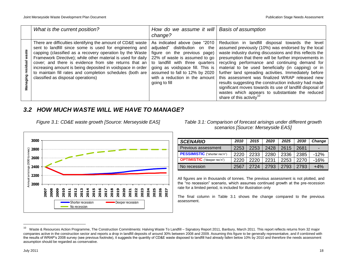| What is the current position?                                                                                                                                                                                                                                                                                                                                                                                                                                                 | How do we assume it will   Basis of assumption<br>change?                                                                                                                                                                                                                                       |                                                                                                                                                                                                                                                                                                                                                                                                                                                                                                                                                                                                                                                                     |
|-------------------------------------------------------------------------------------------------------------------------------------------------------------------------------------------------------------------------------------------------------------------------------------------------------------------------------------------------------------------------------------------------------------------------------------------------------------------------------|-------------------------------------------------------------------------------------------------------------------------------------------------------------------------------------------------------------------------------------------------------------------------------------------------|---------------------------------------------------------------------------------------------------------------------------------------------------------------------------------------------------------------------------------------------------------------------------------------------------------------------------------------------------------------------------------------------------------------------------------------------------------------------------------------------------------------------------------------------------------------------------------------------------------------------------------------------------------------------|
| There are difficulties identifying the amount of CD&E waste<br>sent to landfill since some is used for engineering and<br>capping (classified as a recovery operation by the Waste<br>Framework Directive); while other material is used for daily<br>cover; and there is evidence from site returns that an<br>increasing amount is being deposited in voidspace in order<br>to maintain fill rates and completion schedules (both are<br>classified as disposal operations) | As indicated above (see "2010"<br>distribution on the<br>adjusted"<br>figure on the previous page)<br>22% of waste is assumed to go<br>to landfill with three quarters<br>going as voidspace fill. This is<br>assumed to fall to 12% by 2020<br>with a reduction in the amount<br>going to fill | Reduction in landfill disposal towards the level<br>assumed previously (10%) was endorsed by the local<br>waste industry during discussions and this reflects the<br>presumption that there will be further improvements in<br>recycling performance and continuing demand for<br>material to be used beneficially (in capping) or in<br>further land spreading activities. Immediately before<br>this assessment was finalized WRAP released new<br>results suggesting the construction industry had made<br>significant moves towards its use of landfill disposal of<br>wastes which appears to substantiate the reduced<br>share of this activity <sup>10</sup> |

### <span id="page-21-0"></span>*3.2 HOW MUCH WASTE WILL WE HAVE TO MANAGE?*





### *Table 3.1: Comparison of forecast arisings under different growth scenarios [Source: Merseyside EAS]*

| <b>SCENARIO</b>                      | 2010 | 2015 | 2020 | 2025 | 2030 | Change |
|--------------------------------------|------|------|------|------|------|--------|
| Previous assessment                  | 2253 | 2253 | 2428 | 2615 | 2681 | -      |
| <b>PESSIMISTIC</b> ("shorter rec'n") | 2220 | 2233 | 2280 | 2336 | 2385 | $-12%$ |
| <b>OPTIMISTIC</b> ("deeper rec'n")   | 2220 | 2220 | 2231 | 2253 | 2270 | $-16%$ |
| No recession                         | 2567 | 2724 | 2793 | 2793 | 2793 | $+4%$  |

All figures are in thousands of tonnes. The previous assessment is not plotted, and the "no recession" scenario, which assumes continued growth at the pre-recession rate for a limited period, is included for illustration only

The final column in Table 3.1 shows the change compared to the previous assessment.

<sup>10</sup> Waste & Resources Action Programme, The Construction Commitments: Halving Waste To Landfill – Signatory Report 2011, Banbury, March 2011. This report reflects returns from 32 major companies active in the construction sector and reports a drop in landfill deposits of around 30% between 2008 and 2009. Assuming this figure to be generally representative, and if combined with the results of WRAP"s 2008 survey (see previous footnote), it suggests the quantity of CD&E waste disposed to landfill had already fallen below 10% by 2010 and therefore the needs assessment assumption should be regarded as conservative.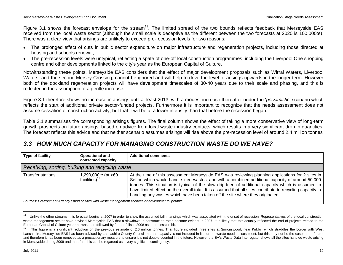Figure 3.1 shows the forecast envelope for the stream<sup>11</sup>. The limited spread of the two bounds reflects feedback that Merseyside EAS received from the local waste sector (although the small scale is deceptive as the different between the two forecasts at 2020 is 100,000te). There was a clear view that arisings are unlikely to exceed pre-recession levels for two reasons:

- The prolonged effect of cuts in public sector expenditure on major infrastructure and regeneration projects, including those directed at housing and schools renewal;
- The pre-recession levels were untypical, reflecting a spate of one-off local construction programmes, including the Liverpool One shopping centre and other developments linked to the city"s year as the European Capital of Culture.

Notwithstanding these points, Merseyside EAS considers that the effect of major development proposals such as Wirral Waters, Liverpool Waters, and the second Mersey Crossing, cannot be ignored and will help to drive the level of arisings upwards in the longer term. However both of the dockland regeneration projects will have development timescales of 30-40 years due to their scale and phasing, and this is reflected in the assumption of a gentle increase.

Figure 3.1 therefore shows no increase in arisings until at least 2013, with a modest increase thereafter under the "*pessimistic*" scenario which reflects the start of additional private sector-funded projects. Furthermore it is important to recognize that the needs assessment does not assume cessation of construction activity, but that it will be at a lower intensity than that before the recession began.

Table 3.1 summarises the corresponding arisings figures. The final column shows the effect of taking a more conservative view of long-term growth prospects on future arisings, based on advice from local waste industry contacts, which results in a very significant drop in quantities. The forecast reflects this advice and that neither scenario assumes arisings will rise above the pre-recession level of around 2.4 million tonnes

### <span id="page-22-0"></span>*3.3 HOW MUCH CAPACITY FOR MANAGING CONSTRUCTION WASTE DO WE HAVE?*

| Type of facility                                                                                     | <b>Operational and</b><br>consented capacity | <b>Additional comments</b>                                                                                                                                                                                                                                                                                                                                                                                                                                                                                |  |  |  |  |
|------------------------------------------------------------------------------------------------------|----------------------------------------------|-----------------------------------------------------------------------------------------------------------------------------------------------------------------------------------------------------------------------------------------------------------------------------------------------------------------------------------------------------------------------------------------------------------------------------------------------------------------------------------------------------------|--|--|--|--|
| Receiving, sorting, bulking and recycling waste                                                      |                                              |                                                                                                                                                                                                                                                                                                                                                                                                                                                                                                           |  |  |  |  |
| <b>Transfer stations</b>                                                                             | 1,290,000te (at >60<br>facilities) $12$      | At the time of this assessment Merseyside EAS was reviewing planning applications for 2 sites in<br>Sefton which would handle inert wastes, and with a combined additional capacity of around 50,000<br>tonnes. This situation is typical of the slow drip-feed of additional capacity which is assumed to<br>have limited effect on the overall total. It is assumed that all sites contribute to recycling capacity in<br>handling any wastes which have been taken off the site where they originated. |  |  |  |  |
| Sources: Environment Agency listing of sites with waste management licences or environmental permits |                                              |                                                                                                                                                                                                                                                                                                                                                                                                                                                                                                           |  |  |  |  |

*Sources: Environment Agency listing of sites with waste management licences or environmental permits*

<sup>11</sup> Unlike the other streams, this forecast begins at 2007 in order to show the assumed fall in arisings which was associated with the onset of recession. Representatives of the local construction waste management sector have advised Merseyside EAS that a slowdown in construction rates became evident in 2007. It is likely that this actually reflected the end of projects related to the European Capital of Culture year and was then followed by further falls in 2008 as the recession bit.

<sup>12</sup> This figure is a significant reduction on the previous estimate of 2.6 million tonnes. That figure included three sites at Simonswood, near Kirkby, which straddles the border with West Lancashire. Merseyside EAS has been advised by Lancashire County Council that the capacity is not included in its current waste needs assessment, but this may not be the case in the future, and therefore it has been removed as a precautionary measure to ensure it is not double-counted in the future. However the EA's Waste Data Interrogator shows all the sites handled waste arising in Merseyside during 2009 and therefore this can be regarded as a very significant contingency.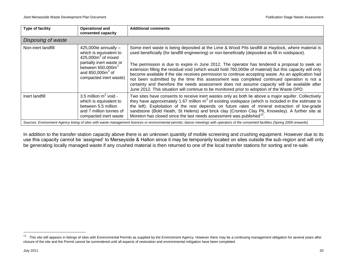| Type of facility   | <b>Operational and</b><br>consented capacity                                                                                                                                | <b>Additional comments</b>                                                                                                                                                                                                                                                                                                                                                                                                                                                                                                                                                                                                                                                                                                                                                                                                |  |  |  |  |
|--------------------|-----------------------------------------------------------------------------------------------------------------------------------------------------------------------------|---------------------------------------------------------------------------------------------------------------------------------------------------------------------------------------------------------------------------------------------------------------------------------------------------------------------------------------------------------------------------------------------------------------------------------------------------------------------------------------------------------------------------------------------------------------------------------------------------------------------------------------------------------------------------------------------------------------------------------------------------------------------------------------------------------------------------|--|--|--|--|
| Disposing of waste |                                                                                                                                                                             |                                                                                                                                                                                                                                                                                                                                                                                                                                                                                                                                                                                                                                                                                                                                                                                                                           |  |  |  |  |
| Non-inert landfill | 425,000te annually $-$<br>which is equivalent to<br>$425,000m3$ of mixed<br>partially inert waste or<br>between $650,000m3$<br>and $850,000m3$ of<br>compacted inert waste) | Some inert waste is being deposited at the Lime & Wood Pits landfill at Haydock, where material is<br>used beneficially (for landfill engineering) or non-beneficially (deposited as fill in voidspace).<br>The permission is due to expire in June 2012. The operator has tendered a proposal to seek an<br>extension filling the residual void (which would hold 760,000te of material) but this capacity will only<br>become available if the site receives permission to continue accepting waste. As an application had<br>not been submitted by the time this assessment was completed continued operation is not a<br>certainty and therefore the needs assessment does not assume capacity will be available after<br>June 2012. This situation will continue to be monitored prior to adoption of the Waste DPD. |  |  |  |  |
| Inert landfill     | 3.5 million $m^3$ void -<br>which is equivalent to<br>between 5.5 million<br>and 7 million tonnes of<br>compacted inert waste                                               | Two sites have consents to receive inert wastes only as both lie above a major aquifer. Collectively<br>they have approximately 1.67 million $m3$ of existing voidspace (which is included in the estimate to<br>the left). Exploitation of the rest depends on future rates of mineral extraction of low-grade<br>sandstone (Bold Heath, St Helens) and brick clay (Cronton Clay Pit, Knowsley). A further site at<br>Moreton has closed since the last needs assessment was published <sup>13</sup> .                                                                                                                                                                                                                                                                                                                   |  |  |  |  |
|                    |                                                                                                                                                                             | Sources: Environment Agency listing of sites with waste management licences or environmental permits; liaison meetings with operators of the consented facilities (Spring 2009 onwards)                                                                                                                                                                                                                                                                                                                                                                                                                                                                                                                                                                                                                                   |  |  |  |  |

In addition to the transfer station capacity above there is an unknown quantity of mobile screening and crushing equipment. However due to its use this capacity cannot be "assigned" to Merseyside & Halton since it may be temporarily located on sites outside the sub-region and will only be generating locally managed waste if any crushed material is then returned to one of the local transfer stations for sorting and re-sale.

This site still appears in listings of sites with Environmental Permits as supplied by the Environment Agency. However there may be a continuing management obligation for several years after<br>This site still appears in list closure of the site and the Permit cannot be surrendered until all aspects of restoration and environmental mitigation have been completed.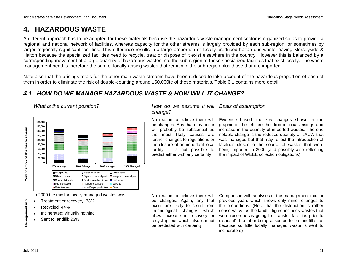## <span id="page-24-0"></span>**4. HAZARDOUS WASTE**

A different approach has to be adopted for these materials because the hazardous waste management sector is organized so as to provide a regional and national network of facilities, whereas capacity for the other streams is largely provided by each sub-region, or sometimes by larger regionally-significant facilities. This difference results in a large proportion of locally produced hazardous waste leaving Merseyside & Halton because the specialized facilities need to recycle, treat or dispose of it exist elsewhere in the country. However this is balanced by a corresponding movement of a large quantity of hazardous wastes into the sub-region to those specialized facilities that exist locally. The waste management need is therefore the sum of locally-arising wastes that remain in the sub-region plus those that are imported.

Note also that the arisings totals for the other main waste streams have been reduced to take account of the hazardous proportion of each of them in order to eliminate the risk of double-counting around 160,000te of these materials. Table 6.1 contains more detail

|                                            | What is the current position?                                                                                                                                                                                                                                                                                                                                                                                                                                                                                              | How do we assume it will<br>change?                                                                                                                                                                                                                                                     | <b>Basis of assumption</b>                                                                                                                                                                                                                                                                                                                                                                                                                 |
|--------------------------------------------|----------------------------------------------------------------------------------------------------------------------------------------------------------------------------------------------------------------------------------------------------------------------------------------------------------------------------------------------------------------------------------------------------------------------------------------------------------------------------------------------------------------------------|-----------------------------------------------------------------------------------------------------------------------------------------------------------------------------------------------------------------------------------------------------------------------------------------|--------------------------------------------------------------------------------------------------------------------------------------------------------------------------------------------------------------------------------------------------------------------------------------------------------------------------------------------------------------------------------------------------------------------------------------------|
| stream<br>waste<br>the<br>৳<br>Composition | 180,000<br>160,000<br>140,000<br>120,000<br>100.000<br>80,000<br>60,000<br>40,000<br>20,000<br>2009 Managed<br>2006 Arisings<br>2009 Arisings<br>2006 Managed<br>Not specified<br>□ CD&E waste<br><b>Nater treatment</b><br>$\blacksquare$ Oils and mixes<br>Inorganic chemical prod.<br>Organic chemical prod.<br>Municipal & trade<br>Paints, varnishes & inks <b>Healthcare</b><br>Packaging & filters<br><b>E</b> Fuel production<br><b>El</b> Solvents<br>■ Wood/paper production ■ Other<br><b>B</b> Metal treatment | No reason to believe there will<br>be changes. Any that may occur<br>will probably be substantial as<br>most likely causes are<br>the<br>further changes to regulations or<br>the closure of an important local<br>facility. It is not possible to<br>predict either with any certainty | Evidence based: the key changes shown in the<br>graphic to the left are the drop in local arisings and<br>increase in the quantity of imported wastes. The one<br>notable change is the reduced quantity of LACW that<br>was managed but that may reflect the introduction of<br>facilities closer to the source of wastes that were<br>being imported in 2006 (and possibly also reflecting<br>the impact of WEEE collection obligations) |
| Management mix                             | In 2009 the mix for locally managed wastes was:<br>Treatment or recovery: 33%<br>Recycled: 44%<br>Incinerated: virtually nothing<br>Sent to landfill: 23%                                                                                                                                                                                                                                                                                                                                                                  | No reason to believe there will<br>changes. Again, any that<br>be<br>occur are likely to result from<br>technological changes which<br>allow increase in recovery or<br>recycling but which also cannot<br>be predicted with certainty                                                  | Comparison with analyses of the management mix for<br>previous years which shows only minor changes to<br>the proportions. (Note that the distribution is rather<br>conservative as the landfill figure includes wastes that<br>were recorded as going to "transfer facilities prior to<br>disposal", the latter being assumed to be landfill sites<br>because so little locally managed waste is sent to<br>incinerators)                 |

### <span id="page-24-1"></span>*4.1 HOW DO WE MANAGE HAZARDOUS WASTE & HOW WILL IT CHANGE?*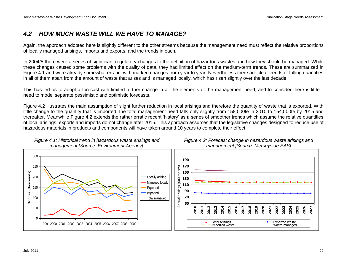*Figure 4.2: Forecast change in hazardous waste arisings and* 

### <span id="page-25-0"></span>*4.2 HOW MUCH WASTE WILL WE HAVE TO MANAGE?*

Again, the approach adopted here is slightly different to the other streams because the management need must reflect the relative proportions of locally managed arisings, imports and exports, and the trends in each.

In 2004/5 there were a series of significant regulatory changes to the definition of hazardous wastes and how they should be managed. While these changes caused some problems with the quality of data, they had limited effect on the medium-term trends. These are summarized in Figure 4.1 and were already somewhat erratic, with marked changes from year to year. Nevertheless there are clear trends of falling quantities in all of them apart from the amount of waste that arises and is managed locally, which has risen slightly over the last decade.

This has led us to adopt a forecast with limited further change in all the elements of the management need, and to consider there is little need to model separate pessimistic and optimistic forecasts.

Figure 4.2 illustrates the main assumption of slight further reduction in local arisings and therefore the quantity of waste that is exported. With little change to the quantity that is imported, the total management need falls only slightly from 158,000te in 2010 to 154,000te by 2015 and thereafter. Meanwhile Figure 4.2 extends the rather erratic recent "history" as a series of smoother trends which assume the relative quantities of local arisings, exports and imports do not change after 2015. This approach assumes that the legislative changes designed to reduce use of hazardous materials in products and components will have taken around 10 years to complete their effect.



*Figure 4.1: Historical trend in hazardous waste arisings and management [Source: Environment Agency]*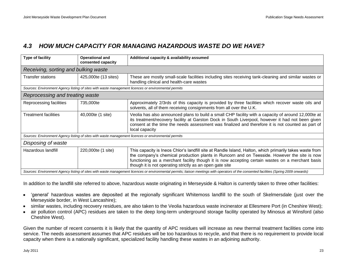### <span id="page-26-0"></span>*4.3 HOW MUCH CAPACITY FOR MANAGING HAZARDOUS WASTE DO WE HAVE?*

| Type of facility                     | <b>Operational and</b><br>consented capacity | Additional capacity & availability assumed                                                                                                                                                                                                                                                                                                                              |  |
|--------------------------------------|----------------------------------------------|-------------------------------------------------------------------------------------------------------------------------------------------------------------------------------------------------------------------------------------------------------------------------------------------------------------------------------------------------------------------------|--|
| Receiving, sorting and bulking waste |                                              |                                                                                                                                                                                                                                                                                                                                                                         |  |
| <b>Transfer stations</b>             | 425,000te (13 sites)                         | These are mostly small-scale facilities including sites receiving tank-cleaning and similar wastes or<br>handling clinical and health-care wastes                                                                                                                                                                                                                       |  |
|                                      |                                              | Sources: Environment Agency listing of sites with waste management licences or environmental permits                                                                                                                                                                                                                                                                    |  |
| Reprocessing and treating waste      |                                              |                                                                                                                                                                                                                                                                                                                                                                         |  |
| Reprocessing facilities              | 735,000te                                    | Approximately 2/3rds of this capacity is provided by three facilities which recover waste oils and<br>solvents, all of them receiving consignments from all over the U.K.                                                                                                                                                                                               |  |
| Treatment facilities                 | 40,000te (1 site)                            | Veolia has also announced plans to build a small CHP facility with a capacity of around 12,000te at<br>its treatment/recovery facility at Garston Dock in South Liverpool, however it had not been given<br>consent at the time the needs assessment was finalized and therefore it is not counted as part of<br>local capacity                                         |  |
|                                      |                                              | Sources: Environment Agency listing of sites with waste management licences or environmental permits                                                                                                                                                                                                                                                                    |  |
| Disposing of waste                   |                                              |                                                                                                                                                                                                                                                                                                                                                                         |  |
| Hazardous landfill                   | 220,000te (1 site)                           | This capacity is Ineos Chlor's landfill site at Randle Island, Halton, which primarily takes waste from<br>the company's chemical production plants in Runcorn and on Teesside. However the site is now<br>functioning as a merchant facility though it is now accepting certain wastes on a merchant basis<br>though it is not operating strictly as an open gate site |  |
|                                      |                                              | Sources: Environment Agency listing of sites with waste management licences or environmental permits; liaison meetings with operators of the consented facilities (Spring 2009 onwards)                                                                                                                                                                                 |  |

In addition to the landfill site referred to above, hazardous waste originating in Merseyside & Halton is currently taken to three other facilities:

- "general" hazardous wastes are deposited at the regionally significant Whitemoss landfill to the south of Skelmersdale (just over the Merseyside border, in West Lancashire);
- similar wastes, including recovery residues, are also taken to the Veolia hazardous waste incinerator at Ellesmere Port (in Cheshire West);
- air pollution control (APC) residues are taken to the deep long-term underground storage facility operated by Minosus at Winsford (also Cheshire West).

Given the number of recent consents it is likely that the quantity of APC residues will increase as new thermal treatment facilities come into service. The needs assessment assumes that APC residues will be too hazardous to recycle, and that there is no requirement to provide local capacity when there is a nationally significant, specialized facility handling these wastes in an adjoining authority.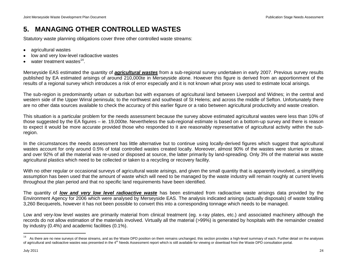## <span id="page-27-0"></span>**5. MANAGING OTHER CONTROLLED WASTES**

Statutory waste planning obligations cover three other controlled waste streams:

- agricultural wastes
- low and very low-level radioactive wastes
- water treatment wastes<sup>14</sup>.

Merseyside EAS estimated the quantity of *agricultural wastes* from a sub-regional survey undertaken in early 2007. Previous survey results published by EA estimated arisings of around 210,000te in Merseyside alone. However this figure is derived from an apportionment of the results of a regional survey which introduces a risk of error especially and it is not known what proxy was used to estimate local arisings.

The sub-region is predominantly urban or suburban but with expanses of agricultural land between Liverpool and Widnes; in the central and western side of the Upper Wirral peninsula; to the northwest and southeast of St Helens; and across the middle of Sefton. Unfortunately there are no other data sources available to check the accuracy of this earlier figure or a ratio between agricultural productivity and waste creation.

This situation is a particular problem for the needs assessment because the survey above estimated agricultural wastes were less than 10% of those suggested by the EA figures – ie. 19,000te. Nevertheless the sub-regional estimate is based on a bottom-up survey and there is reason to expect it would be more accurate provided those who responded to it are reasonably representative of agricultural activity within the subregion.

In the circumstances the needs assessment has little alternative but to continue using locally-derived figures which suggest that agricultural wastes account for only around 0.5% of total controlled wastes created locally. Moreover, almost 90% of the wastes were slurries or straw, and over 92% of all the material was re-used or disposed at source, the latter primarily by land-spreading. Only 3% of the material was waste agricultural plastics which need to be collected or taken to a recycling or recovery facility.

With no other regular or occasional surveys of agricultural waste arisings, and given the small quantity that is apparently involved, a simplifying assumption has been used that the amount of waste which will need to be managed by the waste industry will remain roughly at current levels throughout the plan period and that no specific land requirements have been identified.

The quantity of *low and very low level radioactive waste* has been estimated from radioactive waste arisings data provided by the Environment Agency for 2006 which were analysed by Merseyside EAS. The analysis indicated arisings (actually disposals) of waste totalling 3,260 Becquerels, however it has not been possible to convert this into a corresponding tonnage which needs to be managed.

Low and very-low level wastes are primarily material from clinical treatment (eg. x-ray plates, etc.) and associated machinery although the records do not allow estimation of the materials involved. Virtually all the material (>99%) is generated by hospitals with the remainder created by industry (0.4%) and academic facilities (0.1%).

<sup>14</sup> As there are no new surveys of these streams, and as the Waste DPD position on them remains unchanged, this section provides a high-level summary of each. Further detail on the analyses of agricultural and radioactive wastes was presented in the 4<sup>th</sup> Needs Assessment report which is still available for viewing or download from the Waste DPD consultation portal.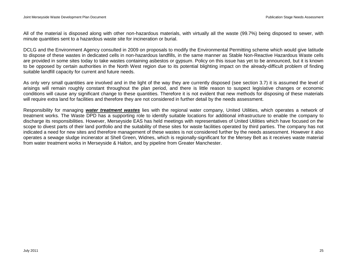All of the material is disposed along with other non-hazardous materials, with virtually all the waste (99.7%) being disposed to sewer, with minute quantities sent to a hazardous waste site for incineration or burial.

DCLG and the Environment Agency consulted in 2009 on proposals to modify the Environmental Permitting scheme which would give latitude to dispose of these wastes in dedicated cells in non-hazardous landfills, in the same manner as Stable Non-Reactive Hazardous Waste cells are provided in some sites today to take wastes containing asbestos or gypsum. Policy on this issue has yet to be announced, but it is known to be opposed by certain authorities in the North West region due to its potential blighting impact on the already-difficult problem of finding suitable landfill capacity for current and future needs.

As only very small quantities are involved and in the light of the way they are currently disposed (see section 3.7) it is assumed the level of arisings will remain roughly constant throughout the plan period, and there is little reason to suspect legislative changes or economic conditions will cause any significant change to these quantities. Therefore it is not evident that new methods for disposing of these materials will require extra land for facilities and therefore they are not considered in further detail by the needs assessment.

Responsibility for managing *water treatment wastes* lies with the regional water company, United Utilities, which operates a network of treatment works. The Waste DPD has a supporting role to identify suitable locations for additional infrastructure to enable the company to discharge its responsibilities. However, Merseyside EAS has held meetings with representatives of United Utilities which have focused on the scope to divest parts of their land portfolio and the suitability of these sites for waste facilities operated by third parties. The company has not indicated a need for new sites and therefore management of these wastes is not considered further by the needs assessment. However it also operates a sewage sludge incinerator at Shell Green, Widnes, which is regionally-significant for the Mersey Belt as it receives waste material from water treatment works in Merseyside & Halton, and by pipeline from Greater Manchester.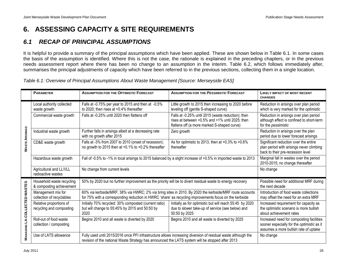## <span id="page-29-0"></span>**6. ASSESSING CAPACITY & SITE REQUIREMENTS**

### <span id="page-29-1"></span>*6.1 RECAP OF PRINCIPAL ASSUMPTIONS*

It is helpful to provide a summary of the principal assumptions which have been applied. These are shown below in Table 6.1. In some cases the basis of the assumption is identified. Where this is not the case, the rationale is explained in the preceding chapters, or in the previous needs assessment report where there has been no change to an assumption in the interim. Table 6.2, which follows immediately after, summarises the principal adjustments of capacity which have been referred to in the previous sections, collecting them in a single location.

| Table 6.1: Overview of Principal Assumptions About Waste Management [Source: Merseyside EAS] |  |  |
|----------------------------------------------------------------------------------------------|--|--|
|----------------------------------------------------------------------------------------------|--|--|

|                            | <b>PARAMETER</b>                                      | <b>ASSUMPTION FOR THE OPTIMISTIC FORECAST</b>                                                                                                                                                                     | <b>ASSUMPTION FOR THE PESSIMISTIC FORECAST</b>                                                                                                                                                                                                                     | <b>LIKELY IMPACT OF MOST RECENT</b><br><b>CHANGES</b>                                                                           |
|----------------------------|-------------------------------------------------------|-------------------------------------------------------------------------------------------------------------------------------------------------------------------------------------------------------------------|--------------------------------------------------------------------------------------------------------------------------------------------------------------------------------------------------------------------------------------------------------------------|---------------------------------------------------------------------------------------------------------------------------------|
|                            | Local authority collected<br>waste growth             | Falls at -0.75% per year to 2015 and then at -0.5%<br>to 2020; then rises at $+0.4\%$ thereafter                                                                                                                  | Little growth to 2015 then increasing to 2020 before<br>leveling off (gentle S-shaped curve)                                                                                                                                                                       | Reduction in arisings over plan period<br>which is very marked for the optimistic                                               |
|                            | Commercial waste growth                               | Falls at -0.25% until 2020 then flattens off                                                                                                                                                                      | Falls at -0.25% until 2015 (waste reduction); then<br>Reduction in arisings over plan period<br>rises at between +0.5% and +1% until 2025; then<br>although effect is confined to short-term<br>flattens off (a more marked S-shaped curve)<br>for the pessimistic |                                                                                                                                 |
| ARISING                    | Industrial waste growth                               | Further falls in arisings albeit at a decreasing rate<br>with no growth after 2015                                                                                                                                | Zero growth                                                                                                                                                                                                                                                        | Reduction in arisings over the plan<br>period due to lower forecast arisings                                                    |
| WASTE.                     | CD&E waste growth                                     | Falls at -3% from 2007 to 2010 (onset of recession);<br>no growth to 2015 then at +0.1% to +0.2% thereafter                                                                                                       | As for optimistic to 2013, then at $+0.3\%$ to $+0.6\%$<br>thereafter                                                                                                                                                                                              | Significant reduction over the entire<br>plan period with arisings never climbing<br>back to their pre-recession level          |
|                            | Hazardous waste growth                                | Fall of -0.5% to -1% in local arisings to 2015 balanced by a slight increase of +0.5% in imported waste to 2013                                                                                                   | Marginal fall in wastes over the period<br>2010-2015; no change thereafter                                                                                                                                                                                         |                                                                                                                                 |
|                            | Agricultural and LL/VLL<br>radioactive wastes         | No change from current levels                                                                                                                                                                                     | No change                                                                                                                                                                                                                                                          |                                                                                                                                 |
|                            | Household waste recycling<br>& composting achievement | 50% by 2020 but no further improvement as the priority will be to divert residual waste to energy recovery                                                                                                        | Possible need for additional MRF during<br>the next decade                                                                                                                                                                                                         |                                                                                                                                 |
|                            | Management mix for<br>collection of recyclables       | 60% via kerbside/MRF; 38% via HWRC; 2% via bring sites in 2010. By 2020 the kerbside/MRF route accounts<br>for 75% with a corresponding reduction in HWRC 'share' as recycling improvements focus on the kerbside | Introduction of food waste collections<br>may offset the need for an extra MRF                                                                                                                                                                                     |                                                                                                                                 |
| <b>LA-COLLECTED WASTES</b> | Relative proportions of<br>recycling and composting   | Initially 70% recycled: 30% composted (current ratio)<br>but will change to 55:45% by 2015 and 50:50 by<br>2020                                                                                                   | Initially as for optimistic but will reach 55:45 by 2020<br>due to slower take-up of service (see below) and<br>50:50 by 2025                                                                                                                                      | Increased requirement for capacity as<br>the optimistic scenario is more bullish<br>about achievement rates                     |
|                            | Roll-out of food waste<br>collection / composting     | Begins 2010 and all waste is diverted by 2020<br>Begins 2010 and all waste is diverted by 2025                                                                                                                    |                                                                                                                                                                                                                                                                    | Increased need for composting facilities<br>sooner especially for the optimistic as it<br>assumes a more bullish rate of uptake |
| MANAGING                   | Use of LATS allowance                                 | Fully used until 2015/2016 once PFI infrastructure allows increasing diversion of residual waste although the<br>revision of the national Waste Strategy has announced the LATS system will be stopped after 2013 | No change                                                                                                                                                                                                                                                          |                                                                                                                                 |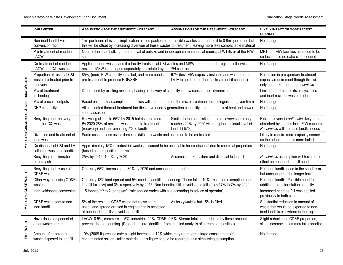|                                         | <b>PARAMETER</b>                                                     | <b>ASSUMPTION FOR THE OPTIMISTIC FORECAST</b>                                                                                                                                                                                | <b>ASSUMPTION FOR THE PESSIMISTIC FORECAST</b>                                                                                                                                                                                                              | <b>LIKELY IMPACT OF MOST RECENT</b><br><b>CHANGES</b>                                                                 |  |  |  |  |  |  |
|-----------------------------------------|----------------------------------------------------------------------|------------------------------------------------------------------------------------------------------------------------------------------------------------------------------------------------------------------------------|-------------------------------------------------------------------------------------------------------------------------------------------------------------------------------------------------------------------------------------------------------------|-----------------------------------------------------------------------------------------------------------------------|--|--|--|--|--|--|
|                                         | Non-inert landfill void<br>conversion ratio                          |                                                                                                                                                                                                                              | 1m <sup>3</sup> per tonne (this s a simplification as compaction of putrescible wastes can reduce it to 0.8m <sup>3</sup> per tonne but<br>this will be offset by increasing diversion of these wastes to treatment, leaving more less compactable material | No change                                                                                                             |  |  |  |  |  |  |
|                                         | Pre-treatment of residual<br><b>LACW</b>                             | None, other than bulking and removal of outsize and inappropriate materials at municipal WTSs or at the EfW<br>site                                                                                                          | MBT and EfW facilities assumed to be<br>co-located so no extra sites needed                                                                                                                                                                                 |                                                                                                                       |  |  |  |  |  |  |
|                                         | Co-treatment of residual<br>LACW and C&I wastes                      |                                                                                                                                                                                                                              | Applies to food wastes and if a facility treats local C&I wastes and MSW from other sub-regions, otherwise<br>residual MSW is managed separately as dictated by the PFI contract                                                                            |                                                                                                                       |  |  |  |  |  |  |
|                                         | Proportion of residual C&I<br>waste pre-treated prior to<br>recovery | 85%, (more EfW capacity installed, and more needs<br>pre-treatment to produce RDF/SRF)                                                                                                                                       | 67% (less EfW capacity installed and waste more<br>likely to go direct to thermal treatment if cheaper)                                                                                                                                                     | Reduction in pre-/primary treatment<br>capacity requirement though this will<br>only be marked for the pessimistic    |  |  |  |  |  |  |
|                                         | Mix of treatment<br>technologies                                     | Determined by existing mix and phasing of delivery of capacity in new consents (ie. dynamic)                                                                                                                                 | Limited effect from extra recyclables<br>and inert residual waste produced                                                                                                                                                                                  |                                                                                                                       |  |  |  |  |  |  |
|                                         | Mix of process outputs                                               | Based on industry examples (quantities will then depend on the mix of treatment technologies at a given time)                                                                                                                |                                                                                                                                                                                                                                                             | No change                                                                                                             |  |  |  |  |  |  |
|                                         | CHP capability                                                       | All consented thermal treatment facilities have energy generation capability though the mix of heat and power<br>is not assessed                                                                                             | No change                                                                                                                                                                                                                                                   |                                                                                                                       |  |  |  |  |  |  |
| MANAGING COMMERCIAL & INDUSTRIAL WASTES | Recycling and recovery<br>rates for C&I wastes                       | Recycling climbs to 65% by 2015 but rises no more.<br>By 2020 28% of residual waste goes to treatment<br>(recovery) and the remaining 7% to landfill                                                                         | Extra recovery in optimistic likely to be<br>absorbed by surplus local EfW capacity.<br>Pessimistic will increase landfill needs                                                                                                                            |                                                                                                                       |  |  |  |  |  |  |
|                                         | Diversion and treatment of<br>food wastes                            | Same assumptions as for domestic (kitchen) waste and assumed to be co-treated                                                                                                                                                | Likely to require more capacity sooner<br>as the adoption rate is more bullish                                                                                                                                                                              |                                                                                                                       |  |  |  |  |  |  |
|                                         | Co-disposal of C&I and LA-<br>collected wastes to landfill           | Approximately 15% of industrial wastes assumed to be unsuitable for co-disposal due to chemical properties<br>(based on composition analysis)                                                                                | No change                                                                                                                                                                                                                                                   |                                                                                                                       |  |  |  |  |  |  |
|                                         | Recycling of incinerator<br>bottom ash                               | 25% by 2015; 100% by 2020                                                                                                                                                                                                    | Assumes market failure and disposal to landfill                                                                                                                                                                                                             | Pessimistic assumption will have some<br>effect on non-inert landfill need                                            |  |  |  |  |  |  |
|                                         | Recycling and re-use of<br>CD&E wastes                               | Currently 65%, increasing to 80% by 2020 and unchanged thereafter                                                                                                                                                            |                                                                                                                                                                                                                                                             | Reduced landfill need in the short term<br>but unchanged in the longer term                                           |  |  |  |  |  |  |
|                                         | Other ways of using CD&E<br>wastes                                   | Currently 13% land-spread and 5% used in landfill engineering. These fall to 10% (restricted exemptions and<br>landfill tax levy) and 3% respectively by 2015. Non-beneficial fill in voidspace falls from 17% to 7% by 2020 |                                                                                                                                                                                                                                                             | Reduced landfill. Possible need for<br>additional transfer station capacity                                           |  |  |  |  |  |  |
| <b>MANAGING CD&amp;E WASTE</b>          | Inert voidspace conversion                                           | 1.5 tonnes/m <sup>3</sup> to 2 tonnes/m <sup>3</sup> (rate applied varies with site according to advice of operator)                                                                                                         |                                                                                                                                                                                                                                                             | Increased need as 2:1 was applied<br>previously to both sites                                                         |  |  |  |  |  |  |
|                                         | CD&E waste sent to non-<br>inert landfill                            | 5% of the residual CD&E waste not recycled, re-<br>used, land-spread or used in engineering is accepted<br>at non-inert landfills as voidspace fill                                                                          | As for optimistic but 15% is filled                                                                                                                                                                                                                         | Substantial reduction in amount of<br>waste that would be exported to non-<br>inert landfills elsewhere in the region |  |  |  |  |  |  |
| HAZ. WASTE                              | Hazardous component of<br>other waste streams                        | LACW: 0.5%; commercial: 5%; industrial: 20%; CD&E: 0.6%. Stream totals are reduced by these amounts to<br>prevent double-counting. (Proportions are identified from detailed analysis of stream composition)                 |                                                                                                                                                                                                                                                             | Slight reduction in CD&E proportion;<br>slight increase in commercial proportion                                      |  |  |  |  |  |  |
|                                         | Amount of hazardous<br>waste disposed to landfill                    | 10% (2009 figures indicate a slight increase to 12% which may represent a large consignment of<br>contaminated soil or similar material - this figure should be regarded as a simplifying assumption                         | No change                                                                                                                                                                                                                                                   |                                                                                                                       |  |  |  |  |  |  |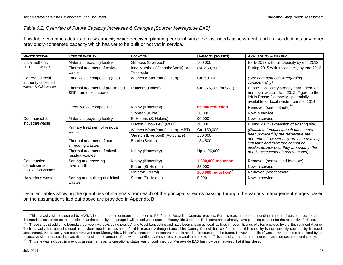### *Table 6.2: Overview of Future Capacity Increases & Changes [Source: Merseyside EAS]*

This table combines details of new capacity which received planning consent since the last needs assessment, and it also identifies any other previously-consented capacity which has yet to be built or not yet in service.

| <b>WASTE STREAM</b>                     | <b>TYPE OF FACILITY</b>                                    | LOCATION                                     | <b>CAPACITY (TONNES)</b>          | <b>AVAILABILITY &amp; PHASING</b>                                                                                                                                          |  |  |  |
|-----------------------------------------|------------------------------------------------------------|----------------------------------------------|-----------------------------------|----------------------------------------------------------------------------------------------------------------------------------------------------------------------------|--|--|--|
| Local authority                         | Materials recycling facility                               | Gillmoss (Liverpool)                         | 100,000                           | Early 2012 with full capacity by end 2012                                                                                                                                  |  |  |  |
| collected waste                         | Thermal treatment of residual<br>waste                     | Ince Marshes (Cheshire West) or<br>Tees-side | Ca. 450,000 <sup>15</sup>         | During 2015 with full capacity by end 2016                                                                                                                                 |  |  |  |
| Co-treated local<br>authority collected | Food waste composting (IVC)                                | Widnes Waterfront (Halton)                   | Ca. 50,000                        | (See comment below regarding<br>confidentiality)                                                                                                                           |  |  |  |
| waste & C&I waste                       | Thermal treatment of pre-treated<br>SRF from mixed sources | Runcorn (Halton)                             | Ca. 375,000 (of SRF)              | Phase 1: capacity already earmarked for<br>non-local waste - late 2012. Figure to the<br>left is Phase 2 capacity - potentially<br>available for local waste from mid 2014 |  |  |  |
|                                         | Green waste composting                                     | Kirkby (Knowsley)                            | 65,000 reduction                  | Removed (see footnote) <sup>16</sup>                                                                                                                                       |  |  |  |
|                                         |                                                            | Storeton (Wirral)                            | 10,000                            | Now in service                                                                                                                                                             |  |  |  |
| Commercial &                            | Materials recycling facility                               | St Helens (St Helens)                        | 90,000                            | Now in service                                                                                                                                                             |  |  |  |
| industrial waste                        |                                                            | Huyton (Knowsley) (MHT)                      | 70,000                            | During 2012 (expansion of existing site)                                                                                                                                   |  |  |  |
|                                         | Primary treatment of residual<br>waste                     | Widnes Waterfront (Halton) (MBT)             | Ca. 150,000                       | (Details of forecast launch dates have                                                                                                                                     |  |  |  |
|                                         |                                                            | Garston (Liverpool) (Autoclave)              | 150,000                           | been provided by the respective site                                                                                                                                       |  |  |  |
|                                         | Thermal treatment of auto-<br>shredding wastes             | Bootle (Sefton)                              | 134,500                           | operators, however they are commercially<br>sensitive and therefore cannot be<br>disclosed. However they are used in the                                                   |  |  |  |
|                                         | Thermal treatment of mixed<br>residual wastes              | Kirkby (Knowsley)                            | Up to 96,000                      | needs assessment forecast model)                                                                                                                                           |  |  |  |
| Construction,                           | Sorting and recycling                                      | Kirkby (Knowsley)                            | 1,300,000 reduction               | Removed (see second footnote)                                                                                                                                              |  |  |  |
| demolition &                            | Inert landfill                                             | Sutton (St Helens)                           | 25,000                            | Now in service                                                                                                                                                             |  |  |  |
| excavation wastes                       |                                                            | Moreton (Wirral)                             | 100,000 reduction $\overline{17}$ | Removed (see footnote)                                                                                                                                                     |  |  |  |
| Hazardous wastes                        | Sorting and bulking of clinical<br>wastes                  | Sutton (St Helens)                           | 5,000                             | Now in service                                                                                                                                                             |  |  |  |

Detailed tables showing the quantities of materials from each of the principal streams passing through the various management stages based on the assumptions laid out above are provided in Appendix B.

<sup>15</sup> This capacity will be secured by MWDA long-term contract negotiated under its PFI-funded Recycling Contract process. For this reason the corresponding amount of waste is excluded from the needs assessment on the principle that the capacity to manage it will be delivered outside Merseyside & Halton. Both companies already have planning consent for the respective facilities.

<sup>16</sup> These sites straddle the boundary between Merseyside (Knowsley) and West Lancashire and have been shown as local facilities in recent listings of sites provided by the Environment Agency. Their capacity has been included in previous needs assessments for this reason. Although Lancashire County Council has confirmed that this capacity is not currently counted by its needs assessment, the capacity has been removed from Merseyside & Halton's assessment to ensure that it is not double-counted in the future. However details of waste transfer notes submitted by the respective site operators, indicate that a considerable amount of the waste handled by these sites originated in Merseyside. This capacity therefore represents a large, un-counted contingency. 17

This site was included in previous assessments as its operational status was unconfirmed but Merseyside EAS has now been advised that it has closed.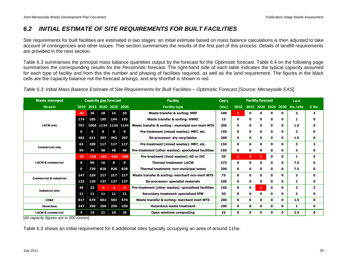### <span id="page-32-0"></span>*6.2 INITIAL ESTIMATE OF SITE REQUIREMENTS FOR BUILT FACILITIES*

Site requirements for built facilities are estimated in two stages: an initial estimate based on mass balance calculations is then adjusted to take account of contingencies and other issues. This section summarises the results of the first part of this process. Details of landfill requirements are provided in the next section.

Table 6.3 summarises the principal mass balance quantities output by the forecast for the *Optimistic* forecast. Table 6.4 on the following page summarises the corresponding results for the *Pessimistic* forecast. The right-hand side of each table indicates the typical capacity assumed for each type of facility and from this the number and phasing of facilities required, as well as the land requirement. The figures in the black cells are the capacity balance not the forecast arisings, and any shortfall is shown in red.

*Table 6.3: Initial Mass Balance Estimate of Site Requirements for Built Facilities – Optimistic Forecast [Source: Merseyside EAS]*

| <b>Waste managed</b>               |             |          | <b>Capacity gap forecast</b> |        |              | <b>Facility</b><br>Cap'y                             |       | <b>Facility forecast</b> |                |              |                     |   | Land     |              |
|------------------------------------|-------------|----------|------------------------------|--------|--------------|------------------------------------------------------|-------|--------------------------|----------------|--------------|---------------------|---|----------|--------------|
| <b>Stream</b>                      | 2010        |          | 2015 2020 2025 2030          |        |              | <b>Facility type</b>                                 | (kte) | 2010                     |                |              | 2015 2020 2025 2030 |   | Ha./site | $\Sigma$ Ha. |
|                                    | $-42$       | 26       | 18                           | 14     | 10           | <b>Waste transfer &amp; sorting: MRF</b>             | 100   | 1                        | 0              | $\Omega$     | ŋ                   | 0 | 3        | 3            |
|                                    | 174         | 185      | 195                          | 194    | 193          | Waste transfer & sorting: HWRC                       | 15    | 0                        | 0              | $\mathbf{o}$ | 0                   | 0 | ı        | $\mathbf o$  |
| <b>LACW only</b>                   | 707         |          | 1006 1134 1134 1134          |        |              | Waste transfer & sorting : municipal non-inert WTS   | 200   | 0                        | 0              | 0            |                     | 0 | 1.5      | 0            |
|                                    | 0           | $\bf{0}$ | 0                            | 0      | $\bf{0}$     | Pre-treatment (mixed wastes): MBT, etc.              | 150   | 0                        | 0              | 0            | 0                   | 0 | з        | $\mathbf{0}$ |
|                                    | 482         | 411      | 397                          | 392    | 387          | Re-processor: dry recyclables                        | 200   | 0                        | 0              | 0            |                     | 0 | 1.5      | 0            |
| <b>Commercial only</b>             | 63          | 189      | 117                          | 117    | 117          | Pre-treatment (mixed wastes): MBT, etc.              | 150   | 0                        | 0              | $\mathbf 0$  |                     | 0 | 3        | 3            |
|                                    | 94          | 70       | 48                           | 48     | 48           | Pre-treatment (other wastes): specialised facilities | 150   | 0                        | 0              | $\mathbf 0$  | 0                   | 0 | 3        | 0            |
|                                    | $-37$       | $-116$   | $-152$                       | $-154$ | $-156$       | Pre-treatment (food wastes): AD or IVC               | 50    | 1                        | $\overline{2}$ | 1            | 0                   | 0 | 1        | 5            |
| <b>LACW &amp; commercial</b>       | $\mathbf 0$ | 99       | 16                           | 8      | $\mathbf{o}$ | <b>Thermal treatment: LACW</b>                       | 475   | 0                        | 0              | $\mathbf{o}$ | ŋ                   | 0 | 7.5      | $\mathbf{0}$ |
|                                    | 0           | 720      | 828                          | 828    | 828          | Thermal treatment: non-municipal waste               | 200   | 0                        | 0              | $\mathbf{o}$ | 0                   | 0 | 7.5      | $\mathbf{0}$ |
| <b>Commercial &amp; industrial</b> | 247         | 220      | 217                          | 217    | 217          | Waste transfer & sorting: merchant non-inert WTS     | 75    | 0                        | 0              | $\mathbf{o}$ | 0                   | 0 | 3        | $\mathbf 0$  |
|                                    | 132         | 139      | 137                          | 137    | 137          | Re-processor: specialist materials                   | 100   | 0                        | 0              | 0            |                     | 0 | 1        | 0            |
| <b>Industrial only</b>             | 46          | 22       | -1                           | -1     | -1           | Pre-treatment (other wastes): specialised facilities | 150   | 0                        | 0              | 1            | 0                   | 0 | 3        | 3            |
|                                    | 11          | 11       | 11                           | 11     | 11           | Secondary treatment: specialised EfW                 | 50    | 0                        | 0              | 0            | 0                   | 0 | 3        | 0            |
| <b>CD&amp;E</b>                    | 817         | 670      | 602                          | 583    | 574          | Waste transfer & sorting: merchant inert WTS         | 200   | $\mathbf{o}$             | 0              | $\Omega$     | 0                   | 0 | 1.5      | $\mathbf{0}$ |
| <b>Hazardous</b>                   | 247         | 250      | 250                          | 250    | 250          | <b>Hazardous waste treatment</b>                     | 100   | $\mathbf 0$              | 0              | $\mathbf{o}$ | 0                   | 0 | 1        | $\mathbf 0$  |
| <b>LACW &amp; commercial</b>       | 4           | 14       | 21                           | 19     | 18           | Open windrow composting                              | 25    | 0                        | 0              | $\Omega$     | 0                   | 0 | 2.5      | $\mathbf{0}$ |

[*All capacity figures are in 000 tonnes*]

Table 6.3 shows an initial requirement for 6 additional sites typically occupying an area of around 11ha.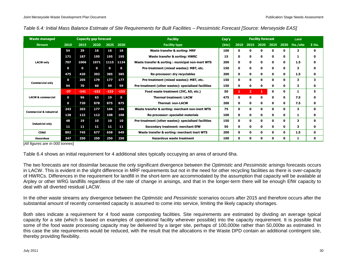*Table 6.4: Initial Mass Balance Estimate of Site Requirements for Built Facilities – Pessimistic Forecast [Source: Merseyside EAS]*

| <b>Waste managed</b>               |             |             | <b>Capacity gap forecast</b> |        |              | <b>Facility</b>                                      | Cap'y       |      |                | <b>Facility forecast</b> |              |   | Land     |              |  |
|------------------------------------|-------------|-------------|------------------------------|--------|--------------|------------------------------------------------------|-------------|------|----------------|--------------------------|--------------|---|----------|--------------|--|
| <b>Stream</b>                      | 2010        | 2015        | 2020                         | 2025   | 2030         | <b>Facility type</b>                                 | $($ kte $)$ | 2010 |                | 2015 2020                | 2025 2030    |   | Ha./site | $\Sigma$ Ha. |  |
|                                    | 54          | 29          | 16                           | 16     | 16           | Waste transfer & sorting: MRF                        | 100         | 0    | O              |                          | $\Omega$     | 0 | 3        | 0            |  |
|                                    | 171         | 187         | 195                          | 195    | 195          | Waste transfer & sorting: HWRC                       | 15          | 0    | 0              | 0                        | $\mathbf 0$  | 0 |          | 0            |  |
| <b>LACW only</b>                   | 707         | 1006        | 1071                         | 1115   | 1134         | Waste transfer & sorting : municipal non-inert WTS   | 200         | 0    | 0              | 0                        | $\mathbf{0}$ | 0 | 1.5      | 0            |  |
|                                    | $\mathbf 0$ | $\mathbf 0$ | $\mathbf 0$                  | 0      | 0            | Pre-treatment (mixed wastes): MBT, etc.              | 150         | 0    | 0              | 0                        | $\mathbf{0}$ | 0 | 3        | 0            |  |
|                                    | 475         | 420         | 393                          | 385    | 385          | Re-processor: dry recyclables                        | 200         | 0    | 0              | 0                        | $\mathbf{o}$ | 0 | 1.5      | 0            |  |
|                                    | $\mathbf 0$ | 205         | 179                          | 177    | 177          | Pre-treatment (mixed wastes): MBT, etc.              | 150         | 0    | 0              | O                        | $\Omega$     | 0 | 3        | 3            |  |
| <b>Commercial only</b>             | 94          | 70          | 60                           | 59     | 59           | Pre-treatment (other wastes): specialised facilities | 150         | 0    | 0              |                          | $\mathbf{0}$ | 0 | 3        | 0            |  |
|                                    | $-37$       | $-141$      | $-152$                       | $-153$ | $-153$       | Food waste treatment (IVC, AD, etc.)                 | 50          | 1.   | $\overline{2}$ |                          | $\mathbf 0$  | 0 |          | 5            |  |
| <b>LACW &amp; commercial</b>       | $\mathbf 0$ | 96          | 63                           | 19     | $\mathbf{0}$ | <b>Thermal treatment: LACW</b>                       | 475         | 0    | 0              | 0                        | $\mathbf{o}$ | 0 | 7.5      | 0            |  |
|                                    | $\mathbf 0$ | 720         | 878                          | 875    | 875          | <b>Thermal: non-LACW</b>                             | 200         | 0    | 0              | 0                        | $\mathbf{0}$ | 0 | 7.5      | 0            |  |
| <b>Commercial &amp; industrial</b> | 243         | 203         | 177                          | 166    | 166          | Waste transfer & sorting: merchant non-inert WTS     | 75          | 0    | 0              | O                        | $\mathbf{o}$ | 0 | 3        | 0            |  |
|                                    | 128         | 122         | 112                          | 108    | 108          | Re-processor: specialist materials                   | 100         | 0    | Ω              |                          | 0            | 0 | ı        | 0            |  |
| <b>Industrial only</b>             | 48          | 19          | 10                           | 10     | 10           | Pre-treatment (other wastes): specialised facilities | 150         | 0    | 0              | O                        | 0            | 0 | 3        | 0            |  |
|                                    | 11          | 11          | 11                           | 11     | 11           | Secondary treatment: merchant EfW                    | 50          | 0    | 0              | 0                        | $\mathbf{o}$ | 0 | з        | 0            |  |
| CD&E                               | 892         | 745         | 677                          | 658    | 649          | Waste transfer & sorting: merchant inert WTS         | 200         | 0    | 0              | 0                        | $\mathbf{o}$ | 0 | 1.5      | 0            |  |
| <b>Hazardous</b>                   | 247         | 250         | 250                          | 250    | 250          | <b>Hazardous waste treatment</b>                     | 100         | 0    | ŋ              |                          | $\mathbf{0}$ | 0 |          | 0            |  |

[*All figures are in 000 tonnes*]

Table 6.4 shows an initial requirement for 4 additional sites typically occupying an area of around 6ha.

The two forecasts are not dissimilar because the only significant divergence between the *Optimistic* and *Pessimistic* arisings forecasts occurs in LACW. This is evident in the slight difference in MRF requirements but not in the need for other recycling facilities as there is over-capacity of HWRCs. Differences in the requirement for landfill in the short-term are accommodated by the assumption that capacity will be available at Arpley or other WRG landfills regardless of the rate of change in arisings, and that in the longer-term there will be enough EfW capacity to deal with all diverted residual LACW.

In the other waste streams any divergence between the *Optimistic* and *Pessimistic* scenarios occurs after 2015 and therefore occurs after the substantial amount of recently consented capacity is assumed to come into service, limiting the likely capacity shortages.

Both sites indicate a requirement for 4 food waste composting facilities. Site requirements are estimated by dividing an average typical capacity for a site (which is based on examples of operational facility wherever possible) into the capacity requirement. It is possible that some of the food waste processing capacity may be delivered by a larger site, perhaps of 100,000te rather than 50,000te as estimated. In this case the site requirements would be reduced, with the result that the allocations in the Waste DPD contain an additional contingent site, thereby providing flexibility.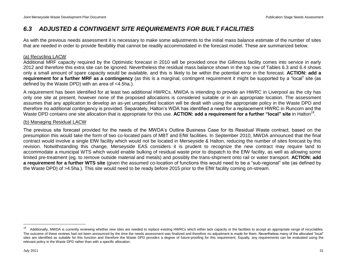### <span id="page-34-0"></span>*6.3 ADJUSTED & CONTINGENT SITE REQUIREMENTS FOR BUILT FACILITIES*

As with the previous needs assessment it is necessary to make some adjustments to the initial mass balance estimate of the number of sites that are needed in order to provide flexibility that cannot be readily accommodated in the forecast model. These are summarized below.

### (a) Recycling LACW

Additional MRF capacity required by the Optimistic forecast in 2010 will be provided once the Gillmoss facility comes into service in early 2012 and therefore this extra site can be ignored. Nevertheless the residual mass balance shown in the top row of Tables 6.3 and 6.4 shows only a small amount of spare capacity would be available, and this is likely to be within the potential error in the forecast. **ACTION: add a requirement for a further MRF as a contingency** (as this is a marginal, contingent requirement it might be supported by a "local" site (as defined by the Waste DPD) with an area of <4.5ha.).

A requirement has been identified for at least two additional HWRCs. MWDA is intending to provide an HWRC in Liverpool as the city has only one site at present, however none of the proposed allocations is considered suitable or in an appropriate location. The assessment assumes that any application to develop an as-yet unspecified location will be dealt with using the appropriate policy in the Waste DPD and therefore no additional contingency is provided. Separately, Halton"s WDA has identified a need for a replacement HWRC in Runcorn and the Waste DPD contains one site allocation that is appropriate for this use. ACTION: add a requirement for a further "local" site in Halton<sup>18</sup>.

### (b) Managing Residual LACW

The previous site forecast provided for the needs of the MWDA"s Outline Business Case for its Residual Waste contract, based on the presumption this would take the form of two co-located pairs of MBT and EfW facilities. In September 2010, MWDA announced that the final contract would involve a single EfW facility which would not be located in Merseyside & Halton, reducing the number of sites forecast by this revision. Notwithstanding this change, Merseyside EAS considers it is prudent to recognize the new contract may require land to accommodate a municipal WTS which would enable bulking of residual waste prior to dispatch to the EfW facility, as well as allowing some limited pre-treatment (eg. to remove outside material and metals) and possibly the trans-shipment onto rail or water transport. **ACTION: add a requirement for a further WTS site** (given the assumed co-location of functions this would need to be a "sub-regional" site (as defined by the Waste DPD) of >4.5ha.). This site would need to be ready before 2015 prior to the EfW facility coming on-stream.

<sup>18</sup> Additionally, MWDA is currently reviewing whether new sites are needed to replace existing HWRCs which either lack capacity or the facilities to accept an appropriate range of recyclables. The outcome of these reviews had not been announced by the time the needs assessment was finalized and therefore no adjustment is made for them. Nevertheless many of the allocated "local" sites are identified as suitable for this function and therefore the Waste DPD provides a degree of future-proofing for this requirement. Equally, any requirements can be evaluated using the relevant policy in the Waste DPD rather than with a specific allocation.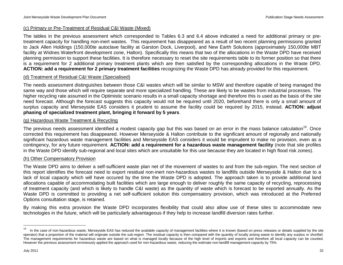### (c) Primary or Pre-Treatment of Residual C&I Waste (Mixed)

The tables in the previous assessment which corresponded to Tables 6.3 and 6.4 above indicated a need for additional primary or pretreatment capacity for handling non-inert wastes. This requirement has disappeared as a result of two recent planning permissions granted to Jack Allen Holdings (150,000te autoclave facility at Garston Dock, Liverpool), and New Earth Solutions (approximately 150,000te MBT facility at Widnes Waterfront development zone, Halton). Specifically this means that two of the allocations in the Waste DPD have received planning permission to support these facilities. It is therefore necessary to reset the site requirements table to its former position so that there is a requirement for 2 additional primary treatment plants which are then satisfied by the corresponding allocations in the Waste DPD. **ACTION: add a requirement for 2 primary treatment facilities** recognizing the Waste DPD has already provided for this requirement.

### (d) Treatment of Residual C&I Waste (Specialised)

The needs assessment distinguishes between those C&I wastes which will be similar to MSW and therefore capable of being managed the same way and those which will require separate and more specialized handling. These are likely to be wastes from industrial processes. The higher recycling rate assumed in the Optimistic scenario results in a small capacity shortage and therefore this is used as the basis of the site need forecast. Although the forecast suggests this capacity would not be required until 2020, beforehand there is only a small amount of surplus capacity and Merseyside EAS considers it prudent to assume the facility could be required by 2015, instead. **ACTION: adjust phasing of specialized treatment plant, bringing it forward by 5 years**.

### (g) Hazardous Waste Treatment & Recycling

The previous needs assessment identified a modest capacity gap but this was based on an error in the mass balance calculation<sup>19</sup>. Once corrected this requirement has disappeared. However Merseyside & Halton contribute to the significant amount of regionally and nationally significant hazardous waste management facilities and Merseyside EAS considers it would be imprudent to make no provision, even as a contingency, for any future requirement. **ACTION: add a requirement for a hazardous waste management facility** (note that site profiles in the Waste DPD identify sub-regional and local sites which are unsuitable for this use because they are located in high flood risk zones).

### (h) Other Compensatory Provision

The Waste DPD aims to deliver a self-sufficient waste plan net of the movement of wastes to and from the sub-region. The next section of this report identifies the forecast need to export residual non-inert non-hazardous wastes to landfills outside Merseyside & Halton due to a lack of local capacity which will have occured by the time the Waste DPD is adopted. The approach taken is to provide additional land allocations capable of accommodating built facilities which are large enough to deliver roughly the same capacity of recycling, reprocessing of treatment capacity (and which is likely to handle C&I waste) as the quantity of waste which is forecast to be exported annually. As the Waste DPD is committed to providing a net self-sufficient solution this compensatory provision, which was introduced at the Preferred Options consultation stage, is retained.

By making this extra provision the Waste DPD incorporates flexibility that could also allow use of these sites to accommodate new technologies in the future, which will be particularly advantageous if they help to increase landfill diversion rates further.

<sup>19</sup> In the case of non-hazardous waste, Merseyside EAS has reduced the available capacity of management facilities where it is known (based on press releases or details supplied by the site operator) that a proportion of the material will originate outside the sub-region. The residual capacity is then compared with the quantity of locally arising waste to identify any surplus or shortfall. The management requirements for hazardous waste are based on what is managed locally because of the high level of imports and exports and therefore all local capacity can be counted. However the previous assessment erroneously applied the approach used for non-hazardous waste, reducing the estimate non-landfill management capacity by 75%.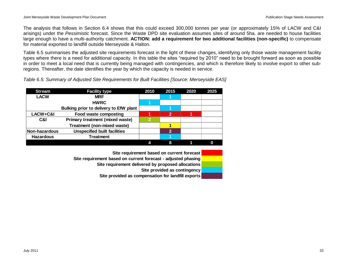The analysis that follows in Section 6.4 shows that this could exceed 300,000 tonnes per year (or approximately 15% of LACW and C&I arisings) under the *Pessimistic* forecast. Since the Waste DPD site evaluation assumes sites of around 5ha. are needed to house facilities large enough to have a multi-authority catchment. **ACTION: add a requirement for two additional facilities (non-specific)** to compensate for material exported to landfill outside Merseyside & Halton.

Table 6.5 summarises the adjusted site requirements forecast in the light of these changes, identifying only those waste management facility types where there is a need for additional capacity. In this table the sites "required by 2010" need to be brought forward as soon as possible in order to meet a local need that is currently being managed with contingencies, and which is therefore likely to involve export to other subregions. Thereafter, the date identifies the year by which the capacity is needed in service.

*Table 6.5: Summary of Adjusted Site Requirements for Built Facilities [Source: Merseyside EAS]*

| <b>Stream</b>    | <b>Facility type</b>                   | 2010 | 2015 | 2020 | 2025 |
|------------------|----------------------------------------|------|------|------|------|
| <b>LACW</b>      | <b>MRF</b>                             |      |      |      |      |
|                  | <b>HWRC</b>                            |      |      |      |      |
|                  | Bulking prior to delivery to EfW plant |      |      |      |      |
| LACW+C&I         | Food waste composting                  |      | າ    |      |      |
| C&I              | <b>Primary treatment (mixed waste)</b> | ഹ    |      |      |      |
|                  | Treatment (non-mixed waste)            |      |      |      |      |
| Non-hazardous    | <b>Unspecified built facilities</b>    |      |      |      |      |
| <b>Hazardous</b> | Treatment                              |      |      |      |      |
|                  |                                        |      | 8    |      |      |

**Site requirement based on current forecast Site requirement based on current forecast - adjusted phasing Site requirement delivered by proposed allocations Site provided as contingency Site provided as compensation for landfill exports**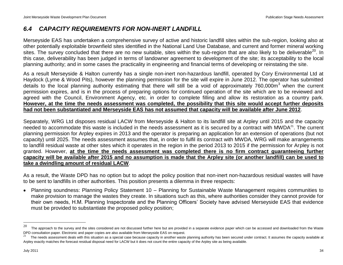### <span id="page-37-0"></span>*6.4 CAPACITY REQUIREMENTS FOR NON-INERT LANDFILL*

Merseyside EAS has undertaken a comprehensive survey of active and historic landfill sites within the sub-region, looking also at other potentially exploitable brownfield sites identified in the National Land Use Database, and current and former mineral working sites. The survey concluded that there are no new suitable, sites within the sub-region that are also likely to be deliverable<sup>20</sup>. In this case, deliverability has been judged in terms of landowner agreement to development of the site; its acceptability to the local planning authority; and in some cases the practicality in engineering and financial terms of developing or reinstating the site.

As a result Merseyside & Halton currently has a single non-inert non-hazardous landfill, operated by Cory Environmental Ltd at Haydock (Lyme & Wood Pits), however the planning permission for the site will expire in June 2012. The operator has submitted details to the local planning authority estimating that there will still be a void of approximately 760,000m<sup>3</sup> when the current permission expires, and is in the process of preparing options for continued operation of the site which are to be reviewed and agreed with the Council, Environment Agency, etc. in order to complete filling and allow its restoration as a country park. **However, at the time the needs assessment was completed, the possibility that this site would accept further deposits had not been substantiated and Merseyside EAS has not assumed that capacity will be available after June 2012**.

Separately, WRG Ltd disposes residual LACW from Merseyside & Halton to its landfill site at Arpley until 2015 and the capacity needed to accommodate this waste is included in the needs assessment as it is secured by a contract with MWDA $^{21}$ . The current planning permission for Arpley expires in 2013 and the operator is preparing an application for an extension of operations (but not capacity) until 2025. The needs assessment assumes that, in order to fulfil its contract with MWDA, WRG will make arrangements to landfill residual waste at other sites which it operates in the region in the period 2013 to 2015 if the permission for Arpley is not granted. However, **at the time the needs assessment was completed there is no firm contract guaranteeing further capacity will be available after 2015 and no assumption is made that the Arpley site (or another landfill) can be used to take a dwindling amount of residual LACW**.

As a result, the Waste DPD has no option but to adopt the policy position that non-inert non-hazardous residual wastes will have to be sent to landfills in other authorities. This position presents a dilemma in three respects:

Planning soundness: Planning Policy Statement 10 – Planning for Sustainable Waste Management requires communities to make provision to manage the wastes they create. In situations such as this, where authorities consider they cannot provide for their own needs, H.M. Planning Inspectorate and the Planning Officers" Society have advised Merseyside EAS that evidence must be provided to substantiate the proposed policy position;

<sup>20</sup> The approach to the survey and the sites considered are not discussed further here but are provided in a separate evidence paper which can be accessed and downloaded from the Waste DPD consultation paper. Electronic and paper copies are also available from Merseyside EAS on request.

<sup>21</sup> The needs assessment deals with this situation as a special case because capacity in another waste planning authority has been secured under contract. It assumes the capacity available at Arpley exactly matches the forecast residual disposal need for LACW but it does not count the entire capacity of the Arpley site as being available.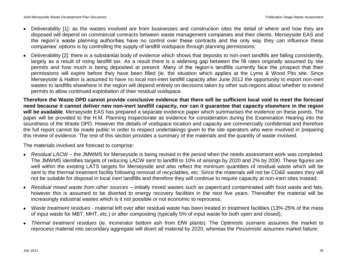- Deliverability [1]: as the wastes involved are from businesses and construction sites the detail of where and how they are disposed will depend on commercial contracts between waste management companies and their clients. Merseyside EAS and the region's waste planning authorities have no control over these contracts and the only way they can influence these companies" options is by controlling the supply of landfill voidspace through planning permissions;
- Deliverability [2]: there is a substantial body of evidence which shows that deposits to non-inert landfills are falling consistently, largely as a result of rising landfill tax. As a result there is a widening gap between the fill rates originally assumed by site permits and how much is being deposited at present. Many of the region"s landfills currently face the prospect that their permissions will expire before they have been filled (ie. the situation which applies at the Lyme & Wood Pits site. Since Merseyside & Halton is assumed to have no local non-inert landfill capacity after June 2012 the opportunity to export non-inert wastes to landfills elsewhere in the region will depend entirely on decisions taken by other sub-regions about whether to extend permits to allow continued exploitation of their residual voidspace.

**Therefore the Waste DPD cannot provide conclusive evidence that there will be sufficient local void to meet the forecast need because it cannot deliver new non-inert landfill capacity, nor can it guarantee that capacity elsewhere in the region will be available**. Merseyside EAS has prepared a separate evidence paper which summarises the evidence on these points. The paper will be provided to the H.M. Planning Inspectorate as evidence for consideration during the Examination Hearing into the soundness of the Waste DPD. However the details of voidspace location and capacity are commercially confidential and therefore the full report cannot be made public in order to respect undertakings given to the site operators who were involved in preparing this review of evidence. The rest of this section provides a summary of the materials and the quantity of waste involved.

The materials involved are forecast to comprise:

- *Residual LACW –* the JMWMS for Merseyside is being revised in the period when the needs assessment work was completed. The JMWMS identifies targets of reducing LACW sent to landfill to 10% of arisings by 2020 and 2% by 2030. These figures are well within the existing LATS targets for Merseyside and also reflect the minimum quantities of residual waste which will be sent to the thermal treatment facility following removal of recyclables, etc. Since the materials will not be CD&E wastes they will not be suitable for disposal in local inert landfills and therefore they will continue to require capacity at non-inert sites instead;
- *Residual mixed waste from other sources –* initially mixed wastes such as paper/card contaminated with food waste and fats, however this is assumed to be diverted to energy recovery facilities in the next five years. Thereafter the material will be increasingly industrial wastes which is it not possible or not economic to reprocess;
- *Waste treatment residues* material left over after residual waste has been treated in treatment facilities (13%-25% of the mass of input waste for MBT, MHT, etc.) or after composting (typically 5% of input waste for both open and closed);
- *Thermal treatment residues* (ie. incinerator bottom ash from EfW plants). The *Optimistic* scenario assumes the market to reprocess material into secondary aggregate will divert all material by 2020, whereas the *Pessimistic* assumes market failure;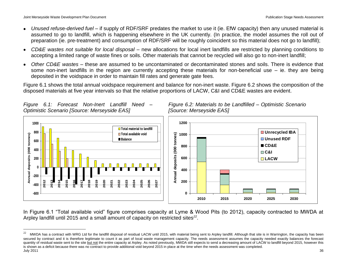*Figure 6.1: Forecast Non-Inert Landfill Need –*

*Optimistic Scenario [Source: Merseyside EAS]*

 $\overline{a}$ 

**Unrecycled IBA Unused RDF**

**CD&E C&I LACW**

- *Unused refus*e*-derived fuel* if supply of RDF/SRF predates the market to use it (ie. EfW capacity) then any unused material is assumed to go to landfill, which is happening elsewhere in the UK currently. (In practice, the model assumes the roll out of preparation (ie. pre-treatment) and consumption of RDF/SRF will be roughly coincident so this material does not go to landfill);
- *CD&E wastes not suitable for local disposal* new allocations for local inert landfills are restricted by planning conditions to accepting a limited range of waste fines or soils. Other materials that cannot be recycled will also go to non-inert landfill;
- *Other CD&E wastes* these are assumed to be uncontaminated or decontaminated stones and soils. There is evidence that some non-inert landfills in the region are currently accepting these materials for non-beneficial use – ie. they are being deposited in the voidspace in order to maintain fill rates and generate gate fees.

Figure 6.1 shows the total annual voidspace requirement and balance for non-inert waste. Figure 6.2 shows the composition of the disposed materials at five year intervals so that the relative proportions of LACW, C&I and CD&E wastes are evident.





In Figure 6.1 "Total available void" figure comprises capacity at Lyme & Wood Pits (to 2012), capacity contracted to MWDA at Arpley landfill until 2015 and a small amount of capacity on restricted sites<sup>22</sup>.

July 2011 36 22 MWDA has a contract with WRG Ltd for the landfill disposal of residual LACW until 2015, with material being sent to Arpley landfill. Although that site is in Warrington, the capacity has been secured by contract and it is therefore legitimate to count it as part of local waste management capacity. The needs assessment assumes the capacity needed exactly balances the forecast quantity of residual waste sent to the site but not the entire capacity at Arpley. As noted previously, MWDA still expects to send a decreasing amount of LACW to landfill beyond 2015, however this is shown as a deficit because there was no contract to provide additional void beyond 2015 in place at the time when the needs assessment was completed.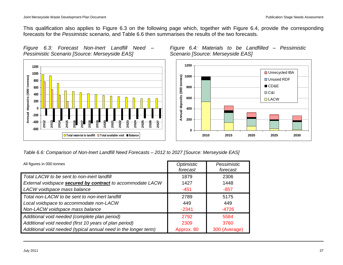This qualification also applies to Figure 6.3 on the following page which, together with Figure 6.4, provide the corresponding forecasts for the *Pessimistic* scenario, and Table 6.6 then summarises the results of the two forecasts.

*Figure 6.3: Forecast Non-Inert Landfill Need – Pessimistic Scenario [Source: Merseyside EAS]*







*Table 6.6: Comparison of Non-Inert Landfill Need Forecasts – 2012 to 2027 [Source: Merseyside EAS]*

| All figures in 000 tonnes                                         | Optimistic<br>forecast | Pessimistic<br>forecast |
|-------------------------------------------------------------------|------------------------|-------------------------|
| Total LACW to be sent to non-inert landfill                       | 1879                   | 2306                    |
| External voidspace <b>secured by contract</b> to accommodate LACW | 1427                   | 1448                    |
| LACW voidspace mass balance                                       | $-451$                 | $-857$                  |
| Total non-LACW to be sent to non-inert landfill                   | 2789                   | 5175                    |
| Local voidspace to accommodate non-LACW                           | 449                    | 449                     |
| Non-LACW voidspace mass balance                                   | $-2341$                | $-4726$                 |
| Additional void needed (complete plan period)                     | 2792                   | 5584                    |
| Additional void needed (first 10 years of plan period)            | 2309                   | 3760                    |
| Additional void needed (typical annual need in the longer term)   | Approx. 80             | 300 (Average)           |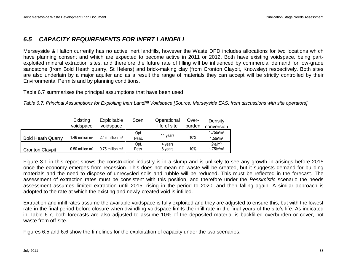### <span id="page-41-0"></span>*6.5 CAPACITY REQUIREMENTS FOR INERT LANDFILL*

Merseyside & Halton currently has no active inert landfills, however the Waste DPD includes allocations for two locations which have planning consent and which are expected to become active in 2011 or 2012. Both have existing voidspace, being partexploited mineral extraction sites, and therefore the future rate of filling will be influenced by commercial demand for low-grade sandstone (from Bold Heath quarry, St Helens) and brick-making clay (from Cronton Claypit, Knowsley) respectively. Both sites are also underlain by a major aquifer and as a result the range of materials they can accept will be strictly controlled by their Environmental Permits and by planning conditions.

Table 6.7 summarises the principal assumptions that have been used.

*Table 6.7: Principal Assumptions for Exploiting Inert Landfill Voidspace [Source: Merseyside EAS, from discussions with site operators]*

|                          | Existing                      | Exploitable                   | Scen. | Operational  | Over-  | Density            |
|--------------------------|-------------------------------|-------------------------------|-------|--------------|--------|--------------------|
|                          | voidspace                     | voidspace                     |       | life of site | burden | conversion         |
|                          |                               |                               | Opt.  |              |        | $1.75$ te/m $3$    |
| <b>Bold Heath Quarry</b> | 1.46 million $m3$             | 2.43 million $m3$             | Pess. | 14 years     | 10%    | $1.5$ te/m $3$     |
|                          |                               |                               | Opt.  | 4 years      |        | 2te/m <sup>3</sup> |
| <b>Cronton Claypit</b>   | $0.50$ million m <sup>3</sup> | $0.75$ million m <sup>3</sup> | Pess. | 8 years      | 10%    | $1.75$ te/m $3$    |

Figure 3.1 in this report shows the construction industry is in a slump and is unlikely to see any growth in arisings before 2015 once the economy emerges from recession. This does not mean no waste will be created, but it suggests demand for building materials and the need to dispose of unrecycled soils and rubble will be reduced. This must be reflected in the forecast. The assessment of extraction rates must be consistent with this position, and therefore under the *Pessimistic* scenario the needs assessment assumes limited extraction until 2015, rising in the period to 2020, and then falling again. A similar approach is adopted to the rate at which the existing and newly-created void is infilled.

Extraction and infill rates assume the available voidspace is fully exploited and they are adjusted to ensure this, but with the lowest rate in the final period before closure when dwindling voidspace limits the infill rate in the final years of the site"s life. As indicated in Table 6.7, both forecasts are also adjusted to assume 10% of the deposited material is backfilled overburden or cover, not waste from off-site.

Figures 6.5 and 6.6 show the timelines for the exploitation of capacity under the two scenarios.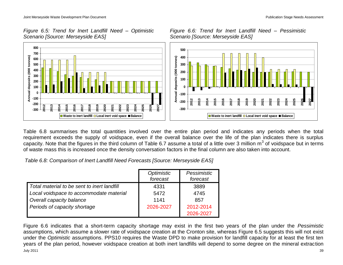

*Figure 6.6: Trend for Inert Landfill Need – Pessimistic Scenario [Source: Merseyside EAS]*



Table 6.8 summarises the total quantities involved over the entire plan period and indicates any periods when the total requirement exceeds the supply of voidspace, even if the overall balance over the life of the plan indicates there is surplus capacity. Note that the figures in the third column of Table 6.7 assume a total of a little over 3 million  $m^3$  of voidspace but in terms of waste mass this is increased once the density conversation factors in the final column are also taken into account.

*Table 6.8: Comparison of Inert Landfill Need Forecasts [Source: Merseyside EAS]*

|                                             | Optimistic<br>forecast | Pessimistic<br>forecast |
|---------------------------------------------|------------------------|-------------------------|
| Total material to be sent to inert landfill | 4331                   | 3889                    |
| Local voidspace to accommodate material     | 5472                   | 4745                    |
| Overall capacity balance                    | 1141                   | 857                     |
| Periods of capacity shortage                | 2026-2027              | 2012-2014               |
|                                             |                        | 2026-2027               |

July 2011 39 Figure 6.6 indicates that a short-term capacity shortage may exist in the first two years of the plan under the *Pessimistic* assumptions, which assume a slower rate of voidspace creation at the Cronton site, whereas Figure 6.5 suggests this will not exist under the *Optimistic* assumptions. PPS10 requires the Waste DPD to make provision for landfill capacity for at least the first ten years of the plan period, however voidspace creation at both inert landfills will depend to some degree on the mineral extraction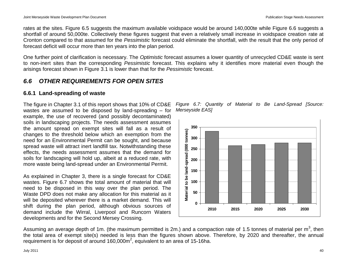rates at the sites. Figure 6.5 suggests the maximum available voidspace would be around 140,000te while Figure 6.6 suggests a shortfall of around 50,000te. Collectively these figures suggest that even a relatively small increase in voidspace creation rate at Cronton compared to that assumed for the *Pessimistic* forecast could eliminate the shortfall, with the result that the only period of forecast deficit will occur more than ten years into the plan period.

One further point of clarification is necessary. The *Optimistic* forecast assumes a lower quantity of unrecycled CD&E waste is sent to non-inert sites than the corresponding *Pessimistic* forecast. This explains why it identifies more material even though the arisings forecast shown in Figure 3.1 is lower than that for the *Pessimistic* forecast.

### <span id="page-43-0"></span>*6.6 OTHER REQUIREMENTS FOR OPEN SITES*

### <span id="page-43-1"></span>**6.6.1 Land-spreading of waste**

The figure in Chapter 3.1 of this report shows that 10% of CD&E wastes are assumed to be disposed by land-spreading – for example, the use of recovered (and possibly decontaminated) soils in landscaping projects. The needs assessment assumes the amount spread on exempt sites will fall as a result of changes to the threshold below which an exemption from the need for an Environmental Permit can be sought, and because spread waste will attract inert landfill tax. Notwithstanding these effects, the needs assessment assumes that the demand for soils for landscaping will hold up, albeit at a reduced rate, with more waste being land-spread under an Environmental Permit.

As explained in Chapter 3, there is a single forecast for CD&E wastes. Figure 6.7 shows the total amount of material that will need to be disposed in this way over the plan period. The Waste DPD does not make any allocation for this material as it will be deposited wherever there is a market demand. This will shift during the plan period, although obvious sources of demand include the Wirral, Liverpool and Runcorn Waters developments and for the Second Mersey Crossing.





Assuming an average depth of 1m. (the maximum permitted is 2m.) and a compaction rate of 1.5 tonnes of material per m<sup>3</sup>, then the total area of exempt site(s) needed is less than the figures shown above. Therefore, by 2020 and thereafter, the annual requirement is for deposit of around  $160,000m^2$ , equivalent to an area of 15-16ha.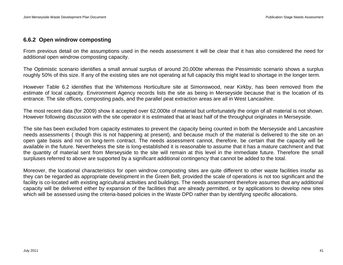### <span id="page-44-0"></span>**6.6.2 Open windrow composting**

From previous detail on the assumptions used in the needs assessment it will be clear that it has also considered the need for additional open windrow composting capacity.

The Optimistic scenario identifies a small annual surplus of around 20,000te whereas the Pessimistic scenario shows a surplus roughly 50% of this size. If any of the existing sites are not operating at full capacity this might lead to shortage in the longer term.

However Table 6.2 identifies that the Whitemoss Horticulture site at Simonswood, near Kirkby, has been removed from the estimate of local capacity. Environment Agency records lists the site as being in Merseyside because that is the location of its entrance. The site offices, composting pads, and the parallel peat extraction areas are all in West Lancashire.

The most recent data (for 2009) show it accepted over 62,000te of material but unfortunately the origin of all material is not shown. However following discussion with the site operator it is estimated that at least half of the throughput originates in Merseyside.

The site has been excluded from capacity estimates to prevent the capacity being counted in both the Merseyside and Lancashire needs assessments ( though this is not happening at present), and because much of the material is delivered to the site on an open gate basis and not on long-term contract. The needs assessment cannot, therefore, be certain that the capacity will be available in the future. Nevertheless the site is long-established it is reasonable to assume that it has a mature catchment and that the quantity of material sent from Merseyside to the site will remain at this level in the immediate future. Therefore the small surpluses referred to above are supported by a significant additional contingency that cannot be added to the total.

Moreover, the locational characteristics for open windrow composting sites are quite different to other waste facilities insofar as they can be regarded as appropriate development in the Green Belt, provided the scale of operations is not too significant and the facility is co-located with existing agricultural activities and buildings. The needs assessment therefore assumes that any additional capacity will be delivered either by expansion of the facilities that are already permitted, or by applications to develop new sites which will be assessed using the criteria-based policies in the Waste DPD rather than by identifying specific allocations.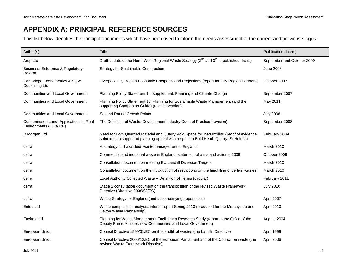## <span id="page-45-0"></span>**APPENDIX A: PRINCIPAL REFERENCE SOURCES**

This list below identifies the principal documents which have been used to inform the needs assessment at the current and previous stages.

| Author(s)                                                         | Title                                                                                                                                                                                 | Puiblication date(s)       |
|-------------------------------------------------------------------|---------------------------------------------------------------------------------------------------------------------------------------------------------------------------------------|----------------------------|
| Arup Ltd                                                          | Draft update of the North West Regional Waste Strategy (2 <sup>nd</sup> and 3 <sup>rd</sup> unpublished drafts)                                                                       | September and October 2009 |
| Business, Enterprise & Regulatory<br>Reform                       | Strategy for Sustainable Construction                                                                                                                                                 | <b>June 2008</b>           |
| Cambridge Econometrics & SQW<br><b>Consulting Ltd</b>             | Liverpool City Region Economic Prospects and Projections (report for City Region Partners)                                                                                            | October 2007               |
| <b>Communities and Local Government</b>                           | Planning Policy Statement 1 - supplement: Planning and Climate Change                                                                                                                 | September 2007             |
| <b>Communities and Local Government</b>                           | Planning Policy Statement 10: Planning for Sustainable Waste Management (and the<br>supporting Companion Guide) (revised version)                                                     | May 2011                   |
| <b>Communities and Local Government</b>                           | Second Round Growth Points                                                                                                                                                            | <b>July 2008</b>           |
| Contaminated Land: Applications in Real<br>Environments (CL:AIRE) | The Definition of Waste: Development Industry Code of Practice (revision)                                                                                                             | September 2008             |
| D Morgan Ltd                                                      | Need for Both Quarried Material and Quarry Void Space for Inert Infilling (proof of evidence<br>submitted in support of planning appeal with respect to Bold Heath Quarry, St Helens) | February 2009              |
| defra                                                             | A strategy for hazardous waste management in England                                                                                                                                  | March 2010                 |
| defra                                                             | Commercial and industrial waste in England: statement of aims and actions, 2009                                                                                                       | October 2009               |
| defra                                                             | Consultation document on meeting EU Landfill Diversion Targets                                                                                                                        | March 2010                 |
| defra                                                             | Consultation document on the introduction of restrictions on the landfilling of certain wastes                                                                                        | March 2010                 |
| defra                                                             | Local Authority Collected Waste - Definition of Terms (circular)                                                                                                                      | February 2011              |
| defra                                                             | Stage 2 consultation document on the transposition of the revised Waste Framework<br>Directive (Directive 2008/98/EC)                                                                 | <b>July 2010</b>           |
| defra                                                             | Waste Strategy for England (and accompanying appendices)                                                                                                                              | April 2007                 |
| Entec Ltd                                                         | Waste composition analysis: interim report Spring 2010 (produced for the Merseyside and<br>Halton Waste Partnership)                                                                  | April 2010                 |
| Enviros Ltd                                                       | Planning for Waste Management Facilities: a Research Study (report to the Office of the<br>Deputy Prime Minister, now Communities and Local Government)                               | August 2004                |
| European Union                                                    | Council Directive 1999/31/EC on the landfill of wastes (the Landfill Directive)                                                                                                       | April 1999                 |
| European Union                                                    | Council Directive 2006/12/EC of the European Parliament and of the Council on waste (the<br>revised Waste Framework Directive)                                                        | April 2006                 |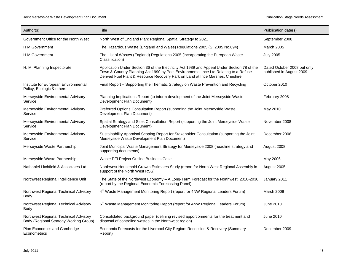| Author(s)                                                                       | Title                                                                                                                                                                                                                                                                | Puiblication date(s)                                    |
|---------------------------------------------------------------------------------|----------------------------------------------------------------------------------------------------------------------------------------------------------------------------------------------------------------------------------------------------------------------|---------------------------------------------------------|
| Government Office for the North West                                            | North West of England Plan: Regional Spatial Strategy to 2021                                                                                                                                                                                                        | September 2008                                          |
| H M Government                                                                  | The Hazardous Waste (England and Wales) Regulations 2005 (SI 2005 No.894)                                                                                                                                                                                            | <b>March 2005</b>                                       |
| <b>H</b> M Government                                                           | The List of Wastes (England) Regulations 2005 (incorporating the European Waste<br>Classification)                                                                                                                                                                   | <b>July 2005</b>                                        |
| H. M. Planning Inspectorate                                                     | Application Under Section 36 of the Electricity Act 1989 and Appeal Under Section 78 of the<br>Town & Country Planning Act 1990 by Peel Environmental Ince Ltd Relating to a Refuse<br>Derived Fuel Plant & Resource Recovery Park on Land at Ince Marshes, Cheshire | Dated October 2008 but only<br>published in August 2009 |
| Institute for European Environmental<br>Policy, Ecologic & others               | Final Report - Supporting the Thematic Strategy on Waste Prevention and Recycling                                                                                                                                                                                    | October 2010                                            |
| Merseyside Environmental Advisory<br>Service                                    | Planning Implications Report (to inform development of the Joint Merseyside Waste<br>Development Plan Document)                                                                                                                                                      | February 2008                                           |
| Merseyside Environmental Advisory<br>Service                                    | Preferred Options Consultation Report (supporting the Joint Merseyside Waste<br>Development Plan Document)                                                                                                                                                           | May 2010                                                |
| Merseyside Environmental Advisory<br>Service                                    | Spatial Strategy and Sites Consultation Report (supporting the Joint Merseyside Waste<br>Development Plan Document)                                                                                                                                                  | November 2008                                           |
| Merseyside Environmental Advisory<br>Service                                    | Sustainability Appraisal Scoping Report for Stakeholder Consultation (supporting the Joint<br>Merseyside Waste Development Plan Document)                                                                                                                            | December 2006                                           |
| Merseyside Waste Partnership                                                    | Joint Municipal Waste Management Strategy for Merseyside 2008 (headline strategy and<br>supporting documents)                                                                                                                                                        | August 2008                                             |
| Merseyside Waste Partnership                                                    | Waste PFI Project Outline Business Case                                                                                                                                                                                                                              | May 2006                                                |
| Nathaniel Litchfield & Associates Ltd                                           | Northwest Household Growth Estimates Study (report for North West Regional Assembly in<br>support of the North West RSS)                                                                                                                                             | August 2005                                             |
| Northwest Regional Intelligence Unit                                            | The State of the Northwest Economy – A Long-Term Forecast for the Northwest: 2010-2030<br>(report by the Regional Economic Forecasting Panel)                                                                                                                        | January 2011                                            |
| Northwest Regional Technical Advisory<br>Body                                   | 4 <sup>th</sup> Waste Management Monitoring Report (report for 4NW Regional Leaders Forum)                                                                                                                                                                           | March 2009                                              |
| Northwest Regional Technical Advisory<br><b>Body</b>                            | 5 <sup>th</sup> Waste Management Monitoring Report (report for 4NW Regional Leaders Forum)                                                                                                                                                                           | June 2010                                               |
| Northwest Regional Technical Advisory<br>Body (Regional Strategy Working Group) | Consolidated background paper (defining revised apportionments for the treatment and<br>disposal of controlled wastes in the Northwest region)                                                                                                                       | June 2010                                               |
| Pion Economics and Cambridge<br>Econometrics                                    | Economic Forecasts for the Liverpool City Region: Recession & Recovery (Summary<br>Report)                                                                                                                                                                           | December 2009                                           |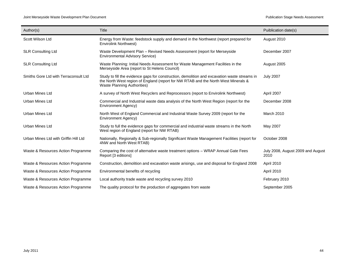| Author(s)                             | Title                                                                                                                                                                                                                    | Puiblication date(s)                      |
|---------------------------------------|--------------------------------------------------------------------------------------------------------------------------------------------------------------------------------------------------------------------------|-------------------------------------------|
| Scott Wilson Ltd                      | Energy from Waste: feedstock supply and demand in the Northwest (report prepared for<br><b>Envirolink Northwest)</b>                                                                                                     | August 2010                               |
| <b>SLR Consulting Ltd</b>             | Waste Development Plan – Revised Needs Assessment (report for Merseyside<br><b>Environmental Advisory Service)</b>                                                                                                       | December 2007                             |
| <b>SLR Consulting Ltd</b>             | Waste Planning: Initial Needs Assessment for Waste Management Facilities in the<br>Merseyside Area (report to St Helens Council)                                                                                         | August 2005                               |
| Smiths Gore Ltd with Terraconsult Ltd | Study to fill the evidence gaps for construction, demolition and excavation waste streams in<br>the North West region of England (report for NW RTAB and the North West Minerals &<br><b>Waste Planning Authorities)</b> | <b>July 2007</b>                          |
| <b>Urban Mines Ltd</b>                | A survey of North West Recyclers and Reprocessors (report to Envirolink Northwest)                                                                                                                                       | April 2007                                |
| <b>Urban Mines Ltd</b>                | Commercial and Industrial waste data analysis of the North West Region (report for the<br>Environment Agency)                                                                                                            | December 2008                             |
| <b>Urban Mines Ltd</b>                | North West of England Commercial and Industrial Waste Survey 2009 (report for the<br>Environment Agency)                                                                                                                 | <b>March 2010</b>                         |
| <b>Urban Mines Ltd</b>                | Study to full the evidence gaps for commercial and industrial waste streams in the North<br>West region of England (report for NW RTAB)                                                                                  | May 2007                                  |
| Urban Mines Ltd with Griffin Hill Ltd | Nationally, Regionally & Sub-regionally Significant Waste Management Facilities (report for<br>4NW and North West RTAB)                                                                                                  | October 2008                              |
| Waste & Resources Action Programme    | Comparing the cost of alternative waste treatment options - WRAP Annual Gate Fees<br>Report [3 editions]                                                                                                                 | July 2008, August 2009 and August<br>2010 |
| Waste & Resources Action Programme    | Construction, demolition and excavation waste arisings, use and disposal for England 2008                                                                                                                                | April 2010                                |
| Waste & Resources Action Programme    | Environmental benefits of recycling                                                                                                                                                                                      | April 2010                                |
| Waste & Resources Action Programme    | Local authority trade waste and recycling survey 2010                                                                                                                                                                    | February 2010                             |
| Waste & Resources Action Programme    | The quality protocol for the production of aggregates from waste                                                                                                                                                         | September 2005                            |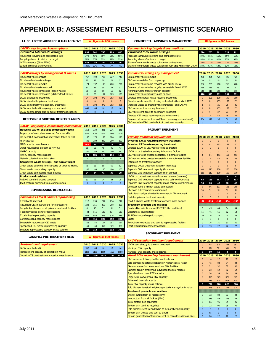### <span id="page-48-0"></span>**APPENDIX B: ASSESSMENT RESULTS – OPTIMISTIC SCENARIO**

#### **LA-COLLECTED ARISINGS & MANAGEMENT All figures in 000 tonnes**

| <b>LACW - key targets &amp; assumptions</b> |      |     |     |             | 2010 2015 2020 2025 2030 | <b>Commercial - key targets &amp; assumptions</b>                  |            |             |     | 2010 2015 2020 2025 2030 |     |
|---------------------------------------------|------|-----|-----|-------------|--------------------------|--------------------------------------------------------------------|------------|-------------|-----|--------------------------|-----|
| <b>Estimated total waste arisings</b>       |      |     |     |             | 832 801 783 799 815      | <b>Estimated total waste arisings</b>                              |            | 714 705 711 |     | 711 711                  |     |
| Household recycling and composting rate     | 34%  | 45% | 50% | 50%         | 50%                      | Forecast (achieved) recycling and composting rate                  | 59%        | 65%         | 65% | 65%                      | 65% |
| Recycling share of out-turn or target       | 68%  | 60% | 55% | 55%         | 55%                      | Recycling share of out-turn or target                              | 95%        | 92%         | 92% | 92%                      | 92% |
| LATS allowance (68% BMW)                    | 443  | 289 |     | 232 232 232 |                          | Share of commercial waste suitable for co-treatment                | <b>79%</b> | 77%         | 77% | 77%                      | 77% |
| Landfill allowance achievement              | 100% | 50% | 7%  |             | 7%                       | Share of commercial waste suitable for recycling with similar LACW | 58%        | 63%         | 63% | 63%                      | 63% |

| <b>LACW</b> arisings by management & shares             |          |          | 2010 2015 2020 | 2025     | 2030     |
|---------------------------------------------------------|----------|----------|----------------|----------|----------|
| Household waste arisings                                | 757      | 729      | 713            | 727      | 742      |
| Non-household waste arisings                            | 75       | 72       | 70             | 72       | 73       |
| Household waste recycled                                | 174      | 197      | 196            | 200      | 204      |
| Non-household waste recycled                            | 37       | 36       | 35             | 36       | 37       |
| Household waste composted (green waste)                 | 76       | 66       | 59             | 61       | 62       |
| Household waste composted (kitchen/food waste)          | 8        | 66       | 101            | 103      | 105      |
| <b>LACW</b> diverted to treatment                       | 94       | 292      | 375            | 383      | 391      |
| LACW diverted to primary treatment                      | $\Omega$ | $\Omega$ | $\Omega$       | $\Omega$ | $\Omega$ |
| LACW sent directly to secondary treatment               | $\Omega$ | 292      | 375            | 383      | 391      |
| LACW sent to landfill requiring pre-treatment           | 443      | 145      | 16             | 16       | 16       |
| LACW sent to landfill due to lack of treatment capacity | 94       | $\Omega$ | $\Omega$       | $\Omega$ | $\Omega$ |

| Estimated total waste arisings                          | 832  | 801      | 783      | 799      | 815          | Estimated total waste arisings                                     | -714     | 705        | 711        | -711     | 711        |
|---------------------------------------------------------|------|----------|----------|----------|--------------|--------------------------------------------------------------------|----------|------------|------------|----------|------------|
| Household recycling and composting rate                 | 34%  | 45%      | 50%      | 50%      | 50%          | Forecast (achieved) recycling and composting rate                  | 59%      | 65%        | 65%        | 65%      | 65%        |
| Recycling share of out-turn or target                   | 68%  | 60%      | 55%      | 55%      | 55%          | Recycling share of out-turn or target                              | 95%      | 92%        | 92%        | 92%      | 92%        |
| LATS allowance (68% BMW)                                | 443  | 289      | 232      | 232      | 232          | Share of commercial waste suitable for co-treatment                | 79%      | <b>77%</b> | <b>77%</b> | 77%      | <b>77%</b> |
| Landfill allowance achievement                          | 100% | 50%      | 7%       | 7%       | 7%           | Share of commercial waste suitable for recycling with similar LACW | 58%      | 63%        | 63%        | 63%      | 63%        |
|                                                         |      |          |          |          |              |                                                                    |          |            |            |          |            |
| LACW arisings by management & shares                    | 2010 | 2015     | 2020     | 2025     | 2030         | <b>Commercial arisings by management</b>                           | 2010     | 2015       | 2020       | 2025     | 2030       |
| Household waste arisings                                | 757  | 729      | 713      | 727      | 742          | Commercial waste recycled                                          | 400      | 421        | 425        | 425      | 425        |
| Non-household waste arisings                            | 75   | 72       | 70       | 72       | 73           | C&I waste available for composting                                 | 30       | 51         | 51         | 51       | 51         |
| Household waste recycled                                | 174  | 197      | 196      | 200      | 204          | Commercial waste to be recycled with similar LACW                  | 232      | 265        | 268        | 268      | 268        |
| Non-household waste recycled                            | 37   | 36       | 35       | 36       | 37           | Commercial waste to be recycled separately from LACW               | 168      | 156        | 157        | 157      | 157        |
| Household waste composted (green waste)                 | 76   | 66       | 59       | 61       | 62           | Merchant waste transfer station capacity                           | 816      | 816        | 816        | 816      | 816        |
| Household waste composted (kitchen/food waste)          |      | 66       | 101      | 103      | 105          | Commercial waste transfer mass balance                             | 416      | 395        | 391        | 391      | 391        |
| LACW diverted to treatment                              | 94   | 292      | 375      | 383      | 391          | Diverted commercial waste requiring treatment                      | $\Omega$ | 106        | 199        | 199      | 199        |
| LACW diverted to primary treatment                      |      | $\Omega$ | $\Omega$ | $\Omega$ | $\mathbf{0}$ | Diverted waste capable of being co-treated with similar LACW       | $\Omega$ | 81         | 153        | 153      | 153        |
| LACW sent directly to secondary treatment               |      | 292      | 375      | 383      | 391          | Industrial waste co-treated with commercial (and LACW)             |          | 14         | 26         | 26       | 26         |
| LACW sent to landfill requiring pre-treatment           | 443  | 145      | 16       | 16       | 16           | C&I waste sent to primary treatment                                |          | 81         | 153        | 153      | 153        |
| LACW sent to landfill due to lack of treatment capacity | 94   | $\Omega$ | $\Omega$ | $\Omega$ | $\Omega$     | C&I waste sent direct to secondary treatment                       | $\Omega$ | 14         | 27         | 27       | 27         |
|                                                         |      |          |          |          |              | Diverted C&I waste requiring separate treatment                    | $\Omega$ | 24         | 46         | 46       | 46         |
| <b>RECEIVING &amp; SORTING OF RECYCLABLES</b>           |      |          |          |          |              | Commercial waste sent to landfill (and requiring pre-treatment)    | 284      | 127        | 36         | 36       | 36         |
|                                                         |      |          |          |          |              | C&I waste landfilled due to lack of treatment capacity             | $\Omega$ |            | $\Omega$   | $\Omega$ |            |
|                                                         |      |          |          |          |              |                                                                    |          |            |            |          |            |

**LACW - key targets & assumptions 2010 2015 2020 2025 2030 Commercial - key targets & assumptions 2010 2015 2020 2025 2030**

**COMMERCIAL ARISINGS & MANAGEMENT** All figures in 000 tonnes

| LACW - recycling & composting requirement            | 2010  | 2015           | 2020 | 2025           | 2030           |
|------------------------------------------------------|-------|----------------|------|----------------|----------------|
| <b>Recycled LACW (excludes composted waste)</b>      | 212   | 233            | 231  | 236            | 241            |
| Proportion of recyclables collected from kerbside    | 60%   | 70%            | 75%  | 75%            | 75%            |
| Household & nonhousehold recyclables taken to MRF    | 142   | 174            | 182  | 186            | 190            |
| <b>MRF</b> capacity                                  | 100   | 200            | 200  | 200            | 200            |
| MRF capacity mass balance                            | $-42$ | 26             | 18   | 14             | 10             |
| Other recycleables brought to HWRCs                  | 66    | 55             | 45   | 46             | 47             |
| <b>HWRC capacity</b>                                 | 240   | 240            | 240  | 240            | 240            |
| <b>HWRC capacity mass balance</b>                    | 174   | 185            | 195  | 194            | 193            |
| Material collected from bring sites                  | 3     | $\overline{4}$ | 4    | $\overline{4}$ | $\overline{4}$ |
| Composted waste arisings - out-turn or target        |       |                |      |                |                |
| Green waste collected from kerbside or taken to HWRC | 76    | 66             | 59   | 61             | 62             |
| Green waste composting capacity                      | 100   | 100            | 100  | 100            | 100            |
| Green waste composting mass balance                  | 24    | 34             | 41   | 39             | 38             |
| <b>Products and residues</b>                         |       |                |      |                |                |
| PAS100 standard organic compost                      | 30    | 26             | 24   | 24             | 25             |
| Inert material discarded from compostables           | 4     | 3              | 3    | 3              | 3              |

#### **REPROCESSING RECYCLABLES**

|                                                         |          |      |      |      |      | <b>Religional side of the contract of comme</b> |
|---------------------------------------------------------|----------|------|------|------|------|-------------------------------------------------|
| <b>Combined LACW &amp; comm'l reprocessing</b>          | 2010     | 2015 | 2020 | 2025 | 2030 | Installed primary treatment capacity            |
| <b>Total LACW recycled</b>                              | 212      | 233  | 231  | 236  | 241  | Food & kitchen waste treatment capad            |
| Recyclable C&I material sent for reprocessing           | 232      | 265  | 268  | 268  | 268  | <b>Treatment products and residues</b>          |
| Recyclables intercepted at primary treatment facilities | $\Omega$ | 16   | 31   | 31   | 31   | Combustible solid biomass (RDF/SRF, f           |
| Total recyclables sent for reprocessing                 | 444      | 515  | 529  | 534  | 539  | Digestate & liquid fertiliser                   |
| Total mixed reprocessing capacity                       | 926      | 926  | 926  | 926  | 926  | PAS100 standard organic compost                 |
| Coreprocessing capacity mass balance                    | 482      | 411  | 397  | 392  | 387  | <b>Biogas</b>                                   |
| Separately reprocessed C&I waste                        | 168      | 156  | 157  | 157  | 157  | Recyclables extracted and sent to repr          |
| Specialisted C&I waste reprocessing capacity            | 469      | 469  | 469  | 469  | 469  | Inert residual material sent to landfill        |
| Separate reprocessing capacity mass balance             | 301      | 313  | 312  | 312  | 312  |                                                 |

| <b>LANDFILL PRE-TREATMENT NEED</b> |  |
|------------------------------------|--|

**All figures in 000 tonnes**

| <b>Pre-treatment requirement</b>                |      |     |                |     | 2010 2015 2020 2025 2030 |
|-------------------------------------------------|------|-----|----------------|-----|--------------------------|
| LACW sent to landfill                           | 537  | 145 | - 16           | -16 | 16                       |
| Pretreatment capacity at council-run WTSs       | 1150 |     | 1150 1150 1150 |     | 1150                     |
| Council WTS pre-treatment capacity mass balance |      |     |                |     | 707 1006 1134 1134 1134  |

### **PRIMARY TREATMENT**

| Household & nonhousehold recyclables taken to MRF       | 142            | 174 | 182            | 186            | 190            | <b>Primary treatment requirement</b>                          |               |              |              | 2010 2015 2020 2025 | 2030         |
|---------------------------------------------------------|----------------|-----|----------------|----------------|----------------|---------------------------------------------------------------|---------------|--------------|--------------|---------------------|--------------|
| <b>MRF</b> capacity                                     | 100            | 200 | 200            | 200            | 200            | Diverted LACW requiring primary treatment                     | $\Omega$      | $\sqrt{ }$   | $\Omega$     | $\Omega$            | $\Omega$     |
| MRF capacity mass balance                               | $-42$          | 26  | 18             | 14             | 10             | Diverted C&I waste requiring treatment                        |               | 81           | 153          | 153                 | 153          |
| Other recycleables brought to HWRCs                     | 66             | 55  | 45             | 46             | 47             | Diverted LACW & C&I wastes to be co-treated                   | $\Omega$      | $\Omega$     | $\Omega$     | $\mathbf{0}$        | $\Omega$     |
| <b>HWRC capacity</b>                                    | 240            | 240 | 240            | 240            | 240            | LACW to be treated separately in biomass facilities           |               | $\Omega$     |              | $\mathbf{0}$        | $\Omega$     |
| <b>HWRC capacity mass balance</b>                       | 174            | 185 | 195            | 194            | 193            | C&I wastes to be treated separately in biomass facilities     |               | 81           | 153          | 153                 | 153          |
| Material collected from bring sites                     | 3              |     | $\overline{4}$ | $\overline{4}$ | $\overline{4}$ | C&I wastes to be treated separately in non-biomass facilities | $\Omega$      | 24           | 46           | 46                  | 46           |
| Composted waste arisings - out-turn or target           |                |     |                |                |                | Estimated co-treatment capacity                               | $\Omega$      | $\Omega$     | $\Omega$     | $\Omega$            | $\Omega$     |
| Green waste collected from kerbside or taken to HWRC.   | 76             | 66  | 59             | 61             | 62             | Separate LACW treatment capacity (biomass)                    |               | $\Omega$     |              | $\mathbf{0}$        | $\Omega$     |
| Green waste composting capacity                         | 100            | 100 | 100            | 100            | 100            | Separate C&I treatment capacity (biomass)                     | 64            | 270          | 270          | 270                 | 270          |
| Green waste composting mass balance                     | 24             | 34  | 41             | 39             | 38             | Separate C&I treatment capacity (non-biomass)                 | 119           | 119          | 119          | 119                 | 119          |
| <b>Products and residues</b>                            |                |     |                |                |                | LACW or co-treatment capacity mass balance (biomass)          | $\mathbf 0$   | $\mathbf{0}$ | $\mathbf{o}$ | $\mathbf 0$         | $\mathbf{o}$ |
| PAS100 standard organic compost                         | 30             | 26  | 24             | 24             | 25             | Separate C&I treatment capacity mass balance (biomass)        | 63            | 189          | 117          | 117                 | 117          |
| Inert material discarded from compostables              | $\overline{4}$ | 3   | 3              | 3              | 3 <sup>1</sup> | Separate C&I treatment capacity mass balance (nonbiomass)     | 94            | 70           | 48           | 48                  | 48           |
|                                                         |                |     |                |                |                | Domestic food & kitchen waste composted                       | 8             | 66           | 101          | 103                 | 105          |
| <b>REPROCESSING RECYCLABLES</b>                         |                |     |                |                |                | C&I food & kitchen waste composted                            | 30            | 51           | 51           | 51                  | 51           |
|                                                         |                |     |                |                |                | Agricultural sludges diverted to commercial AD treatment      |               | $\Omega$     |              | $\mathbf{0}$        | $\Omega$     |
| <b>Combined LACW &amp; comm'l reprocessing</b>          |                |     | 2010 2015 2020 | 2025           | 2030           | Installed primary treatment capacity                          |               | $\Omega$     |              | $\mathbf{0}$        | $\Omega$     |
| <b>Total LACW recvcled</b>                              | 212            | 233 | 231            | 236            | 241            | Food & kitchen waste treatment capacity mass balance          | $-37$         | $-116$       | $-152$       | $-154$              | $-156$       |
| Recyclable C&I material sent for reprocessing           | 232            | 265 | 268            | 268            | 268            | <b>Treatment products and residues</b>                        |               |              |              |                     |              |
| Recyclables intercepted at primary treatment facilities | $\Omega$       | 16  | 31             | 31             | 31             | Combustible solid biomass (RDF/SRF, floc and fibre)           |               | 45           | 84           | 84                  | 84           |
| Total recyclables sent for reprocessing                 | 444            | 515 | 529            | 534            | 539            | Digestate & liquid fertiliser                                 | 15            | 46           | 61           | 62                  | 62           |
| Total mixed reprocessing capacity                       | 926            | 926 | 926            | 926            | 926            | PAS100 standard organic compost                               | 30            | 26           | 24           | 24                  | 25           |
| Coreprocessing capacity mass balance                    | 482            | 411 | 397            | 392            | 387            | <b>Biogas</b>                                                 |               | $\Omega$     | $\Omega$     | $\mathbf{0}$        | $\Omega$     |
| Separately reprocessed C&I waste                        | 168            | 156 | 157            | 157            | 157            | Recyclables extracted and sent to reprocessing facilities     |               | 16           | 31           | 31                  | 31           |
| Specialisted C&I waste reprocessing capacity            | 469            | 469 | 469            | 469            | 469            | Inert residual material sent to landfill                      | $\mathcal{P}$ | 13           | 22           | 22                  | 22           |
|                                                         |                |     |                |                |                |                                                               |               |              |              |                     |              |

#### **SECONDARY TREATMENT**

|                                                 |      |      |                     |      |      | <b>LACW secondary treatment requirement</b>                     |              | 2010 2015 | 2020     | 2025     | 2030         |
|-------------------------------------------------|------|------|---------------------|------|------|-----------------------------------------------------------------|--------------|-----------|----------|----------|--------------|
| Pre-treatment requirement                       |      |      | 2010 2015 2020 2025 |      | 2030 | LACW sent directly to thermal treatment                         | $\mathbf{0}$ | 292       | 375      | 383      | 391          |
| LACW sent to landfill                           | 537  | 145  | 16                  | 16   | 16   | Municipal EfW capacity                                          | $\mathbf{0}$ | 391       | 391      | 391      | 391          |
| Pretreatment capacity at council-run WTSs       | 1150 | 1150 | 1150                | 1150 | 1150 | Municipal EfW capacity mass balance                             | $\mathbf 0$  | 99        | 16       | 8        | $\mathbf{o}$ |
| Council WTS pre-treatment capacity mass balance | 707  | 1006 | 1134                | 1134 | 1134 | <b>Non-LACW secondary treatment requirement</b>                 | 2010         | 2015      | 2020     | 2025     | 2030         |
|                                                 |      |      |                     |      |      | C&I waste sent directy to thermal treatment                     | $\mathbf{0}$ | 14        | 27       | 27       | 27           |
|                                                 |      |      |                     |      |      | Solid biomass fuelstock originating in Merseyside & Halton      | $\Omega$     | 45        | 84       | 84       | 84           |
|                                                 |      |      |                     |      |      | Biomass mass-fired in conventional EfW facilities               | $\mathbf{0}$ | 21        | 32       | 32       | 32           |
|                                                 |      |      |                     |      |      | Biomass fired in small/med. advanced thermal facilities         | $\mathbf{0}$ | 23        | 52       | 52       | 52           |
|                                                 |      |      |                     |      |      | Specialised merchant EfW capacity                               | $\mathbf{0}$ | 34        | 34       | 34       | 34           |
|                                                 |      |      |                     |      |      | Large-scale conventional EfW capacity                           | $\Omega$     | 375       | 375      | 375      | 375          |
|                                                 |      |      |                     |      |      | Advanced thermal capacity                                       | $\Omega$     | 415       | 615      | 615      | 615          |
|                                                 |      |      |                     |      |      | Total EfW capacity mass balance                                 | 0            | 720       | 828      | 828      | 828          |
|                                                 |      |      |                     |      |      | Solid biomass fuelstock originating outside Merseyside & Halton | $\mathbf{0}$ | 375       | 375      | 375      | 375          |
|                                                 |      |      |                     |      |      | <b>Treatment products and residues</b>                          |              |           |          |          |              |
|                                                 |      |      |                     |      |      | Energy output from all facilities (MW)                          | $\mathbf{0}$ | 72        | 83       | 83       | 83           |
|                                                 |      |      |                     |      |      | Heat output from all facilities (MW)                            | $\Omega$     | 216       | 246      | 246      | 246          |
|                                                 |      |      |                     |      |      | Total bottom ash generated                                      |              | 86        | 95       | 95       | 95           |
|                                                 |      |      |                     |      |      | Bottom ash used as recyclate                                    | $\mathbf{0}$ | 22        | 95       | 95       | 95           |
|                                                 |      |      |                     |      |      | Solid biomass sent to landfill due to lack of thermal capacity  | $\Omega$     | $\Omega$  | $\Omega$ | $\Omega$ | $\Omega$     |
|                                                 |      |      |                     |      |      | Bottom ash unused and sent to landfill                          | $\Omega$     | 65        | $\Omega$ | $\Omega$ | $\Omega$     |
|                                                 |      |      |                     |      |      | Fly ash generated (APC residue sent to hazardous disposal site) | $\Omega$     | 20        | 22       | 22       | 22           |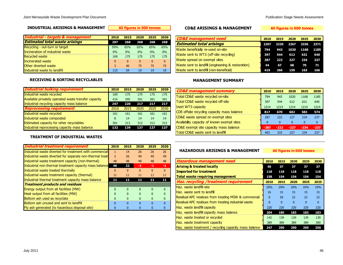#### **INDUSTRIAL ARISINGS & MANAGEMENT**

| Industrial - targets & management     | 2010     | 2015         | 2020     | 2025     | 2030         |
|---------------------------------------|----------|--------------|----------|----------|--------------|
| <b>Estimated total waste arisings</b> | 287      | 268          | 268      | 268      | 268          |
| Recycling - out-turn or target        | 59%      | 65%          | 65%      | 65%      | 65%          |
| Incineration of industrial waste      | 0%       | 0%           | 0%       | 0%       | 0%           |
| <b>Recycled waste</b>                 | 169      | 175          | 175      | 175      | 175          |
| Incinerated waste                     | $\Omega$ | $\mathbf{0}$ | $\Omega$ | $\Omega$ | $\mathbf{0}$ |
| Other diverted waste                  | 3        | 40           | 75       | 75       | 75           |
| Industrial waste to landfill          | 115      | 54           | 19       | 19       | 19           |

#### **All figures in 000 tonnes CD&E ARISINGS & MANAGEMENT**

**All figures in 000 tonnes**

| <b>CD&amp;E</b> management need                    | 2010 | 2015    | 2020 | 2025           | 2030 |
|----------------------------------------------------|------|---------|------|----------------|------|
| <b>Estimated total arisings</b>                    | 2207 |         |      | 2220 2267 2336 | 2371 |
| Waste beneficially re-used on-site                 | 794  |         |      | 943 1020 1168  | 1185 |
| Waste sent to WTS (off-site recycling)             | 397  | 544     | 612  | 631            | 640  |
| Waste spread on exempt sites                       | 287  | 222 227 |      | 234            | 237  |
| Waste sent to landfill (engineering & restoration) | 44   | 67      | 68   | - 70           | -71  |
| Waste sent to landfill (non-beneficial)            | 419  | 266     | 159  | 163            | 166  |

#### **RECEIVING & SORTING RECYCLABLES**

| <b>Industrial bulking requirement</b>                | 2010 | 2015 | 2020 | 2025 | 2030 |
|------------------------------------------------------|------|------|------|------|------|
| Industrial waste recycled                            | 169  | 175  | 175  | 175  | 175  |
| Available privately operated waste transfer capacity | 416  | 395  | 391  | 391  | 391  |
| Industrial recycling capacity mass balance           | 247  | 220  | 217  | 217  | 217  |
| <b>Reprocessing requirement</b>                      | 2010 | 2015 | 2020 | 2025 | 2030 |
| Industrial waste recycled                            | 161  | 161  | 161  | 161  | 161  |
| Industrial waste composted                           | 8    | 14   | 14   | 14   | 14   |
| <b>Estimated capacity for other recyclables</b>      | 301  | 313  | 312  | 312  | 312  |
| Industrial reprocessing capacity mass balance        | 132  | 139  | 137  | 137  | 137  |

#### **TREATMENT OF INDUSTRIAL WASTES**

| <b>Industrial treatment requirement</b>                  | 2010           | 2015 | 2020     | 2025     | 2030     |
|----------------------------------------------------------|----------------|------|----------|----------|----------|
| Industrial waste diverted for treatment with commercial  | 1              | 14   | 26       | 26       | 26       |
| Industrial waste diverted for separate non-thermal treat | $\overline{2}$ | 26   | 49       | 49       | 49       |
| Industrial waste treatment capacity (non-thermal)        | 48             | 48   | 48       | 48       | 48       |
| Industrial non-thermal treatment capacity mass balance   | 46             | 22   | -1       | -1       | -1       |
| Industrial waste treated thermally                       | 0              | n    | $\Omega$ | $\Omega$ | $\Omega$ |
| Industrial waste treatment capacity (thermal)            | 11             | 11   | 11       | 11       | 11       |
| Industrial thermal treatment capacity mass balance       | 11             | 11   | 11       | 11       | 11       |
| <b>Treatment products and residues</b>                   |                |      |          |          |          |
| Energy output from all facilities (MW)                   | n              |      | n        | ŋ        |          |
| Heat output from all facilities (MW)                     | n              |      |          |          |          |
| Bottom ash used as recyclate                             | $\Omega$       |      |          |          |          |
| Bottom ash unused and sent to landfill                   | $\Omega$       |      |          |          |          |
| Fly ash generated (to hazardous disposal site)           | 0              |      |          |          |          |

#### **MANAGEMENT SUMMARY**

| <b>CD&amp;E</b> management summary          | 2010         | 2015         | 2020     | 2025     | 2030     |
|---------------------------------------------|--------------|--------------|----------|----------|----------|
| Total CD&E waste recycled on-site           | 794          | 943          | 1020     | 1168     | 1185     |
| Total CD&E waste recycled off-site          | 397          | 544          | 612      | 631      | 640      |
| Inert WTS capacity                          | 1214         | 1214         | 1214     | 1214     | 1214     |
| CDE offsite recycling capacity mass balance | 817          | 670          | 602      | 583      | 574      |
| CD&E waste spread on exempt sites           | 287          | 222          | 227      | 234      | 237      |
| Availability capacity of known exempt sites | $\mathbf{0}$ | $\mathbf{0}$ | $\Omega$ | $\Omega$ | $\Omega$ |
| CD&E exempt site capacity mass balance      | $-287$       | $-222$       | $-227$   | $-234$   | $-237$   |
| Total CD&E waste sent to landfill           | 463          | 333          | 227      | 234      | 237      |

#### **HAZARDOUS ARISINGS & MANAGEMENT**

**All figures in 000 tonnes**

| <b>Hazardous management need</b>                       | 2010       | 2015     | 2020     | 2025     | 2030     |
|--------------------------------------------------------|------------|----------|----------|----------|----------|
| <b>Arising &amp; treated locally</b>                   | 40         | 37       | 37       | 37       | 37       |
| <b>Imported for treatment</b>                          | 118        | 118      | 118      | 118      | 118      |
| <b>Total waste requiring management</b>                | 158        | 154      | 154      | 154      | 154      |
| Haz. recycling /treatment requirement                  | 2010       | 2015     | 2020     | 2025     | 2025     |
| Haz. waste landfill rate                               | <b>10%</b> | 10%      | 10%      | 10%      | 10%      |
| Haz. waste sent to landfill                            | 16         | 15       | 15       | 15       | 15       |
| Residual APC residues from treating MSW & commercial   | $\Omega$   | 20       | 22       | 22       | 22       |
| Residual APC residues from treating industrial waste   | $\Omega$   | $\Omega$ | $\Omega$ | $\Omega$ | $\Omega$ |
| Haz. waste landfill capacity                           | 220        | 220      | 220      | 220      | 220      |
| Haz. waste landfill capacity mass balance              | 204        | 185      | 183      | 183      | 183      |
| Haz. waste treated or recycled                         | 142        | 139      | 139      | 139      | 139      |
| Haz. waste treatment capacity                          | 389        | 389      | 389      | 389      | 389      |
| Haz. waste treatment / recycling capacity mass balance | 247        | 250      | 250      | 250      | 250      |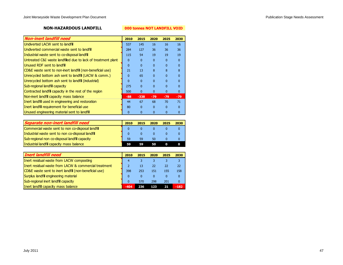### **NON-HAZARDOUS LANDFILL**

#### **000 tonnes NOT LANDFILL VOID**

| <b>Non-inert landfill need</b>                                | 2010         | 2015         | 2020     | 2025         | 2030     |
|---------------------------------------------------------------|--------------|--------------|----------|--------------|----------|
| Undiverted LACW sent to landfill                              | 537          | 145          | 16       | 16           | 16       |
| Undiverted commercial waste sent to landfill                  | 284          | 127          | 36       | 36           | 36       |
| Industrial waste sent to co-disposal landfill                 | 115          | 54           | 19       | 19           | 19       |
| Untreated C&I waste landfilled due to lack of treatment plant | $\Omega$     | $\mathbf{0}$ | $\Omega$ | $\Omega$     | $\Omega$ |
| Unused RDF sent to landfill                                   | $\Omega$     | $\Omega$     | $\Omega$ | <sup>0</sup> | $\Omega$ |
| CD&E waste sent to non-inert landfill (non-beneficial use)    | 21           | 13           | 8        | 8            | 8        |
| Unrecycled bottom ash sent to landfill (LACW & comm.)         | $\Omega$     | 65           | $\Omega$ | $\Omega$     | $\Omega$ |
| Unrecycled bottom ash sent to landfill (industrial)           | $\mathbf{0}$ | $\mathbf{0}$ | $\Omega$ | $\Omega$     | 0        |
| Sub-regional landfill capacity                                | 275          | $\Omega$     | $\Omega$ | $\Omega$     | $\Omega$ |
| Contracted landfill capacity in the rest of the region        | 500          | $\mathbf{0}$ | $\Omega$ | $\Omega$     | $\Omega$ |
| Non-inert landfill capacity mass balance                      | $-88$        | $-338$       | $-79$    | $-79$        | $-79$    |
| Inert landfill used in engineering and restoration            | 44           | 67           | 68       | 70           | 71       |
| Inert landfill requirement for beneficial use                 | 80           | $\Omega$     | $\Omega$ | $\Omega$     | $\Omega$ |
| Unused engineering material sent to landfill                  | 0            | 0            |          |              | 0        |

| Separate non-inert landfill need                  | 2010         | 2015 | 2020 | 2025 | 2030 |
|---------------------------------------------------|--------------|------|------|------|------|
| Commercial waste sent to non co-disposal landfill |              |      |      |      |      |
| Industrial waste sent to non co-disposal landfill | $\mathbf{0}$ | 0    |      |      |      |
| Sub-regional non co-disposal landfill capacity    | 59           | 59   | 50   |      |      |
| Industrial landfill capacity mass balance         |              | 59   | 50   |      |      |

| Inert landfill need                                               | 2010         | 2015     | 2020            | 2025 | 2030         |
|-------------------------------------------------------------------|--------------|----------|-----------------|------|--------------|
| Inert residual waste from LACW composting                         | 4            |          |                 | 3    |              |
| Inert residual waste from LACW & commercial treatment             |              | 13       | 22 <sub>1</sub> | 22   | 22           |
| <b>CD&amp;E</b> waste sent to inert landfill (non-beneficial use) | 398          | 253      | 151             | 155  | 158          |
| Surplus landfill engineering material                             | $\mathbf{0}$ | $\Omega$ | 0               | 0    | $\mathbf{0}$ |
| Sub-regional inert landfill capacity                              | $\Omega$     | 570      | 298             | 201  | $\mathbf{0}$ |
| Inert landfill capacity mass balance                              | $-404$       | 236      | 123             | 21   | $-182$       |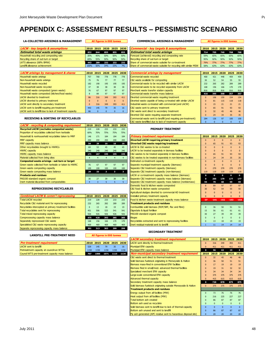### <span id="page-51-0"></span>**APPENDIX C: ASSESSMENT RESULTS – PESSIMISTIC SCENARIO**

#### **LA-COLLECTED ARISINGS & MANAGEMENT All figures in 000 tonnes**

| <b>LACW - key targets &amp; assumptions</b> |      |         |     |     |     | 2010 2015 2020 2025 2030   Commercial - key targets & assumptions | 2010 2015 2020 2025 2030 |     |            |            |                 |
|---------------------------------------------|------|---------|-----|-----|-----|-------------------------------------------------------------------|--------------------------|-----|------------|------------|-----------------|
| <b>Estimated total waste arisings</b>       |      | 832 844 |     |     |     | 855 855 855 <i>Estimated total waste arisings</i>                 | 714                      |     |            |            | 705 749 768 768 |
| Household recycling and composting rate     | 35%  | 45%     | 50% | 50% | 50% | Forecast (achieved) recycling and composting rate                 | 59%                      | 65% | 65%        | 65%        | 65%             |
| Recycling share of out-turn or target       | 69%  | 55%     | 50% | 50% | 50% | Recycling share of out-turn or target                             | 95%                      | 92% | 92%        | 92%        | 92%             |
| LATS allowance (68% BMW)                    |      | 443 289 |     |     |     | 232 232 232 Share of commercial waste suitable for co-treatment   | <b>79%</b>               | 77% | <b>77%</b> | <b>77%</b> | 77%             |
| Landfill allowance achievement              | 100% | 50%     | 34% | 15% | 7%  | Share of commercial waste suitable for recycling with similar MSW | 58%                      | 63% | 63%        | 63%        | 63%             |

| <b>LACW arisings by management &amp; shares</b>         |     | 2010 2015 | 2020 | 2025     | 2030     | <b>Commercial arisings by management</b>                                                                                                                                                                                          | 2010     | 2015 | -2020 | 2025 | 2030 |
|---------------------------------------------------------|-----|-----------|------|----------|----------|-----------------------------------------------------------------------------------------------------------------------------------------------------------------------------------------------------------------------------------|----------|------|-------|------|------|
| Household waste arisings                                | 757 | 768       | 778  | 778      | 778      | Commercial waste recycled                                                                                                                                                                                                         | 400      | 421  | 448   | 459  | 459  |
| Non-household waste arisings                            | 75  | 76        | 77   | 77       | 77       | C&I waste available for composting                                                                                                                                                                                                | 30       |      | 54    | 55   | 55   |
| Household waste recycled                                | 182 | 190       | 195  | 195      | 195      | Commercial waste to be recycled with similar LACW                                                                                                                                                                                 | 232      | 265  | 282   | 289  | 289  |
| Non-household waste recycled                            |     | 38        | 38   | 38       | 38       | Commercial waste to be recycled separately from LACW                                                                                                                                                                              | 168      | 156  | 166   | 170  | 170  |
| Household waste composted (green waste)                 | 76  | 67        | 97   | 97       | 97       | Merchant waste transfer station capacity                                                                                                                                                                                          | 816      | 816  | 816   | 816  | 816  |
| Household waste composted (kitchen/food waste)          |     | 89        | 97   | 97       | 97       | Commercial waste transfer mass balance                                                                                                                                                                                            | 416      | 395  | 368   | 357  | 357  |
| LACW diverted to treatment                              | 86  | 316       | 349  | 393      | 411      | Diverted commercial waste requiring treatment                                                                                                                                                                                     |          | 106  | 150   | 154  | 154  |
| LACW diverted to primary treatment                      |     |           |      | $\Omega$ | $\Omega$ | Diverted waste capable of being co-treated with similar LACW                                                                                                                                                                      | $\Omega$ | 81   | 115   | 118  | 118  |
| LACW sent directly to secondary treatment               |     | 316       | 349  | 393      | 411      | Industrial waste co-treated with commercial (and LACW)                                                                                                                                                                            |          | 15   | 21    | 21   | 21   |
| LACW sent to landfill requiring pre-treatment           | 443 | 145       | 79   | 35       | 16       | C&I waste sent to primary treatment                                                                                                                                                                                               |          | 65   | 91    | 93   | 93   |
| LACW sent to landfill due to lack of treatment capacity | 86  |           |      |          |          | C&I waste sent direct to secondary treatment                                                                                                                                                                                      |          |      | 45    | 46   |      |
|                                                         |     |           |      |          |          | $\mathbb{R}^n$ . I go to the set of the set of the set of the set of the set of the set of the set of the set of the set of the set of the set of the set of the set of the set of the set of the set of the set of the set of th |          |      |       |      |      |

| mmercial - key targets & assumptions                            |            | 2010 2015 2020 2025 |                |            |  |
|-----------------------------------------------------------------|------------|---------------------|----------------|------------|--|
| timated total waste arisings                                    | 714        | 705                 | 749            | 768        |  |
| ecast (achieved) recycling and composting rate                  | 59%        | 65%                 | 65%            | 65%        |  |
| cycling share of out-turn or target                             | 95%        | 92%                 | 92%            | 92%        |  |
| re of commercial waste suitable for co-treatment                | <b>79%</b> | <b>77%</b>          | 77%            | <b>77%</b> |  |
| ire of commercial waste suitable for recycling with similar MSW | 58%        | 63%                 | 63%            | 63%        |  |
|                                                                 |            |                     |                |            |  |
| mmercial arisings by management                                 | 2010       |                     | 2015 2020 2025 |            |  |

**COMMERCIAL ARISINGS & MANAGEMENT** All figures in 000 to

| LACW ansings by management & shares                     |     | ZUIU ZUIS | -2020 | zuza zuau    |              | Commercial ansings by management                                | 2010     | ZUIJ ZUZU ZUZJ  |     |     | zuat |
|---------------------------------------------------------|-----|-----------|-------|--------------|--------------|-----------------------------------------------------------------|----------|-----------------|-----|-----|------|
| Household waste arisings                                | 757 | 768       | 778   | 778          | 778          | Commercial waste recycled                                       | 400      | 421             | 448 | 459 | 459  |
| Non-household waste arisings                            | 75  | 76.       | 77    | 77           | 77           | C&I waste available for composting                              | 30       | 52              | 54  | 55  | 55   |
| Household waste recycled                                | 182 | 190       | 195   | 195          | 195          | Commercial waste to be recycled with similar LACW               | 232      | 265             | 282 | 289 | 289  |
| Non-household waste recycled                            | 37  | 38        | 38    | 38           | 38           | Commercial waste to be recycled separately from LACW            | 168      | 156             | 166 | 170 | 170  |
| Household waste composted (green waste)                 | 76. | 67        | 97    | 97           | 97           | Merchant waste transfer station capacity                        | 816      | 816             | 816 | 816 | 816  |
| Household waste composted (kitchen/food waste)          |     | 89        | 97    | 97           | 97           | Commercial waste transfer mass balance                          | 416      | 395             | 368 | 357 | 357  |
| LACW diverted to treatment                              | 86  | 316       | 349   | 393          | 411          | Diverted commercial waste requiring treatment                   |          | 106             | 150 | 154 | 154  |
| LACW diverted to primary treatment                      |     |           |       | $\Omega$     | $\mathbf{0}$ | Diverted waste capable of being co-treated with similar LACW    | $\Omega$ | 81              | 115 | 118 | 118  |
| LACW sent directly to secondary treatment               |     | 316       | 349   | 393          | 411          | Industrial waste co-treated with commercial (and LACW)          |          | 15 <sup>°</sup> | 21  | 21  | 21   |
| LACW sent to landfill requiring pre-treatment           | 443 | 145       | 79    | 35           | 16           | C&I waste sent to primary treatment                             |          | 65              | 91  | 93  | 93   |
| LACW sent to landfill due to lack of treatment capacity | 86  | $\Omega$  |       | $\mathbf{0}$ | $\Omega$     | C&I waste sent direct to secondary treatment                    |          | 32              | 45  |     | 46   |
|                                                         |     |           |       |              |              | Diverted C&I waste requiring separate treatment                 |          | 24              | 34  | 35  | 35   |
| <b>RECEIVING &amp; SORTING OF RECYCLABLES</b>           |     |           |       |              |              | Commercial waste sent to landfill (and requiring pre-treatment) | 284      | 126             | 97  | 100 | 100  |
|                                                         |     |           |       |              |              | C&I waste landfilled due to lack of treatment capacity          |          |                 |     |     |      |

#### **RECEIVING & SORTING OF RECYCLABLES**

| <b>LACW</b> - recycling & composting requirement      | 2010           | 2015           | 2020 | 2025           | 2030           |
|-------------------------------------------------------|----------------|----------------|------|----------------|----------------|
| <b>Recycled LACW (excludes composted waste)</b>       | 219            | 228            | 233  | 233            | 233            |
| Proportion of recyclables collected from kerbside     | 60%            | 70%            | 75%  | 75%            | 75%            |
| Household & nonhousehold recyclables taken to MRF     | 146            | 171            | 184  | 184            | 184            |
| <b>MRF</b> capacity                                   | 200            | 200            | 200  | 200            | 200            |
| MRF capacity mass balance                             | 54             | 29             | 16   | 16             | 16             |
| Other recycleables brought to HWRCs                   | 69             | 53             | 45   | 45             | 45             |
| <b>HWRC capacity</b>                                  | 240            | 240            | 240  | 240            | 240            |
| <b>HWRC capacity mass balance</b>                     | 171            | 187            | 195  | 195            | 195            |
| Material collected from bring sites                   | 4              | $\overline{4}$ | 4    | $\overline{4}$ | $\overline{4}$ |
| Composted waste arisings - out-turn or target         |                |                |      |                |                |
| Green waste collected from kerbside or taken to HWRC. | 76             | 67             | 97   | 97             | 97             |
| Green waste composting capacity                       | 100            | 100            | 100  | 100            | 100            |
| Green waste composting mass balance                   | 24             | 33             | з    | з              | з              |
| <b>Products and residues</b>                          |                |                |      |                |                |
| PAS100 standard organic compost                       | 30             | 27             | 39   | 39             | 39             |
| Inert material discarded from compostables            | $\overline{4}$ | 3              | 5    | 5              | 5              |

#### **REPROCESSING RECYCLABLES**

**LANDFILL PRE-TREATMENT NEED**

|                                                         |     |           |      |           |     | <u>Agricultural siugges diverted to commercial AD treatment </u> |       |          |        |        | - 11     |
|---------------------------------------------------------|-----|-----------|------|-----------|-----|------------------------------------------------------------------|-------|----------|--------|--------|----------|
| <b>Combined LACW &amp; comm'l reprocessing</b>          |     | 2010 2015 | 2020 | 2025 2030 |     | Installed primary treatment capacity                             |       | $\Omega$ |        |        | $\Omega$ |
| <b>Total LACW recycled</b>                              | 219 | 228       | 233  | 233       | 233 | Food & kitchen waste treatment capacity mass balance             | $-37$ | $-141$   | $-152$ | $-153$ | $-153$   |
| Recyclable C&I material sent for reprocessing           | 232 | 265       | 282  | 289       | 289 | <b>Treatment products and residues</b>                           |       |          |        |        |          |
| Recyclables intercepted at primary treatment facilities |     | 13        | 18   | 19        | 19  | Combustible solid biomass (RDF/SRF, floc and fibre)              |       | 36       | 50     | 51     | 51       |
| Total recyclables sent for reprocessing                 | 451 | 506       | 533  | 541       | 541 | Digestate & liquid fertiliser                                    |       | 56       | 61     | 61     | 61       |
| Total mixed reprocessing capacity                       | 926 | 926       | 926  | 926       | 926 | PAS100 standard organic compost                                  |       | 27       | 39     | 39     | 39       |
| Coreprocessing capacity mass balance                    | 475 | 420       | 393  | 385       | 385 | <b>Biogas</b>                                                    |       |          |        |        | $\Omega$ |
| Separately reprocessed C&I waste                        | 168 | 156       | 166  | 170       | 170 | Recyclables extracted and sent to reprocessing facilities        |       | 13       | 18     |        | 19       |
| Specialisted C&I waste reprocessing capacity            | 469 | 469       | 469  | 469       | 469 | Inert residual material sent to landfill                         |       | 11       | 14     | 14     | 14       |
| Separate reprocessing capacity mass balance             | 301 | 313       | 303  | 299       | 299 |                                                                  |       |          |        |        |          |

#### **PRIMARY TREATMENT**

| Household & nonhousehold recyclables taken to MRF       | 146      | 171  | 184                   | 184  | 184            | <b>Primary treatment requirement</b>                          | 2010        |             | 2015 2020    | 2025        | 2030         |
|---------------------------------------------------------|----------|------|-----------------------|------|----------------|---------------------------------------------------------------|-------------|-------------|--------------|-------------|--------------|
| <b>MRF</b> capacity                                     | 200      | 200  | 200                   | 200  | 200            | <b>Diverted LACW requiring primary treatment</b>              |             | $\Omega$    | $\Omega$     | $\Omega$    | $\Omega$     |
| MRF capacity mass balance                               | 54       | 29   | 16                    | 16   | 16             | Diverted C&I waste requiring treatment                        |             | 65          | 91           | 93          | 93           |
| Other recycleables brought to HWRCs                     | 69       | 53   | 45                    | 45   | 45             | LACW & C&I wastes to be co-treated                            | $\Omega$    | $\Omega$    | $\Omega$     | $\Omega$    | $\Omega$     |
| <b>HWRC capacity</b>                                    | 240      | 240  | 240                   | 240  | 240            | LACW to be treated separately in biomass facilities           |             | $\Omega$    | $\mathbf{0}$ | $\Omega$    |              |
| <b>HWRC capacity mass balance</b>                       | 171      | 187  | 195                   | 195  | 195            | C&I wastes to be treated separately in biomass facilities     |             | 65          | 91           | 93          | 93           |
| Material collected from bring sites                     | 4        |      | $\boldsymbol{\Delta}$ | Δ    | $\overline{4}$ | C&I wastes to be treated separately in non-biomass facilities | 0           | 24          | 34           | 35          | 35           |
| Composted waste arisings - out-turn or target           |          |      |                       |      |                | Estimated co-treatment capacity                               | $\Omega$    | $\Omega$    | $\Omega$     | $\Omega$    | $\Omega$     |
| Green waste collected from kerbside or taken to HWRC.   | 76       | 67   | 97                    | 97   | 97             | Separate municipal treatment capacity (biomass)               |             | $\Omega$    | $\mathbf{0}$ | $\Omega$    |              |
| Green waste composting capacity                         | 100      | 100  | 100                   | 100  | 100            | Separate C&I treatment capacity (biomass)                     |             | 270         | 270          | 270         | 270          |
| Green waste composting mass balance                     | 24       | 33   | з                     | з    | $\mathbf{3}$   | Separate C&I treatment capacity (non-biomass)                 | 119         | 119         | 119          | 119         | 119          |
| <b>Products and residues</b>                            |          |      |                       |      |                | LACW or co-treatment capacity mass balance (biomass)          | $\mathbf 0$ | $\mathbf 0$ | $\bf{0}$     | $\mathbf 0$ | $\mathbf{o}$ |
| PAS100 standard organic compost                         | 30       | 27   | 39                    | 39   | 39             | Separate C&I treatment capacity mass balance (biomass)        | $\mathbf 0$ | 205         | 179          | 177         | 177          |
| Inert material discarded from compostables              | Δ        | 3    | 5                     | 5    | 5 <sup>1</sup> | Separate C&I treatment capacity mass balance (nonbiomass)     | 94          | 70          | 60           | 59          | 59           |
|                                                         |          |      |                       |      |                | Domestic food & kitchen waste composted                       | 8           | 89          | 97           | 97          | 97           |
| <b>REPROCESSING RECYCLABLES</b>                         |          |      |                       |      |                | C&I food & kitchen waste composted                            | 30          | 52          | 54           | 55          | 55           |
|                                                         |          |      |                       |      |                | Agricultural sludges diverted to commercial AD treatment      |             |             | $\Omega$     |             |              |
| <b>Combined LACW &amp; comm'l reprocessing</b>          | 2010     | 2015 | 2020                  | 2025 | 2030           | Installed primary treatment capacity                          |             | $\Omega$    | $\Omega$     | $\Omega$    |              |
| <b>Total LACW recycled</b>                              | 219      | 228  | 233                   | 233  | 233            | Food & kitchen waste treatment capacity mass balance          | $-37$       | $-141$      | $-152$       | $-153$      | $-153$       |
| Recyclable C&I material sent for reprocessing           | 232      | 265  | 282                   | 289  | 289            | <b>Treatment products and residues</b>                        |             |             |              |             |              |
| Recyclables intercepted at primary treatment facilities | $\Omega$ | 13   | 18                    | 19   | 19             | Combustible solid biomass (RDF/SRF, floc and fibre)           | $\Omega$    | 36          | 50           | 51          | 51           |
| Total recyclables sent for reprocessing                 | 451      | 506  | 533                   | 541  | 541            | Digestate & liquid fertiliser                                 | 15          | 56          | 61           | 61          | 61           |
| Total mixed reprocessing capacity                       | 926      | 926  | 926                   | 926  | 926            | PAS100 standard organic compost                               | 30          | 27          | 39           | 39          | 39           |
| Coreprocessing capacity mass balance                    | 475      | 420  | 393                   | 385  | 385            | <b>Biogas</b>                                                 |             | $\Omega$    |              | $\Omega$    |              |
| Separately reprocessed C&I waste                        | 168      | 156  | 166                   | 170  | 170            | Recyclables extracted and sent to reprocessing facilities     |             | 13          | 18           | 19          | 19           |
| Specialisted C&I waste reprocessing capacity            | 469      | 469  | 469                   | 469  | 469            | Inert residual material sent to landfill                      |             | 11          | 14           | 14          | 14           |

#### **SECONDARY TREATMENT**

|                                                 |      |      |      |      |      | LACW secondary treatment requirement                            | 2010         |          | 2015 2020 | 2025         | 2030         |
|-------------------------------------------------|------|------|------|------|------|-----------------------------------------------------------------|--------------|----------|-----------|--------------|--------------|
| Pre-treatment requirement                       | 2010 | 2015 | 2020 | 2025 | 2030 | LACW sent directly to thermal treatment                         | $\Omega$     | 316      | 349       | 393          | 411          |
| LACW sent to landfill                           | 529  | 145  | 79   | 35   | 16   | Municipal EfW capacity                                          | $\Omega$     | 411      | 411       | 411          | 411          |
| Pretreatment capacity at council-run WTSs       | 1150 | 1150 | 1150 | 1150 | 1150 | Municipal EfW capacity mass balance                             | $\mathbf{o}$ | 96       | 63        | 19           | $\mathbf{o}$ |
| Council WTS pre-treatment capacity mass balance | 707  | 1006 | 1071 | 1115 | 1134 | <b>Non-municipal secondary treatment requirement</b>            | 2010         | 2015     | 2020      | 2025         | 2030         |
|                                                 |      |      |      |      |      | C&I waste sent direct to thermal treatment                      | $\mathbf{0}$ | 32       | 45        | 46           | 46           |
|                                                 |      |      |      |      |      | Solid biomass fuelstock originating in Merseyside & Halton      |              | 36       | 50        | 51           | 51           |
|                                                 |      |      |      |      |      | Biomass mass-fired in conventional EfW facilities               | $\mathbf{0}$ | 17       | 19        | 19           | 19           |
|                                                 |      |      |      |      |      | Biomass fired in small/med. advanced thermal facilities         | $\Omega$     | 19       | 31        | 32           | 32           |
|                                                 |      |      |      |      |      | Specialised merchant EfW capacity                               | $\mathbf{0}$ | 34       | 34        | 34           | 34           |
|                                                 |      |      |      |      |      | Large-scale conventional EfW capacity                           | $\mathbf{0}$ | 375      | 375       | 375          | 375          |
|                                                 |      |      |      |      |      | Advanced thermal capacity                                       | $\mathbf{0}$ | 415      | 615       | 615          | 615          |
|                                                 |      |      |      |      |      | Secondary treatment capacity mass balance                       | $\mathbf{o}$ | 720      | 878       | 875          | 875          |
|                                                 |      |      |      |      |      | Solid biomass fuelstock originating outside Merseyside & Halton | $\Omega$     | 375      | 375       | 375          | 375          |
|                                                 |      |      |      |      |      | <b>Treatment products and residues</b>                          |              |          |           |              |              |
|                                                 |      |      |      |      |      | Energy output from all facilities (MW)                          | $\Omega$     | 73       | 76        | 76           | 76           |
|                                                 |      |      |      |      |      | Heat output from all facilities (MW)                            | $\mathbf{0}$ | 216      | 225       | 227          | 227          |
|                                                 |      |      |      |      |      | Total bottom ash created                                        |              | 86       | 87        | 87           | 87           |
|                                                 |      |      |      |      |      | Bottom ash used as recyclate                                    | $\Omega$     | $\Omega$ | $\Omega$  | $\Omega$     | $\Omega$     |
|                                                 |      |      |      |      |      | Solid biomass sent to landfill due to lack of thermal capacity  | $\mathbf{0}$ | $\Omega$ | $\Omega$  | $\mathbf{0}$ | $\Omega$     |
|                                                 |      |      |      |      |      | Bottom ash unused and sent to landfill                          |              | 86       | 87        | 87           | 87           |
|                                                 |      |      |      |      |      | Fly ash generated (APC residue sent to hazardous disposal site) | $\Omega$     | 20       | 20        | 20           | 20           |

| Pre-treatment requirement                  |      |      | 2010 2015 2020 20 |     |
|--------------------------------------------|------|------|-------------------|-----|
| <b>LACW</b> sent to landfill               | 529  | 145  |                   | 3!  |
| Dratraatmant canacity at council nun WITSc | 1150 | 1150 | 1150              | 111 |

**All figures in 000 to** 

| <b>July 2011</b> | 48 |
|------------------|----|
|                  |    |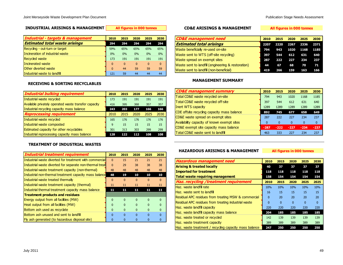#### **INDUSTRIAL ARISINGS & MANAGEMENT**

| Industrial - targets & management     | 2010         | 2015         | 2020         | 2025     | 2030     |
|---------------------------------------|--------------|--------------|--------------|----------|----------|
| <b>Estimated total waste arisings</b> | 294          | 294          | 294          | 294      | 294      |
| Recycling - out-turn or target        | 59%          | 65%          | 65%          | 65%      | 65%      |
| Incineration of industrial waste      | 0%           | 0%           | 0%           | 0%       | 0%       |
| <b>Recycled waste</b>                 | 173          | 191          | 191          | 191      | 191      |
| Incinerated waste                     | $\mathbf{0}$ | $\mathbf{0}$ | $\mathbf{0}$ | $\Omega$ | $\Omega$ |
| Other diverted waste                  | $\Omega$     | 44           | 59           | 59       | 59       |
| Industrial waste to landfill          | 121          | 59           | 44           | 44       | 44       |

#### **All figures in 000 tonnes CD&E ARISINGS & MANAGEMENT**

#### **All figures in 000 tonnes**

| <b>CD&amp;E</b> management need                    | 2010 | 2015    | 2020 | 2025           | 2030 |
|----------------------------------------------------|------|---------|------|----------------|------|
| <b>Estimated total arisings</b>                    | 2207 |         |      | 2220 2267 2336 | 2371 |
| Waste beneficially re-used on-site                 | 794  |         |      | 943 1020 1168  | 1185 |
| Waste sent to WTS (off-site recycling)             | 397  | 544 612 |      | 631            | 640  |
| Waste spread on exempt sites                       | 287  | 222 227 |      | 234            | 237  |
| Waste sent to landfill (engineering & restoration) | 44   | 67      | 68   | - 70           | 71   |
| Waste sent to landfill (non-beneficial)            | 419  | 266     | 159  | 163            | 166  |

#### **RECEIVING & SORTING RECYCLABLES**

| <b>Industrial bulking requirement</b>                | 2010 | 2015 | 2020 | 2025 | 2030 |
|------------------------------------------------------|------|------|------|------|------|
| Industrial waste recycled                            | 173  | 191  | 191  | 191  | 191  |
| Available privately operated waste transfer capacity | 416  | 395  | 368  | 357  | 357  |
| Industrial recycling capacity mass balance           | 243  | 203  | 177  | 166  | 166  |
| <b>Reprocessing requirement</b>                      | 2010 | 2015 | 2020 | 2025 | 2030 |
| Industrial waste recycled                            | 165  | 176  | 176  | 176  | 176  |
| Industrial waste composted                           | 9    | 15   | 15   | 15   | 15   |
| Estimated capacity for other recyclables             | 301  | 313  | 303  | 299  | 299  |
| Industrial reprocessing capacity mass balance        | 128  | 122  | 112  | 108  | 108  |

#### **TREATMENT OF INDUSTRIAL WASTES**

| Industrial treatment requirement                         | 2010         | 2015     | 2020     | 2025     | 2030     |
|----------------------------------------------------------|--------------|----------|----------|----------|----------|
| Industrial waste diverted for treatment with commercial  | $\Omega$     | 15       | 21       | 21       | 21       |
| Industrial waste diverted for separate non-thermal treat | $\Omega$     | 29       | 38       | 38       | 38       |
| Industrial waste treatment capacity (non-thermal)        | 48           | 48       | 48       | 48       | 48       |
| Industrial non-thermal treatment capacity mass balance   | 48           | 19       | 10       | 10       | 10       |
| Industrial waste treated thermally                       | $\Omega$     | $\Omega$ | $\Omega$ | $\Omega$ | $\Omega$ |
| Industrial waste treatment capacity (thermal)            | 11           | 11       | 11       | 11       | 11       |
| Industrial thermal treatment capacity mass balance       | 11           | 11       | 11       | 11       | 11       |
| <b>Treatment products and residues</b>                   |              |          |          |          |          |
| Energy output from all facilities (MW)                   | $\mathbf{0}$ | $\Omega$ | $\Omega$ | O        | n        |
| Heat output from all facilities (MW)                     | $\Omega$     | $\Omega$ | n        | O        |          |
| Bottom ash used as recyclate                             | $\mathbf{0}$ | $\Omega$ | O        | 0        | $\Omega$ |
| Bottom ash unused and sent to landfill                   | $\mathbf{0}$ | $\Omega$ | n        | O        |          |
| Fly ash generated (to hazardous disposal site)           | <sup>0</sup> |          |          | n        |          |

#### **MANAGEMENT SUMMARY**

| <b>CD&amp;E</b> management summary          | 2010     | 2015         | 2020         | 2025         | 2030         |
|---------------------------------------------|----------|--------------|--------------|--------------|--------------|
| Total CD&E waste recycled on-site           | 794      | 943          | 1020         | 1168         | 1185         |
| Total CD&E waste recycled off-site          | 397      | 544          | 612          | 631          | 640          |
| Inert WTS capacity                          | 1289     | 1289         | 1289         | 1289         | 1289         |
| CDE offsite recycling capacity mass balance | 892      | 745          | 677          | 658          | 649          |
| CD&E waste spread on exempt sites           | 287      | 222          | 227          | 234          | 237          |
| Availability capacity of known exempt sites | $\theta$ | $\mathbf{0}$ | $\mathbf{0}$ | $\mathbf{0}$ | $\mathbf{0}$ |
| CD&E exempt site capacity mass balance      | $-287$   | $-222$       | $-227$       | $-234$       | $-237$       |
| Total CD&E waste sent to landfill           | 463      | 333          | 227          | 234          | 237          |

#### **HAZARDOUS ARISINGS & MANAGEMENT**

**All figures in 000 tonnes**

| <b>Hazardous management need</b>                       | 2010     | 2015     | 2020         | 2025     | 2030     |
|--------------------------------------------------------|----------|----------|--------------|----------|----------|
| <b>Arising &amp; treated locally</b>                   | 40       | 37       | 37           | 37       | 37       |
| <b>Imported for treatment</b>                          | 118      | 118      | 118          | 118      | 118      |
| <b>Total waste requiring management</b>                | 158      | 154      | 154          | 154      | 154      |
| Haz. recycling /treatment requirement                  | 2010     | 2015     | 2020         | 2025     | 2025     |
| Haz. waste landfill rate                               | 10%      | 10%      | 10%          | 10%      | 10%      |
| Haz. waste sent to landfill                            | 16       | 15       | 15           | 15       | 15       |
| Residual APC residues from treating MSW & commercial   | $\Omega$ | 20       | 20           | 20       | 20       |
| Residual APC residues from treating industrial waste   | O        | $\Omega$ | $\mathbf{0}$ | $\Omega$ | $\Omega$ |
| Haz. waste landfill capacity                           | 220      | 220      | 220          | 220      | 220      |
| Haz. waste landfill capacity mass balance              | 204      | 185      | 185          | 185      | 185      |
| Haz. waste treated or recycled                         | 142      | 139      | 139          | 139      | 139      |
| Haz. waste treatment capacity                          | 389      | 389      | 389          | 389      | 389      |
| Haz. waste treatment / recycling capacity mass balance | 247      | 250      | 250          | 250      | 250      |